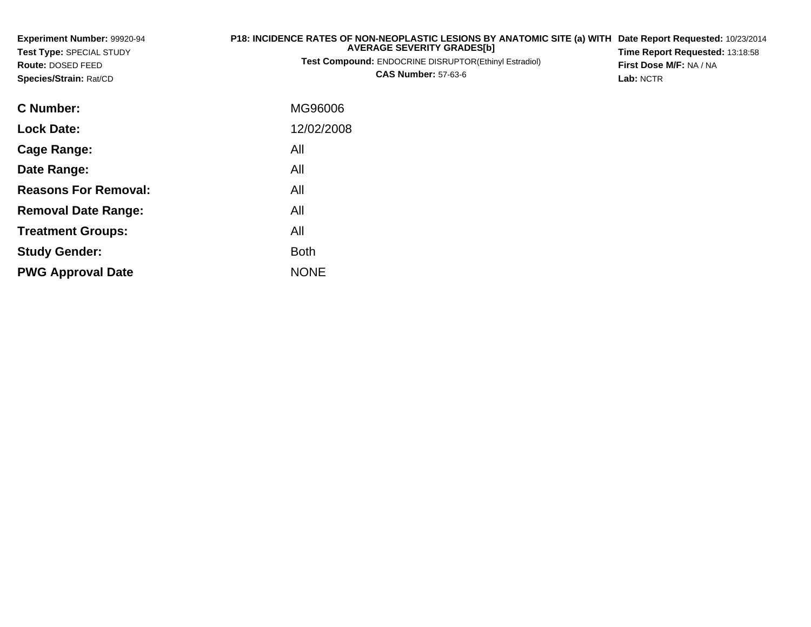| Experiment Number: 99920-94<br>Test Type: SPECIAL STUDY<br><b>Route: DOSED FEED</b><br>Species/Strain: Rat/CD | P18: INCIDENCE RATES OF NON-NEOPLASTIC LESIONS BY ANATOMIC SITE (a) WITH<br><b>AVERAGE SEVERITY GRADES[b]</b><br><b>Test Compound: ENDOCRINE DISRUPTOR(Ethinyl Estradiol)</b><br><b>CAS Number: 57-63-6</b> | Date Report Requested: 10/23/2014<br>Time Report Requested: 13:18:58<br>First Dose M/F: NA / NA<br><b>Lab: NCTR</b> |
|---------------------------------------------------------------------------------------------------------------|-------------------------------------------------------------------------------------------------------------------------------------------------------------------------------------------------------------|---------------------------------------------------------------------------------------------------------------------|
| C Number:                                                                                                     | MG96006                                                                                                                                                                                                     |                                                                                                                     |
| <b>Lock Date:</b>                                                                                             | 12/02/2008                                                                                                                                                                                                  |                                                                                                                     |
| <b>Cage Range:</b>                                                                                            | All                                                                                                                                                                                                         |                                                                                                                     |
| Date Range:                                                                                                   | All                                                                                                                                                                                                         |                                                                                                                     |
| <b>Reasons For Removal:</b>                                                                                   | All                                                                                                                                                                                                         |                                                                                                                     |
| <b>Removal Date Range:</b>                                                                                    | All                                                                                                                                                                                                         |                                                                                                                     |
| <b>Treatment Groups:</b>                                                                                      | All                                                                                                                                                                                                         |                                                                                                                     |

e NONE

Both

**Study Gender:**

**PWG Approval Date**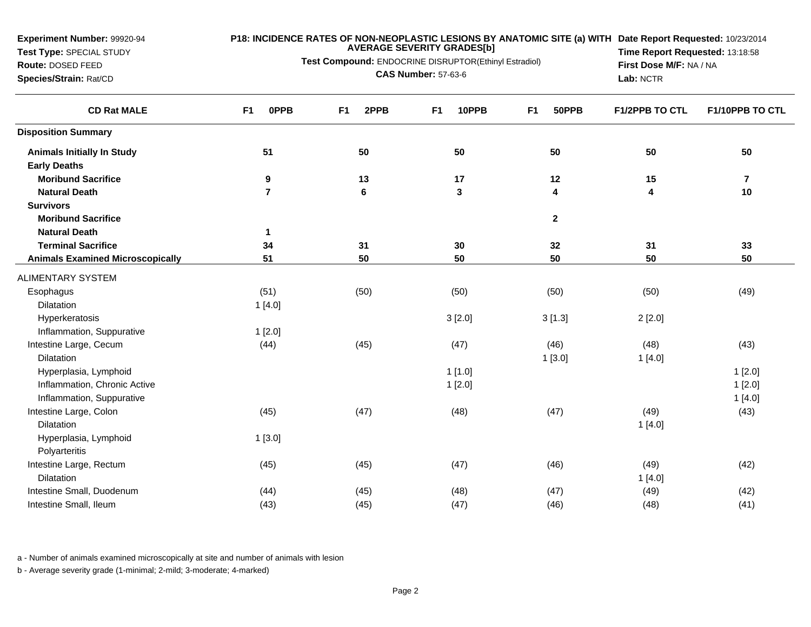**Test Type:** SPECIAL STUDY

# **Route:** DOSED FEED**Species/Strain:** Rat/CD

**P18: INCIDENCE RATES OF NON-NEOPLASTIC LESIONS BY ANATOMIC SITE (a) WITH AVERAGE SEVERITY GRADES[b]**

**Test Compound:** ENDOCRINE DISRUPTOR(Ethinyl Estradiol)

**CAS Number:** 57-63-6

**Date Report Requested:** 10/23/2014 **Time Report Requested:** 13:18:58**First Dose M/F:** NA / NA**Lab:** NCTR

| <b>CD Rat MALE</b>                      | F1<br>0PPB     | F <sub>1</sub><br>2PPB | 10PPB<br>F <sub>1</sub> | F <sub>1</sub><br>50PPB | F1/2PPB TO CTL | F1/10PPB TO CTL |
|-----------------------------------------|----------------|------------------------|-------------------------|-------------------------|----------------|-----------------|
| <b>Disposition Summary</b>              |                |                        |                         |                         |                |                 |
| <b>Animals Initially In Study</b>       | 51             | 50                     | 50                      | 50                      | 50             | 50              |
| <b>Early Deaths</b>                     |                |                        |                         |                         |                |                 |
| <b>Moribund Sacrifice</b>               | 9              | 13                     | 17                      | 12                      | 15             | $\overline{7}$  |
| <b>Natural Death</b>                    | $\overline{7}$ | 6                      | 3                       | 4                       | 4              | 10              |
| <b>Survivors</b>                        |                |                        |                         |                         |                |                 |
| <b>Moribund Sacrifice</b>               |                |                        |                         | $\overline{2}$          |                |                 |
| <b>Natural Death</b>                    | $\mathbf{1}$   |                        |                         |                         |                |                 |
| <b>Terminal Sacrifice</b>               | 34             | 31                     | 30                      | 32                      | 31             | 33              |
| <b>Animals Examined Microscopically</b> | 51             | 50                     | 50                      | 50                      | 50             | 50              |
| <b>ALIMENTARY SYSTEM</b>                |                |                        |                         |                         |                |                 |
| Esophagus                               | (51)           | (50)                   | (50)                    | (50)                    | (50)           | (49)            |
| <b>Dilatation</b>                       | 1[4.0]         |                        |                         |                         |                |                 |
| Hyperkeratosis                          |                |                        | 3[2.0]                  | 3[1.3]                  | 2[2.0]         |                 |
| Inflammation, Suppurative               | 1[2.0]         |                        |                         |                         |                |                 |
| Intestine Large, Cecum                  | (44)           | (45)                   | (47)                    | (46)                    | (48)           | (43)            |
| Dilatation                              |                |                        |                         | 1[3.0]                  | 1[4.0]         |                 |
| Hyperplasia, Lymphoid                   |                |                        | 1[1.0]                  |                         |                | 1[2.0]          |
| Inflammation, Chronic Active            |                |                        | 1[2.0]                  |                         |                | 1[2.0]          |
| Inflammation, Suppurative               |                |                        |                         |                         |                | 1[4.0]          |
| Intestine Large, Colon                  | (45)           | (47)                   | (48)                    | (47)                    | (49)           | (43)            |
| Dilatation                              |                |                        |                         |                         | 1[4.0]         |                 |
| Hyperplasia, Lymphoid                   | 1[3.0]         |                        |                         |                         |                |                 |
| Polyarteritis                           |                |                        |                         |                         |                |                 |
| Intestine Large, Rectum                 | (45)           | (45)                   | (47)                    | (46)                    | (49)           | (42)            |
| Dilatation                              |                |                        |                         |                         | 1[4.0]         |                 |
| Intestine Small, Duodenum               | (44)           | (45)                   | (48)                    | (47)                    | (49)           | (42)            |
| Intestine Small, Ileum                  | (43)           | (45)                   | (47)                    | (46)                    | (48)           | (41)            |

a - Number of animals examined microscopically at site and number of animals with lesion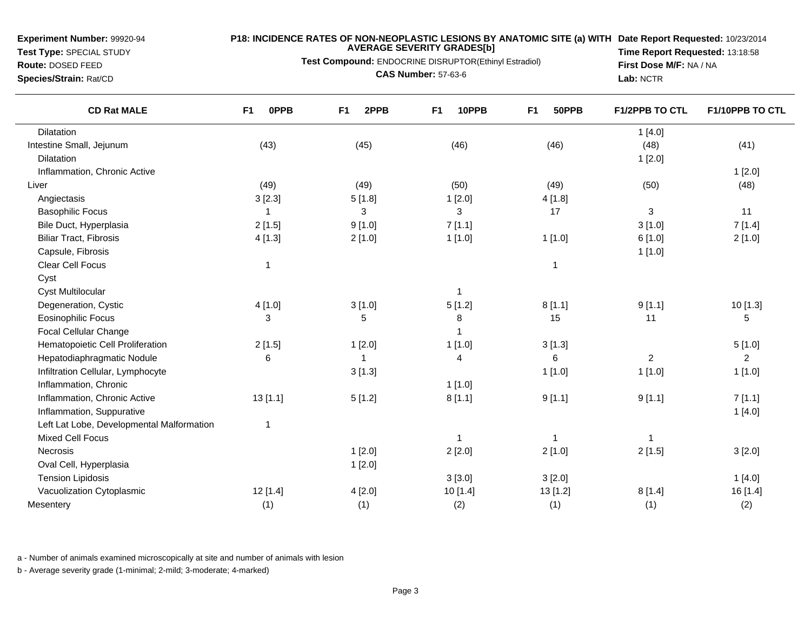**Test Type:** SPECIAL STUDY

## **Route:** DOSED FEED

**Species/Strain:** Rat/CD

## **P18: INCIDENCE RATES OF NON-NEOPLASTIC LESIONS BY ANATOMIC SITE (a) WITH AVERAGE SEVERITY GRADES[b] Date Report Requested:** 10/23/2014

**Test Compound:** ENDOCRINE DISRUPTOR(Ethinyl Estradiol)

**CAS Number:** 57-63-6

**Time Report Requested:** 13:18:58**First Dose M/F:** NA / NA**Lab:** NCTR

| <b>CD Rat MALE</b>                        | F1<br><b>OPPB</b> | 2PPB<br>F <sub>1</sub> | F <sub>1</sub><br>10PPB | F <sub>1</sub><br>50PPB | F1/2PPB TO CTL | F1/10PPB TO CTL |
|-------------------------------------------|-------------------|------------------------|-------------------------|-------------------------|----------------|-----------------|
| Dilatation                                |                   |                        |                         |                         | 1[4.0]         |                 |
| Intestine Small, Jejunum                  | (43)              | (45)                   | (46)                    | (46)                    | (48)           | (41)            |
| Dilatation                                |                   |                        |                         |                         | 1[2.0]         |                 |
| Inflammation, Chronic Active              |                   |                        |                         |                         |                | 1[2.0]          |
| Liver                                     | (49)              | (49)                   | (50)                    | (49)                    | (50)           | (48)            |
| Angiectasis                               | 3[2.3]            | 5[1.8]                 | 1[2.0]                  | 4[1.8]                  |                |                 |
| <b>Basophilic Focus</b>                   |                   | 3                      | 3                       | 17                      | $\mathbf{3}$   | 11              |
| Bile Duct, Hyperplasia                    | 2[1.5]            | 9[1.0]                 | 7[1.1]                  |                         | 3[1.0]         | 7[1.4]          |
| <b>Biliar Tract, Fibrosis</b>             | 4[1.3]            | 2[1.0]                 | 1[1.0]                  | 1[1.0]                  | 6[1.0]         | 2[1.0]          |
| Capsule, Fibrosis                         |                   |                        |                         |                         | 1[1.0]         |                 |
| Clear Cell Focus                          | 1                 |                        |                         | 1                       |                |                 |
| Cyst                                      |                   |                        |                         |                         |                |                 |
| <b>Cyst Multilocular</b>                  |                   |                        | 1                       |                         |                |                 |
| Degeneration, Cystic                      | 4[1.0]            | 3[1.0]                 | 5[1.2]                  | 8[1.1]                  | 9[1.1]         | 10 [1.3]        |
| <b>Eosinophilic Focus</b>                 | 3                 | 5                      | 8                       | 15                      | 11             | 5               |
| <b>Focal Cellular Change</b>              |                   |                        | 1                       |                         |                |                 |
| Hematopoietic Cell Proliferation          | 2[1.5]            | 1[2.0]                 | 1[1.0]                  | 3[1.3]                  |                | 5[1.0]          |
| Hepatodiaphragmatic Nodule                | 6                 | 1                      | 4                       | 6                       | $\overline{2}$ | $\overline{2}$  |
| Infiltration Cellular, Lymphocyte         |                   | 3[1.3]                 |                         | 1[1.0]                  | 1[1.0]         | 1[1.0]          |
| Inflammation, Chronic                     |                   |                        | $1$ [1.0]               |                         |                |                 |
| Inflammation, Chronic Active              | 13[1.1]           | 5[1.2]                 | 8[1.1]                  | 9[1.1]                  | 9[1.1]         | 7[1.1]          |
| Inflammation, Suppurative                 |                   |                        |                         |                         |                | 1[4.0]          |
| Left Lat Lobe, Developmental Malformation | 1                 |                        |                         |                         |                |                 |
| <b>Mixed Cell Focus</b>                   |                   |                        | 1                       |                         | 1              |                 |
| Necrosis                                  |                   | 1[2.0]                 | 2[2.0]                  | 2[1.0]                  | 2[1.5]         | 3[2.0]          |
| Oval Cell, Hyperplasia                    |                   | 1[2.0]                 |                         |                         |                |                 |
| <b>Tension Lipidosis</b>                  |                   |                        | 3 [3.0]                 | 3[2.0]                  |                | 1[4.0]          |
| Vacuolization Cytoplasmic                 | 12 [1.4]          | 4[2.0]                 | 10 [1.4]                | 13 [1.2]                | 8[1.4]         | 16 [1.4]        |
| Mesentery                                 | (1)               | (1)                    | (2)                     | (1)                     | (1)            | (2)             |

a - Number of animals examined microscopically at site and number of animals with lesion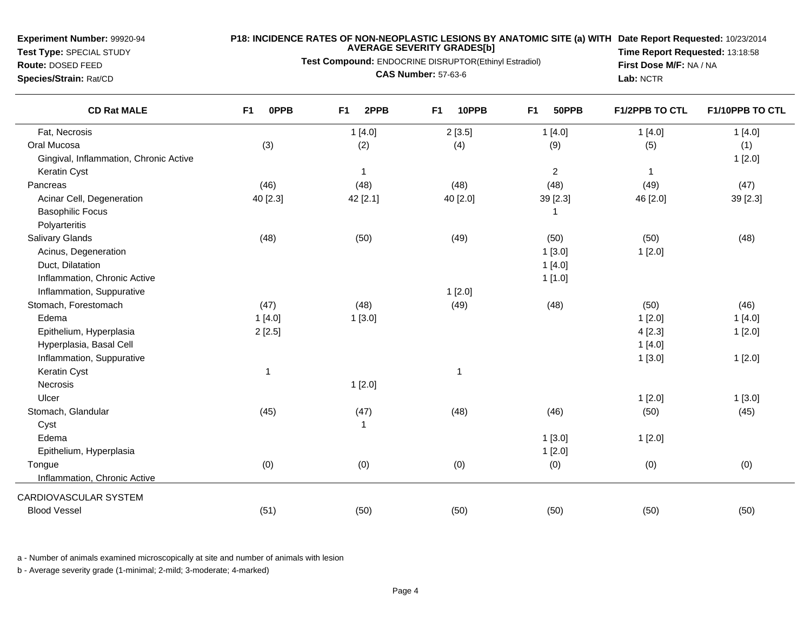**Test Type:** SPECIAL STUDY

#### **P18: INCIDENCE RATES OF NON-NEOPLASTIC LESIONS BY ANATOMIC SITE (a) WITH AVERAGE SEVERITY GRADES[b] Date Report Requested:** 10/23/2014

**Test Compound:** ENDOCRINE DISRUPTOR(Ethinyl Estradiol)

**Route:** DOSED FEED**Species/Strain:** Rat/CD

**CAS Number:** 57-63-6

**Time Report Requested:** 13:18:58**First Dose M/F:** NA / NA**Lab:** NCTR

| <b>CD Rat MALE</b>                     | 0PPB<br>F <sub>1</sub> | 2PPB<br>F <sub>1</sub> | 10PPB<br>F <sub>1</sub> | 50PPB<br>F <sub>1</sub> | <b>F1/2PPB TO CTL</b> | F1/10PPB TO CTL |
|----------------------------------------|------------------------|------------------------|-------------------------|-------------------------|-----------------------|-----------------|
| Fat, Necrosis                          |                        | 1[4.0]                 | 2[3.5]                  | 1[4.0]                  | 1[4.0]                | 1[4.0]          |
| Oral Mucosa                            | (3)                    | (2)                    | (4)                     | (9)                     | (5)                   | (1)             |
| Gingival, Inflammation, Chronic Active |                        |                        |                         |                         |                       | 1[2.0]          |
| Keratin Cyst                           |                        | $\mathbf{1}$           |                         | $\overline{2}$          | $\mathbf{1}$          |                 |
| Pancreas                               | (46)                   | (48)                   | (48)                    | (48)                    | (49)                  | (47)            |
| Acinar Cell, Degeneration              | 40 [2.3]               | 42 [2.1]               | 40 [2.0]                | 39 [2.3]                | 46 [2.0]              | 39 [2.3]        |
| <b>Basophilic Focus</b>                |                        |                        |                         | 1                       |                       |                 |
| Polyarteritis                          |                        |                        |                         |                         |                       |                 |
| Salivary Glands                        | (48)                   | (50)                   | (49)                    | (50)                    | (50)                  | (48)            |
| Acinus, Degeneration                   |                        |                        |                         | 1[3.0]                  | 1[2.0]                |                 |
| Duct, Dilatation                       |                        |                        |                         | 1[4.0]                  |                       |                 |
| Inflammation, Chronic Active           |                        |                        |                         | 1[1.0]                  |                       |                 |
| Inflammation, Suppurative              |                        |                        | 1[2.0]                  |                         |                       |                 |
| Stomach, Forestomach                   | (47)                   | (48)                   | (49)                    | (48)                    | (50)                  | (46)            |
| Edema                                  | 1[4.0]                 | 1[3.0]                 |                         |                         | 1[2.0]                | 1[4.0]          |
| Epithelium, Hyperplasia                | 2[2.5]                 |                        |                         |                         | 4[2.3]                | 1[2.0]          |
| Hyperplasia, Basal Cell                |                        |                        |                         |                         | 1[4.0]                |                 |
| Inflammation, Suppurative              |                        |                        |                         |                         | 1[3.0]                | 1[2.0]          |
| Keratin Cyst                           | $\mathbf{1}$           |                        | $\mathbf{1}$            |                         |                       |                 |
| Necrosis                               |                        | 1[2.0]                 |                         |                         |                       |                 |
| Ulcer                                  |                        |                        |                         |                         | 1[2.0]                | 1[3.0]          |
| Stomach, Glandular                     | (45)                   | (47)                   | (48)                    | (46)                    | (50)                  | (45)            |
| Cyst                                   |                        | $\mathbf{1}$           |                         |                         |                       |                 |
| Edema                                  |                        |                        |                         | 1[3.0]                  | 1[2.0]                |                 |
| Epithelium, Hyperplasia                |                        |                        |                         | 1[2.0]                  |                       |                 |
| Tongue                                 | (0)                    | (0)                    | (0)                     | (0)                     | (0)                   | (0)             |
| Inflammation, Chronic Active           |                        |                        |                         |                         |                       |                 |
| CARDIOVASCULAR SYSTEM                  |                        |                        |                         |                         |                       |                 |
| <b>Blood Vessel</b>                    | (51)                   | (50)                   | (50)                    | (50)                    | (50)                  | (50)            |
|                                        |                        |                        |                         |                         |                       |                 |

a - Number of animals examined microscopically at site and number of animals with lesion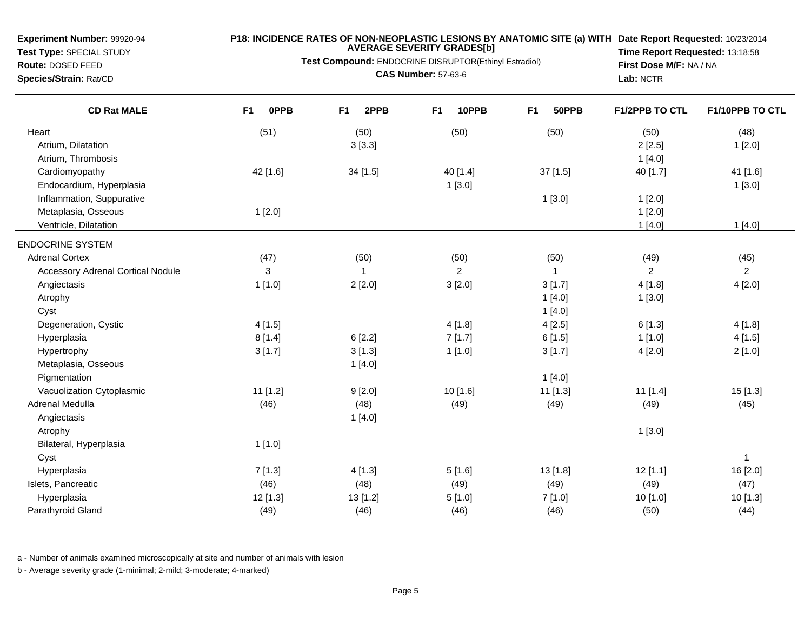**Test Type:** SPECIAL STUDY**Route:** DOSED FEED

## **P18: INCIDENCE RATES OF NON-NEOPLASTIC LESIONS BY ANATOMIC SITE (a) WITH AVERAGE SEVERITY GRADES[b] Date Report Requested:** 10/23/2014

**Test Compound:** ENDOCRINE DISRUPTOR(Ethinyl Estradiol)

**Species/Strain:** Rat/CD

**CAS Number:** 57-63-6

**Time Report Requested:** 13:18:58**First Dose M/F:** NA / NA**Lab:** NCTR

| <b>CD Rat MALE</b>                       | F <sub>1</sub><br><b>OPPB</b> | F <sub>1</sub><br>2PPB | 10PPB<br>F <sub>1</sub> | F <sub>1</sub><br>50PPB | <b>F1/2PPB TO CTL</b> | F1/10PPB TO CTL |
|------------------------------------------|-------------------------------|------------------------|-------------------------|-------------------------|-----------------------|-----------------|
| Heart                                    | (51)                          | (50)                   | (50)                    | (50)                    | (50)                  | (48)            |
| Atrium, Dilatation                       |                               | 3[3.3]                 |                         |                         | 2[2.5]                | 1[2.0]          |
| Atrium, Thrombosis                       |                               |                        |                         |                         | 1[4.0]                |                 |
| Cardiomyopathy                           | 42 [1.6]                      | 34 [1.5]               | 40 [1.4]                | 37 [1.5]                | 40 [1.7]              | 41 [1.6]        |
| Endocardium, Hyperplasia                 |                               |                        | 1[3.0]                  |                         |                       | 1[3.0]          |
| Inflammation, Suppurative                |                               |                        |                         | 1[3.0]                  | 1[2.0]                |                 |
| Metaplasia, Osseous                      | 1[2.0]                        |                        |                         |                         | 1[2.0]                |                 |
| Ventricle, Dilatation                    |                               |                        |                         |                         | 1[4.0]                | 1[4.0]          |
| <b>ENDOCRINE SYSTEM</b>                  |                               |                        |                         |                         |                       |                 |
| <b>Adrenal Cortex</b>                    | (47)                          | (50)                   | (50)                    | (50)                    | (49)                  | (45)            |
| <b>Accessory Adrenal Cortical Nodule</b> | 3                             | 1                      | $\overline{2}$          | 1                       | $\overline{2}$        | $\overline{2}$  |
| Angiectasis                              | 1[1.0]                        | 2[2.0]                 | 3[2.0]                  | 3[1.7]                  | 4[1.8]                | 4[2.0]          |
| Atrophy                                  |                               |                        |                         | 1[4.0]                  | 1[3.0]                |                 |
| Cyst                                     |                               |                        |                         | 1[4.0]                  |                       |                 |
| Degeneration, Cystic                     | 4[1.5]                        |                        | 4[1.8]                  | 4[2.5]                  | 6[1.3]                | 4[1.8]          |
| Hyperplasia                              | 8[1.4]                        | 6[2.2]                 | 7[1.7]                  | 6[1.5]                  | 1[1.0]                | 4[1.5]          |
| Hypertrophy                              | 3[1.7]                        | 3[1.3]                 | 1[1.0]                  | 3[1.7]                  | 4[2.0]                | 2[1.0]          |
| Metaplasia, Osseous                      |                               | 1[4.0]                 |                         |                         |                       |                 |
| Pigmentation                             |                               |                        |                         | 1[4.0]                  |                       |                 |
| Vacuolization Cytoplasmic                | $11$ [1.2]                    | 9[2.0]                 | 10 [1.6]                | 11 [1.3]                | $11$ [1.4]            | 15 [1.3]        |
| Adrenal Medulla                          | (46)                          | (48)                   | (49)                    | (49)                    | (49)                  | (45)            |
| Angiectasis                              |                               | 1[4.0]                 |                         |                         |                       |                 |
| Atrophy                                  |                               |                        |                         |                         | 1[3.0]                |                 |
| Bilateral, Hyperplasia                   | 1[1.0]                        |                        |                         |                         |                       |                 |
| Cyst                                     |                               |                        |                         |                         |                       | $\mathbf{1}$    |
| Hyperplasia                              | 7[1.3]                        | 4[1.3]                 | 5[1.6]                  | 13 [1.8]                | 12[1.1]               | 16 [2.0]        |
| Islets, Pancreatic                       | (46)                          | (48)                   | (49)                    | (49)                    | (49)                  | (47)            |
| Hyperplasia                              | 12 [1.3]                      | 13 [1.2]               | 5[1.0]                  | 7[1.0]                  | 10 [1.0]              | 10 [1.3]        |
| Parathyroid Gland                        | (49)                          | (46)                   | (46)                    | (46)                    | (50)                  | (44)            |

a - Number of animals examined microscopically at site and number of animals with lesion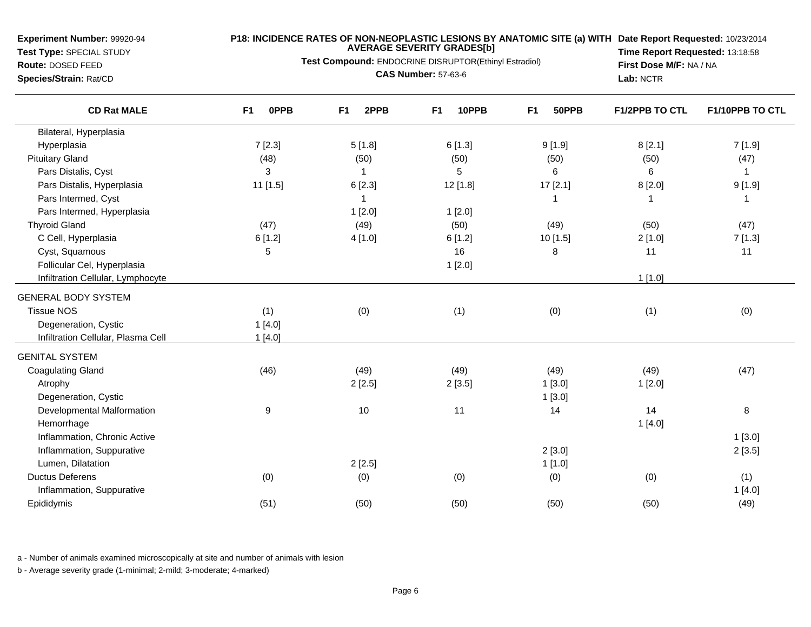**Test Type:** SPECIAL STUDY**Route:** DOSED FEED

**Species/Strain:** Rat/CD

#### **P18: INCIDENCE RATES OF NON-NEOPLASTIC LESIONS BY ANATOMIC SITE (a) WITH AVERAGE SEVERITY GRADES[b] Date Report Requested:** 10/23/2014

**Test Compound:** ENDOCRINE DISRUPTOR(Ethinyl Estradiol)

**CAS Number:** 57-63-6

**Time Report Requested:** 13:18:58**First Dose M/F:** NA / NA**Lab:** NCTR

| <b>CD Rat MALE</b>                 | <b>OPPB</b><br>F1 | 2PPB<br>F <sub>1</sub> | 10PPB<br>F <sub>1</sub> | F <sub>1</sub><br>50PPB | <b>F1/2PPB TO CTL</b> | F1/10PPB TO CTL |
|------------------------------------|-------------------|------------------------|-------------------------|-------------------------|-----------------------|-----------------|
| Bilateral, Hyperplasia             |                   |                        |                         |                         |                       |                 |
| Hyperplasia                        | 7[2.3]            | 5[1.8]                 | 6[1.3]                  | 9[1.9]                  | 8[2.1]                | 7[1.9]          |
| <b>Pituitary Gland</b>             | (48)              | (50)                   | (50)                    | (50)                    | (50)                  | (47)            |
| Pars Distalis, Cyst                | 3                 | -1                     | 5                       | 6                       | 6                     | -1              |
| Pars Distalis, Hyperplasia         | 11 [1.5]          | 6[2.3]                 | 12 [1.8]                | 17 [2.1]                | 8[2.0]                | 9[1.9]          |
| Pars Intermed, Cyst                |                   | -1                     |                         | -1                      |                       | 1               |
| Pars Intermed, Hyperplasia         |                   | 1[2.0]                 | 1[2.0]                  |                         |                       |                 |
| <b>Thyroid Gland</b>               | (47)              | (49)                   | (50)                    | (49)                    | (50)                  | (47)            |
| C Cell, Hyperplasia                | 6[1.2]            | 4[1.0]                 | 6[1.2]                  | 10 [1.5]                | 2[1.0]                | 7[1.3]          |
| Cyst, Squamous                     | 5                 |                        | 16                      | 8                       | 11                    | 11              |
| Follicular Cel, Hyperplasia        |                   |                        | 1[2.0]                  |                         |                       |                 |
| Infiltration Cellular, Lymphocyte  |                   |                        |                         |                         | 1[1.0]                |                 |
| <b>GENERAL BODY SYSTEM</b>         |                   |                        |                         |                         |                       |                 |
| <b>Tissue NOS</b>                  | (1)               | (0)                    | (1)                     | (0)                     | (1)                   | (0)             |
| Degeneration, Cystic               | 1[4.0]            |                        |                         |                         |                       |                 |
| Infiltration Cellular, Plasma Cell | 1[4.0]            |                        |                         |                         |                       |                 |
| <b>GENITAL SYSTEM</b>              |                   |                        |                         |                         |                       |                 |
| <b>Coagulating Gland</b>           | (46)              | (49)                   | (49)                    | (49)                    | (49)                  | (47)            |
| Atrophy                            |                   | 2[2.5]                 | 2[3.5]                  | 1[3.0]                  | 1[2.0]                |                 |
| Degeneration, Cystic               |                   |                        |                         | 1[3.0]                  |                       |                 |
| Developmental Malformation         | 9                 | 10                     | 11                      | 14                      | 14                    | $\bf 8$         |
| Hemorrhage                         |                   |                        |                         |                         | 1[4.0]                |                 |
| Inflammation, Chronic Active       |                   |                        |                         |                         |                       | 1[3.0]          |
| Inflammation, Suppurative          |                   |                        |                         | 2[3.0]                  |                       | 2[3.5]          |
| Lumen, Dilatation                  |                   | 2[2.5]                 |                         | 1[1.0]                  |                       |                 |
| <b>Ductus Deferens</b>             | (0)               | (0)                    | (0)                     | (0)                     | (0)                   | (1)             |
| Inflammation, Suppurative          |                   |                        |                         |                         |                       | 1[4.0]          |
| Epididymis                         | (51)              | (50)                   | (50)                    | (50)                    | (50)                  | (49)            |

a - Number of animals examined microscopically at site and number of animals with lesion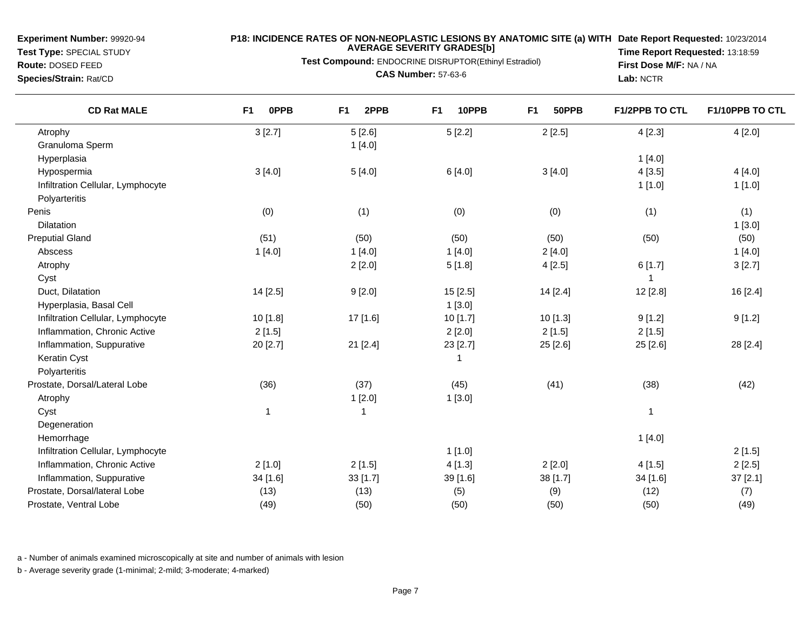**Test Type:** SPECIAL STUDY**Route:** DOSED FEED

#### **P18: INCIDENCE RATES OF NON-NEOPLASTIC LESIONS BY ANATOMIC SITE (a) WITH AVERAGE SEVERITY GRADES[b] Date Report Requested:** 10/23/2014

**Test Compound:** ENDOCRINE DISRUPTOR(Ethinyl Estradiol)

**Species/Strain:** Rat/CD

 $\overline{\phantom{a}}$ 

**CAS Number:** 57-63-6

**Time Report Requested:** 13:18:59**First Dose M/F:** NA / NA**Lab:** NCTR

| <b>CD Rat MALE</b>                | F <sub>1</sub><br><b>OPPB</b> | 2PPB<br>F <sub>1</sub> | 10PPB<br>F <sub>1</sub> | 50PPB<br>F <sub>1</sub> | <b>F1/2PPB TO CTL</b> | F1/10PPB TO CTL |
|-----------------------------------|-------------------------------|------------------------|-------------------------|-------------------------|-----------------------|-----------------|
| Atrophy                           | 3[2.7]                        | 5[2.6]                 | 5[2.2]                  | 2[2.5]                  | 4[2.3]                | 4[2.0]          |
| Granuloma Sperm                   |                               | 1[4.0]                 |                         |                         |                       |                 |
| Hyperplasia                       |                               |                        |                         |                         | 1[4.0]                |                 |
| Hypospermia                       | 3[4.0]                        | 5[4.0]                 | 6 [4.0]                 | 3[4.0]                  | 4[3.5]                | 4[4.0]          |
| Infiltration Cellular, Lymphocyte |                               |                        |                         |                         | 1[1.0]                | 1[1.0]          |
| Polyarteritis                     |                               |                        |                         |                         |                       |                 |
| Penis                             | (0)                           | (1)                    | (0)                     | (0)                     | (1)                   | (1)             |
| Dilatation                        |                               |                        |                         |                         |                       | 1[3.0]          |
| <b>Preputial Gland</b>            | (51)                          | (50)                   | (50)                    | (50)                    | (50)                  | (50)            |
| Abscess                           | 1[4.0]                        | 1[4.0]                 | 1[4.0]                  | 2[4.0]                  |                       | 1[4.0]          |
| Atrophy                           |                               | 2[2.0]                 | 5[1.8]                  | 4[2.5]                  | 6[1.7]                | 3[2.7]          |
| Cyst                              |                               |                        |                         |                         | 1                     |                 |
| Duct, Dilatation                  | 14 [2.5]                      | 9[2.0]                 | 15 [2.5]                | 14 [2.4]                | 12 [2.8]              | 16 [2.4]        |
| Hyperplasia, Basal Cell           |                               |                        | 1[3.0]                  |                         |                       |                 |
| Infiltration Cellular, Lymphocyte | 10[1.8]                       | 17 [1.6]               | 10 [1.7]                | 10 [1.3]                | 9[1.2]                | 9[1.2]          |
| Inflammation, Chronic Active      | 2[1.5]                        |                        | 2[2.0]                  | 2[1.5]                  | 2[1.5]                |                 |
| Inflammation, Suppurative         | 20 [2.7]                      | 21 [2.4]               | 23 [2.7]                | 25 [2.6]                | 25 [2.6]              | 28 [2.4]        |
| Keratin Cyst                      |                               |                        | 1                       |                         |                       |                 |
| Polyarteritis                     |                               |                        |                         |                         |                       |                 |
| Prostate, Dorsal/Lateral Lobe     | (36)                          | (37)                   | (45)                    | (41)                    | (38)                  | (42)            |
| Atrophy                           |                               | 1[2.0]                 | 1[3.0]                  |                         |                       |                 |
| Cyst                              | $\mathbf{1}$                  |                        |                         |                         | 1                     |                 |
| Degeneration                      |                               |                        |                         |                         |                       |                 |
| Hemorrhage                        |                               |                        |                         |                         | 1[4.0]                |                 |
| Infiltration Cellular, Lymphocyte |                               |                        | 1[1.0]                  |                         |                       | 2[1.5]          |
| Inflammation, Chronic Active      | 2[1.0]                        | 2[1.5]                 | 4[1.3]                  | 2[2.0]                  | 4[1.5]                | 2[2.5]          |
| Inflammation, Suppurative         | 34 [1.6]                      | 33 [1.7]               | 39 [1.6]                | 38 [1.7]                | 34 [1.6]              | 37 [2.1]        |
| Prostate, Dorsal/lateral Lobe     | (13)                          | (13)                   | (5)                     | (9)                     | (12)                  | (7)             |
| Prostate, Ventral Lobe            | (49)                          | (50)                   | (50)                    | (50)                    | (50)                  | (49)            |

a - Number of animals examined microscopically at site and number of animals with lesion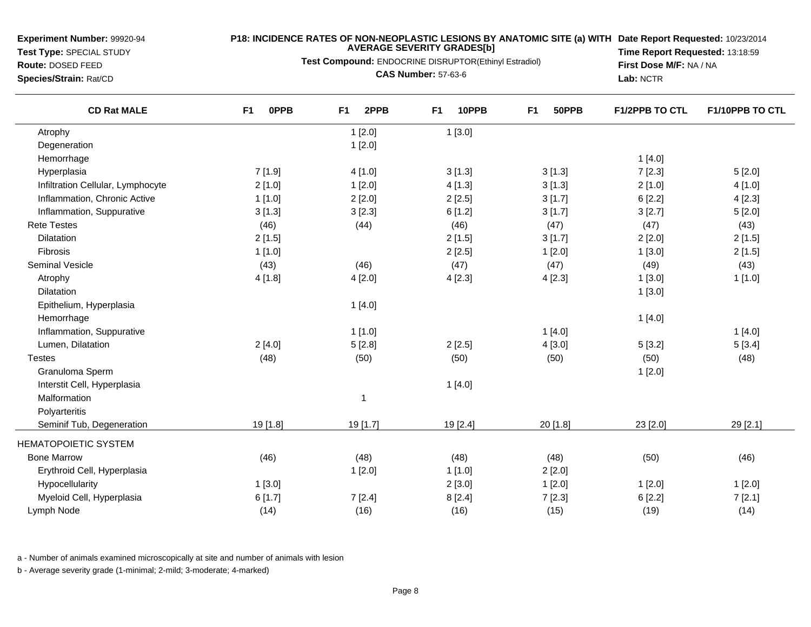**Test Type:** SPECIAL STUDY

## **Route:** DOSED FEED

**Species/Strain:** Rat/CD

#### **P18: INCIDENCE RATES OF NON-NEOPLASTIC LESIONS BY ANATOMIC SITE (a) WITH AVERAGE SEVERITY GRADES[b] Date Report Requested:** 10/23/2014

**Test Compound:** ENDOCRINE DISRUPTOR(Ethinyl Estradiol)

**CAS Number:** 57-63-6

**Time Report Requested:** 13:18:59**First Dose M/F:** NA / NA**Lab:** NCTR

| <b>CD Rat MALE</b>                | <b>OPPB</b><br>F <sub>1</sub> | 2PPB<br>F <sub>1</sub> | F <sub>1</sub><br>10PPB | F <sub>1</sub><br>50PPB | F1/2PPB TO CTL | F1/10PPB TO CTL |
|-----------------------------------|-------------------------------|------------------------|-------------------------|-------------------------|----------------|-----------------|
| Atrophy                           |                               | 1[2.0]                 | 1[3.0]                  |                         |                |                 |
| Degeneration                      |                               | 1[2.0]                 |                         |                         |                |                 |
| Hemorrhage                        |                               |                        |                         |                         | 1[4.0]         |                 |
| Hyperplasia                       | 7[1.9]                        | 4[1.0]                 | 3[1.3]                  | 3[1.3]                  | 7[2.3]         | 5[2.0]          |
| Infiltration Cellular, Lymphocyte | 2[1.0]                        | 1[2.0]                 | 4[1.3]                  | 3[1.3]                  | 2[1.0]         | 4[1.0]          |
| Inflammation, Chronic Active      | 1[1.0]                        | 2[2.0]                 | 2[2.5]                  | 3[1.7]                  | 6[2.2]         | 4[2.3]          |
| Inflammation, Suppurative         | 3[1.3]                        | 3[2.3]                 | 6[1.2]                  | 3[1.7]                  | 3[2.7]         | 5[2.0]          |
| <b>Rete Testes</b>                | (46)                          | (44)                   | (46)                    | (47)                    | (47)           | (43)            |
| <b>Dilatation</b>                 | 2[1.5]                        |                        | 2[1.5]                  | 3[1.7]                  | 2[2.0]         | 2[1.5]          |
| Fibrosis                          | 1[1.0]                        |                        | 2[2.5]                  | 1[2.0]                  | 1[3.0]         | 2[1.5]          |
| <b>Seminal Vesicle</b>            | (43)                          | (46)                   | (47)                    | (47)                    | (49)           | (43)            |
| Atrophy                           | 4[1.8]                        | 4[2.0]                 | 4[2.3]                  | 4[2.3]                  | 1[3.0]         | 1[1.0]          |
| Dilatation                        |                               |                        |                         |                         | 1[3.0]         |                 |
| Epithelium, Hyperplasia           |                               | 1[4.0]                 |                         |                         |                |                 |
| Hemorrhage                        |                               |                        |                         |                         | 1[4.0]         |                 |
| Inflammation, Suppurative         |                               | 1[1.0]                 |                         | 1[4.0]                  |                | 1[4.0]          |
| Lumen, Dilatation                 | 2[4.0]                        | 5[2.8]                 | 2[2.5]                  | 4[3.0]                  | 5[3.2]         | 5[3.4]          |
| <b>Testes</b>                     | (48)                          | (50)                   | (50)                    | (50)                    | (50)           | (48)            |
| Granuloma Sperm                   |                               |                        |                         |                         | 1[2.0]         |                 |
| Interstit Cell, Hyperplasia       |                               |                        | 1[4.0]                  |                         |                |                 |
| Malformation                      |                               | $\overline{1}$         |                         |                         |                |                 |
| Polyarteritis                     |                               |                        |                         |                         |                |                 |
| Seminif Tub, Degeneration         | 19 [1.8]                      | 19 [1.7]               | 19 [2.4]                | 20 [1.8]                | 23 [2.0]       | 29 [2.1]        |
| <b>HEMATOPOIETIC SYSTEM</b>       |                               |                        |                         |                         |                |                 |
| <b>Bone Marrow</b>                | (46)                          | (48)                   | (48)                    | (48)                    | (50)           | (46)            |
| Erythroid Cell, Hyperplasia       |                               | 1[2.0]                 | 1[1.0]                  | 2[2.0]                  |                |                 |
| Hypocellularity                   | 1[3.0]                        |                        | 2[3.0]                  | 1[2.0]                  | 1[2.0]         | 1[2.0]          |
| Myeloid Cell, Hyperplasia         | 6[1.7]                        | 7[2.4]                 | 8[2.4]                  | 7[2.3]                  | 6[2.2]         | 7[2.1]          |
| Lymph Node                        | (14)                          | (16)                   | (16)                    | (15)                    | (19)           | (14)            |
|                                   |                               |                        |                         |                         |                |                 |

a - Number of animals examined microscopically at site and number of animals with lesion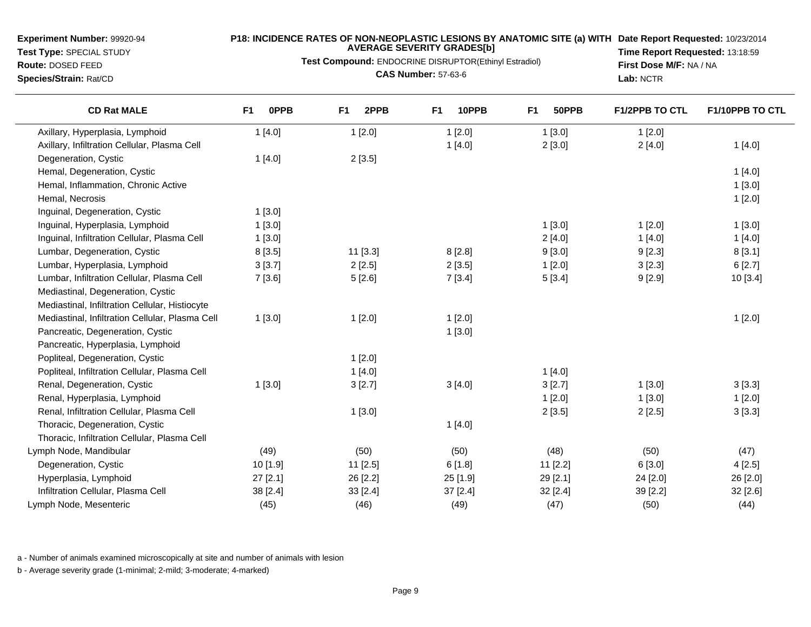**Test Type:** SPECIAL STUDY

**Route:** DOSED FEED**Species/Strain:** Rat/CD

 $\overline{\phantom{0}}$ 

#### **P18: INCIDENCE RATES OF NON-NEOPLASTIC LESIONS BY ANATOMIC SITE (a) WITH AVERAGE SEVERITY GRADES[b] Date Report Requested:** 10/23/2014 **Time Report Requested:** 13:18:59

**Test Compound:** ENDOCRINE DISRUPTOR(Ethinyl Estradiol)**CAS Number:** 57-63-6

**First Dose M/F:** NA / NA**Lab:** NCTR

| <b>CD Rat MALE</b>                              | <b>OPPB</b><br>F <sub>1</sub> | 2PPB<br>F <sub>1</sub> | 10PPB<br>F <sub>1</sub> | F <sub>1</sub><br>50PPB | <b>F1/2PPB TO CTL</b> | F1/10PPB TO CTL |
|-------------------------------------------------|-------------------------------|------------------------|-------------------------|-------------------------|-----------------------|-----------------|
| Axillary, Hyperplasia, Lymphoid                 | 1[4.0]                        | 1[2.0]                 | 1[2.0]                  | 1[3.0]                  | 1[2.0]                |                 |
| Axillary, Infiltration Cellular, Plasma Cell    |                               |                        | 1[4.0]                  | 2[3.0]                  | 2[4.0]                | 1[4.0]          |
| Degeneration, Cystic                            | 1[4.0]                        | 2[3.5]                 |                         |                         |                       |                 |
| Hemal, Degeneration, Cystic                     |                               |                        |                         |                         |                       | 1[4.0]          |
| Hemal, Inflammation, Chronic Active             |                               |                        |                         |                         |                       | 1[3.0]          |
| Hemal, Necrosis                                 |                               |                        |                         |                         |                       | 1[2.0]          |
| Inguinal, Degeneration, Cystic                  | 1[3.0]                        |                        |                         |                         |                       |                 |
| Inguinal, Hyperplasia, Lymphoid                 | 1[3.0]                        |                        |                         | 1[3.0]                  | 1[2.0]                | 1[3.0]          |
| Inguinal, Infiltration Cellular, Plasma Cell    | 1[3.0]                        |                        |                         | 2[4.0]                  | 1[4.0]                | 1[4.0]          |
| Lumbar, Degeneration, Cystic                    | 8[3.5]                        | 11 [3.3]               | 8[2.8]                  | 9[3.0]                  | 9[2.3]                | 8[3.1]          |
| Lumbar, Hyperplasia, Lymphoid                   | 3[3.7]                        | 2[2.5]                 | 2[3.5]                  | 1[2.0]                  | 3[2.3]                | 6[2.7]          |
| Lumbar, Infiltration Cellular, Plasma Cell      | 7[3.6]                        | 5[2.6]                 | 7[3.4]                  | 5[3.4]                  | 9[2.9]                | 10 [3.4]        |
| Mediastinal, Degeneration, Cystic               |                               |                        |                         |                         |                       |                 |
| Mediastinal, Infiltration Cellular, Histiocyte  |                               |                        |                         |                         |                       |                 |
| Mediastinal, Infiltration Cellular, Plasma Cell | 1[3.0]                        | 1[2.0]                 | 1[2.0]                  |                         |                       | 1[2.0]          |
| Pancreatic, Degeneration, Cystic                |                               |                        | 1[3.0]                  |                         |                       |                 |
| Pancreatic, Hyperplasia, Lymphoid               |                               |                        |                         |                         |                       |                 |
| Popliteal, Degeneration, Cystic                 |                               | 1[2.0]                 |                         |                         |                       |                 |
| Popliteal, Infiltration Cellular, Plasma Cell   |                               | 1[4.0]                 |                         | 1[4.0]                  |                       |                 |
| Renal, Degeneration, Cystic                     | 1[3.0]                        | 3[2.7]                 | 3[4.0]                  | 3[2.7]                  | 1[3.0]                | 3[3.3]          |
| Renal, Hyperplasia, Lymphoid                    |                               |                        |                         | 1[2.0]                  | 1[3.0]                | 1[2.0]          |
| Renal, Infiltration Cellular, Plasma Cell       |                               | 1[3.0]                 |                         | 2[3.5]                  | 2[2.5]                | 3[3.3]          |
| Thoracic, Degeneration, Cystic                  |                               |                        | 1[4.0]                  |                         |                       |                 |
| Thoracic, Infiltration Cellular, Plasma Cell    |                               |                        |                         |                         |                       |                 |
| Lymph Node, Mandibular                          | (49)                          | (50)                   | (50)                    | (48)                    | (50)                  | (47)            |
| Degeneration, Cystic                            | 10 [1.9]                      | 11 [2.5]               | 6[1.8]                  | $11$ [2.2]              | 6[3.0]                | 4[2.5]          |
| Hyperplasia, Lymphoid                           | $27$ [2.1]                    | 26 [2.2]               | 25 [1.9]                | 29 [2.1]                | 24 [2.0]              | 26 [2.0]        |
| Infiltration Cellular, Plasma Cell              | 38 [2.4]                      | 33 [2.4]               | 37 [2.4]                | 32 [2.4]                | 39 [2.2]              | 32 [2.6]        |
| Lymph Node, Mesenteric                          | (45)                          | (46)                   | (49)                    | (47)                    | (50)                  | (44)            |

a - Number of animals examined microscopically at site and number of animals with lesion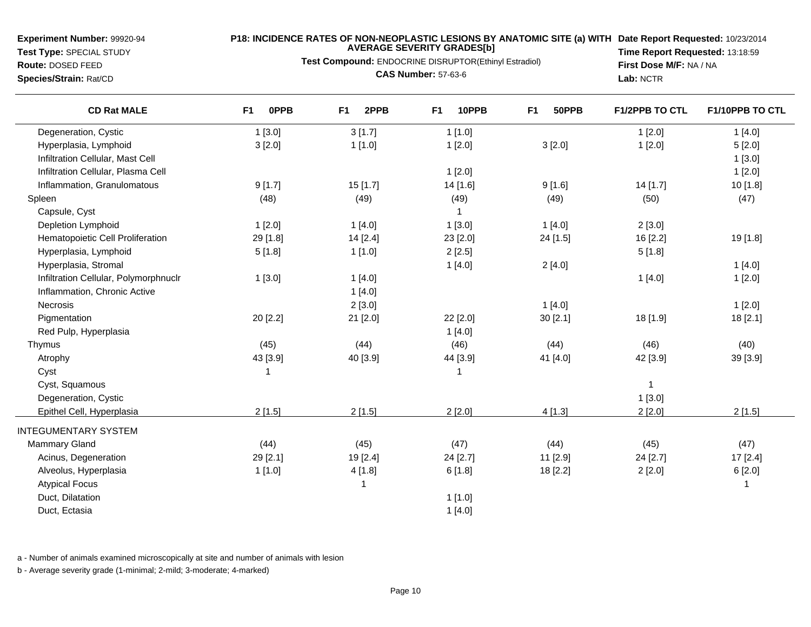**Test Type:** SPECIAL STUDY**Route:** DOSED FEED

## **P18: INCIDENCE RATES OF NON-NEOPLASTIC LESIONS BY ANATOMIC SITE (a) WITH AVERAGE SEVERITY GRADES[b] Date Report Requested:** 10/23/2014

**Test Compound:** ENDOCRINE DISRUPTOR(Ethinyl Estradiol)

**Species/Strain:** Rat/CD

**CAS Number:** 57-63-6

**Time Report Requested:** 13:18:59**First Dose M/F:** NA / NA**Lab:** NCTR

| <b>CD Rat MALE</b>                    | F <sub>1</sub><br><b>OPPB</b> | F <sub>1</sub><br>2PPB | F <sub>1</sub><br>10PPB | F <sub>1</sub><br>50PPB | <b>F1/2PPB TO CTL</b> | F1/10PPB TO CTL |
|---------------------------------------|-------------------------------|------------------------|-------------------------|-------------------------|-----------------------|-----------------|
| Degeneration, Cystic                  | 1[3.0]                        | 3[1.7]                 | 1[1.0]                  |                         | 1[2.0]                | 1[4.0]          |
| Hyperplasia, Lymphoid                 | 3[2.0]                        | 1[1.0]                 | 1[2.0]                  | 3[2.0]                  | 1[2.0]                | 5[2.0]          |
| Infiltration Cellular, Mast Cell      |                               |                        |                         |                         |                       | 1[3.0]          |
| Infiltration Cellular, Plasma Cell    |                               |                        | 1[2.0]                  |                         |                       | 1[2.0]          |
| Inflammation, Granulomatous           | 9[1.7]                        | 15 [1.7]               | 14 [1.6]                | 9[1.6]                  | 14 [1.7]              | 10[1.8]         |
| Spleen                                | (48)                          | (49)                   | (49)                    | (49)                    | (50)                  | (47)            |
| Capsule, Cyst                         |                               |                        |                         |                         |                       |                 |
| Depletion Lymphoid                    | 1[2.0]                        | 1[4.0]                 | 1[3.0]                  | 1[4.0]                  | 2[3.0]                |                 |
| Hematopoietic Cell Proliferation      | 29 [1.8]                      | 14 [2.4]               | 23 [2.0]                | 24 [1.5]                | 16 [2.2]              | 19 [1.8]        |
| Hyperplasia, Lymphoid                 | 5[1.8]                        | 1[1.0]                 | 2[2.5]                  |                         | 5[1.8]                |                 |
| Hyperplasia, Stromal                  |                               |                        | 1[4.0]                  | 2[4.0]                  |                       | 1[4.0]          |
| Infiltration Cellular, Polymorphnuclr | 1[3.0]                        | 1[4.0]                 |                         |                         | 1[4.0]                | 1[2.0]          |
| Inflammation, Chronic Active          |                               | 1[4.0]                 |                         |                         |                       |                 |
| Necrosis                              |                               | 2[3.0]                 |                         | 1[4.0]                  |                       | 1[2.0]          |
| Pigmentation                          | 20 [2.2]                      | 21 [2.0]               | 22 [2.0]                | 30 [2.1]                | 18 [1.9]              | 18 [2.1]        |
| Red Pulp, Hyperplasia                 |                               |                        | 1[4.0]                  |                         |                       |                 |
| Thymus                                | (45)                          | (44)                   | (46)                    | (44)                    | (46)                  | (40)            |
| Atrophy                               | 43 [3.9]                      | 40 [3.9]               | 44 [3.9]                | 41 [4.0]                | 42 [3.9]              | 39 [3.9]        |
| Cyst                                  | -1                            |                        | 1                       |                         |                       |                 |
| Cyst, Squamous                        |                               |                        |                         |                         | $\mathbf{1}$          |                 |
| Degeneration, Cystic                  |                               |                        |                         |                         | 1[3.0]                |                 |
| Epithel Cell, Hyperplasia             | 2[1.5]                        | 2[1.5]                 | 2[2.0]                  | 4[1.3]                  | 2[2.0]                | 2[1.5]          |
| <b>INTEGUMENTARY SYSTEM</b>           |                               |                        |                         |                         |                       |                 |
| <b>Mammary Gland</b>                  | (44)                          | (45)                   | (47)                    | (44)                    | (45)                  | (47)            |
| Acinus, Degeneration                  | 29 [2.1]                      | 19 [2.4]               | 24 [2.7]                | 11 [2.9]                | 24 [2.7]              | 17 [2.4]        |
| Alveolus, Hyperplasia                 | 1[1.0]                        | 4[1.8]                 | 6[1.8]                  | 18 [2.2]                | 2[2.0]                | 6[2.0]          |
| <b>Atypical Focus</b>                 |                               | -1                     |                         |                         |                       | -1              |
| Duct, Dilatation                      |                               |                        | 1[1.0]                  |                         |                       |                 |
| Duct, Ectasia                         |                               |                        | 1[4.0]                  |                         |                       |                 |
|                                       |                               |                        |                         |                         |                       |                 |

a - Number of animals examined microscopically at site and number of animals with lesion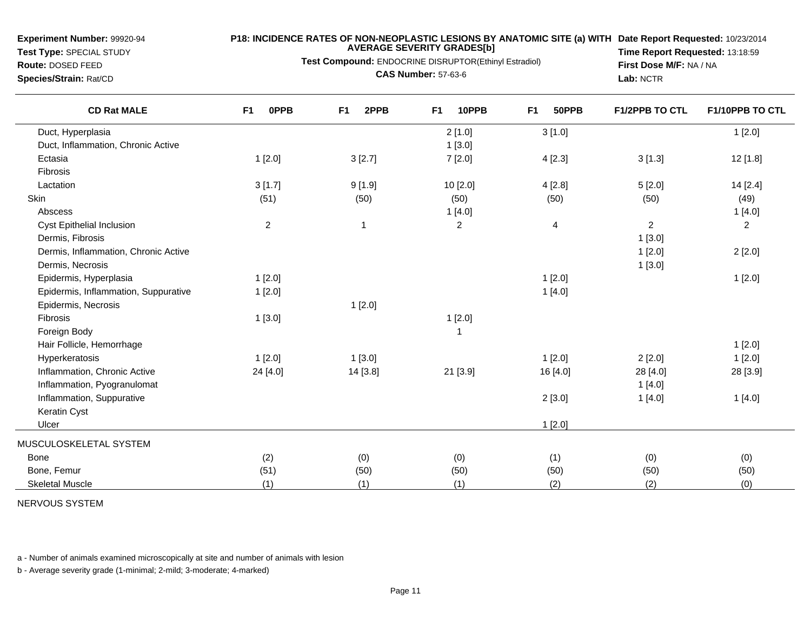**Test Type:** SPECIAL STUDY**Route:** DOSED FEED

#### **P18: INCIDENCE RATES OF NON-NEOPLASTIC LESIONS BY ANATOMIC SITE (a) WITH AVERAGE SEVERITY GRADES[b] Date Report Requested:** 10/23/2014

**Test Compound:** ENDOCRINE DISRUPTOR(Ethinyl Estradiol)

**Species/Strain:** Rat/CD

**CAS Number:** 57-63-6

**Time Report Requested:** 13:18:59**First Dose M/F:** NA / NA**Lab:** NCTR

| <b>CD Rat MALE</b>                   | F <sub>1</sub><br><b>OPPB</b> | 2PPB<br>F <sub>1</sub> | 10PPB<br>F <sub>1</sub> | 50PPB<br>F <sub>1</sub> | <b>F1/2PPB TO CTL</b> | F1/10PPB TO CTL |
|--------------------------------------|-------------------------------|------------------------|-------------------------|-------------------------|-----------------------|-----------------|
| Duct, Hyperplasia                    |                               |                        | 2[1.0]                  | 3[1.0]                  |                       | 1[2.0]          |
| Duct, Inflammation, Chronic Active   |                               |                        | 1[3.0]                  |                         |                       |                 |
| Ectasia                              | 1[2.0]                        | 3[2.7]                 | 7[2.0]                  | 4[2.3]                  | 3[1.3]                | 12 [1.8]        |
| Fibrosis                             |                               |                        |                         |                         |                       |                 |
| Lactation                            | 3[1.7]                        | 9[1.9]                 | 10 [2.0]                | 4[2.8]                  | 5[2.0]                | 14 [2.4]        |
| Skin                                 | (51)                          | (50)                   | (50)                    | (50)                    | (50)                  | (49)            |
| Abscess                              |                               |                        | 1[4.0]                  |                         |                       | 1[4.0]          |
| Cyst Epithelial Inclusion            | $\overline{c}$                | $\overline{1}$         | $\overline{c}$          | $\overline{4}$          | $\overline{2}$        | $\overline{c}$  |
| Dermis, Fibrosis                     |                               |                        |                         |                         | 1[3.0]                |                 |
| Dermis, Inflammation, Chronic Active |                               |                        |                         |                         | 1[2.0]                | 2[2.0]          |
| Dermis, Necrosis                     |                               |                        |                         |                         | 1[3.0]                |                 |
| Epidermis, Hyperplasia               | 1[2.0]                        |                        |                         | 1[2.0]                  |                       | 1[2.0]          |
| Epidermis, Inflammation, Suppurative | 1[2.0]                        |                        |                         | 1[4.0]                  |                       |                 |
| Epidermis, Necrosis                  |                               | 1[2.0]                 |                         |                         |                       |                 |
| Fibrosis                             | 1[3.0]                        |                        | 1[2.0]                  |                         |                       |                 |
| Foreign Body                         |                               |                        | $\mathbf 1$             |                         |                       |                 |
| Hair Follicle, Hemorrhage            |                               |                        |                         |                         |                       | 1[2.0]          |
| Hyperkeratosis                       | 1[2.0]                        | 1[3.0]                 |                         | 1[2.0]                  | 2[2.0]                | 1[2.0]          |
| Inflammation, Chronic Active         | 24 [4.0]                      | 14 [3.8]               | 21 [3.9]                | 16 [4.0]                | 28 [4.0]              | 28 [3.9]        |
| Inflammation, Pyogranulomat          |                               |                        |                         |                         | 1[4.0]                |                 |
| Inflammation, Suppurative            |                               |                        |                         | 2[3.0]                  | 1[4.0]                | 1[4.0]          |
| Keratin Cyst                         |                               |                        |                         |                         |                       |                 |
| Ulcer                                |                               |                        |                         | 1[2.0]                  |                       |                 |
| MUSCULOSKELETAL SYSTEM               |                               |                        |                         |                         |                       |                 |
| <b>Bone</b>                          | (2)                           | (0)                    | (0)                     | (1)                     | (0)                   | (0)             |
| Bone, Femur                          | (51)                          | (50)                   | (50)                    | (50)                    | (50)                  | (50)            |
| <b>Skeletal Muscle</b>               | (1)                           | (1)                    | (1)                     | (2)                     | (2)                   | (0)             |

#### NERVOUS SYSTEM

a - Number of animals examined microscopically at site and number of animals with lesion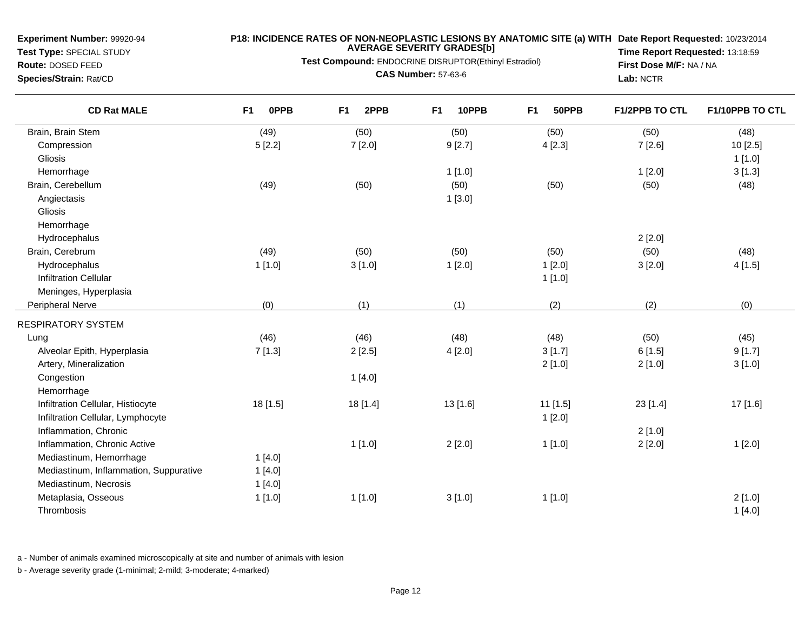**Test Type:** SPECIAL STUDY**Route:** DOSED FEED

## **P18: INCIDENCE RATES OF NON-NEOPLASTIC LESIONS BY ANATOMIC SITE (a) WITH AVERAGE SEVERITY GRADES[b] Date Report Requested:** 10/23/2014

# **Test Compound:** ENDOCRINE DISRUPTOR(Ethinyl Estradiol)

**Species/Strain:** Rat/CD

**CAS Number:** 57-63-6

**Time Report Requested:** 13:18:59**First Dose M/F:** NA / NA**Lab:** NCTR

| <b>CD Rat MALE</b>                     | F <sub>1</sub><br><b>OPPB</b> | F <sub>1</sub><br>2PPB | F <sub>1</sub><br>10PPB | F <sub>1</sub><br>50PPB | <b>F1/2PPB TO CTL</b> | F1/10PPB TO CTL |
|----------------------------------------|-------------------------------|------------------------|-------------------------|-------------------------|-----------------------|-----------------|
| Brain, Brain Stem                      | (49)                          | (50)                   | (50)                    | (50)                    | (50)                  | (48)            |
| Compression                            | 5[2.2]                        | 7[2.0]                 | 9[2.7]                  | 4[2.3]                  | 7[2.6]                | 10 [2.5]        |
| Gliosis                                |                               |                        |                         |                         |                       | 1[1.0]          |
| Hemorrhage                             |                               |                        | 1[1.0]                  |                         | 1[2.0]                | 3[1.3]          |
| Brain, Cerebellum                      | (49)                          | (50)                   | (50)                    | (50)                    | (50)                  | (48)            |
| Angiectasis                            |                               |                        | 1[3.0]                  |                         |                       |                 |
| Gliosis                                |                               |                        |                         |                         |                       |                 |
| Hemorrhage                             |                               |                        |                         |                         |                       |                 |
| Hydrocephalus                          |                               |                        |                         |                         | 2[2.0]                |                 |
| Brain, Cerebrum                        | (49)                          | (50)                   | (50)                    | (50)                    | (50)                  | (48)            |
| Hydrocephalus                          | 1[1.0]                        | 3[1.0]                 | 1[2.0]                  | 1[2.0]                  | 3[2.0]                | 4[1.5]          |
| <b>Infiltration Cellular</b>           |                               |                        |                         | 1[1.0]                  |                       |                 |
| Meninges, Hyperplasia                  |                               |                        |                         |                         |                       |                 |
| Peripheral Nerve                       | (0)                           | (1)                    | (1)                     | (2)                     | (2)                   | (0)             |
| RESPIRATORY SYSTEM                     |                               |                        |                         |                         |                       |                 |
| Lung                                   | (46)                          | (46)                   | (48)                    | (48)                    | (50)                  | (45)            |
| Alveolar Epith, Hyperplasia            | 7[1.3]                        | 2[2.5]                 | 4[2.0]                  | 3[1.7]                  | 6[1.5]                | 9[1.7]          |
| Artery, Mineralization                 |                               |                        |                         | 2[1.0]                  | 2[1.0]                | 3[1.0]          |
| Congestion                             |                               | 1[4.0]                 |                         |                         |                       |                 |
| Hemorrhage                             |                               |                        |                         |                         |                       |                 |
| Infiltration Cellular, Histiocyte      | 18 [1.5]                      | 18 [1.4]               | 13 [1.6]                | $11$ [1.5]              | 23 [1.4]              | 17 [1.6]        |
| Infiltration Cellular, Lymphocyte      |                               |                        |                         | 1[2.0]                  |                       |                 |
| Inflammation, Chronic                  |                               |                        |                         |                         | 2[1.0]                |                 |
| Inflammation, Chronic Active           |                               | 1[1.0]                 | 2[2.0]                  | 1[1.0]                  | 2[2.0]                | 1[2.0]          |
| Mediastinum, Hemorrhage                | 1[4.0]                        |                        |                         |                         |                       |                 |
| Mediastinum, Inflammation, Suppurative | 1[4.0]                        |                        |                         |                         |                       |                 |
| Mediastinum, Necrosis                  | 1[4.0]                        |                        |                         |                         |                       |                 |
| Metaplasia, Osseous                    | 1[1.0]                        | 1[1.0]                 | 3[1.0]                  | 1[1.0]                  |                       | 2[1.0]          |
| Thrombosis                             |                               |                        |                         |                         |                       | 1[4.0]          |

a - Number of animals examined microscopically at site and number of animals with lesion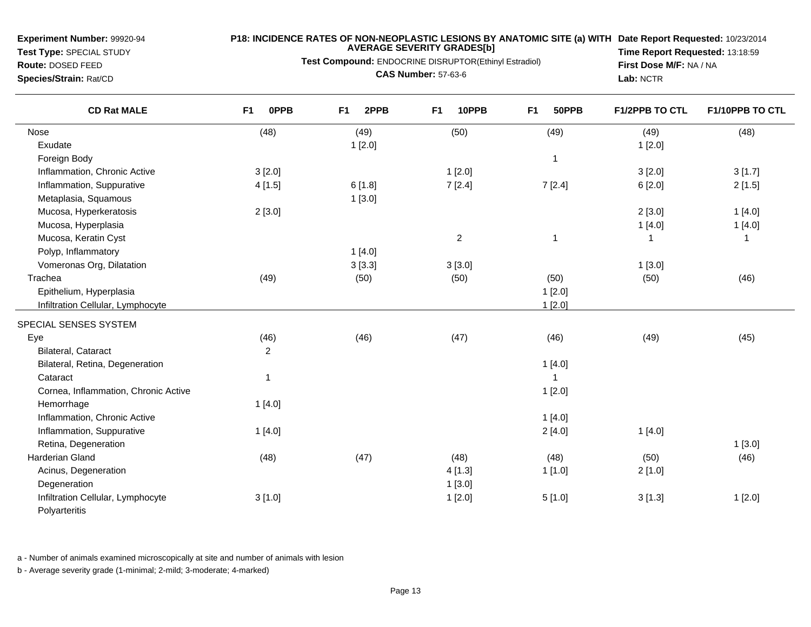**Test Type:** SPECIAL STUDY**Route:** DOSED FEED

**Species/Strain:** Rat/CD

#### **P18: INCIDENCE RATES OF NON-NEOPLASTIC LESIONS BY ANATOMIC SITE (a) WITH AVERAGE SEVERITY GRADES[b] Date Report Requested:** 10/23/2014

**Test Compound:** ENDOCRINE DISRUPTOR(Ethinyl Estradiol)

**CAS Number:** 57-63-6

**Time Report Requested:** 13:18:59**First Dose M/F:** NA / NA**Lab:** NCTR

| <b>CD Rat MALE</b>                   | 0PPB<br>F <sub>1</sub> | 2PPB<br>F <sub>1</sub> | 10PPB<br>F <sub>1</sub> | F <sub>1</sub><br>50PPB | F1/2PPB TO CTL | F1/10PPB TO CTL |
|--------------------------------------|------------------------|------------------------|-------------------------|-------------------------|----------------|-----------------|
| Nose                                 | (48)                   | (49)                   | (50)                    | (49)                    | (49)           | (48)            |
| Exudate                              |                        | 1[2.0]                 |                         |                         | 1[2.0]         |                 |
| Foreign Body                         |                        |                        |                         | $\overline{1}$          |                |                 |
| Inflammation, Chronic Active         | 3[2.0]                 |                        | 1[2.0]                  |                         | 3[2.0]         | 3[1.7]          |
| Inflammation, Suppurative            | 4[1.5]                 | 6[1.8]                 | 7[2.4]                  | 7[2.4]                  | 6[2.0]         | 2[1.5]          |
| Metaplasia, Squamous                 |                        | 1[3.0]                 |                         |                         |                |                 |
| Mucosa, Hyperkeratosis               | 2[3.0]                 |                        |                         |                         | 2[3.0]         | 1[4.0]          |
| Mucosa, Hyperplasia                  |                        |                        |                         |                         | 1[4.0]         | 1[4.0]          |
| Mucosa, Keratin Cyst                 |                        |                        | $\overline{c}$          | $\overline{1}$          |                | $\mathbf 1$     |
| Polyp, Inflammatory                  |                        | 1[4.0]                 |                         |                         |                |                 |
| Vomeronas Org, Dilatation            |                        | 3[3.3]                 | 3[3.0]                  |                         | 1[3.0]         |                 |
| Trachea                              | (49)                   | (50)                   | (50)                    | (50)                    | (50)           | (46)            |
| Epithelium, Hyperplasia              |                        |                        |                         | 1[2.0]                  |                |                 |
| Infiltration Cellular, Lymphocyte    |                        |                        |                         | 1[2.0]                  |                |                 |
| SPECIAL SENSES SYSTEM                |                        |                        |                         |                         |                |                 |
| Eye                                  | (46)                   | (46)                   | (47)                    | (46)                    | (49)           | (45)            |
| Bilateral, Cataract                  | $\overline{c}$         |                        |                         |                         |                |                 |
| Bilateral, Retina, Degeneration      |                        |                        |                         | 1[4.0]                  |                |                 |
| Cataract                             | $\mathbf 1$            |                        |                         |                         |                |                 |
| Cornea, Inflammation, Chronic Active |                        |                        |                         | 1[2.0]                  |                |                 |
| Hemorrhage                           | 1[4.0]                 |                        |                         |                         |                |                 |
| Inflammation, Chronic Active         |                        |                        |                         | 1[4.0]                  |                |                 |
| Inflammation, Suppurative            | 1[4.0]                 |                        |                         | 2[4.0]                  | 1[4.0]         |                 |
| Retina, Degeneration                 |                        |                        |                         |                         |                | 1[3.0]          |
| <b>Harderian Gland</b>               | (48)                   | (47)                   | (48)                    | (48)                    | (50)           | (46)            |
| Acinus, Degeneration                 |                        |                        | 4[1.3]                  | 1[1.0]                  | 2[1.0]         |                 |
| Degeneration                         |                        |                        | 1[3.0]                  |                         |                |                 |
| Infiltration Cellular, Lymphocyte    | 3[1.0]                 |                        | 1[2.0]                  | 5[1.0]                  | 3[1.3]         | 1[2.0]          |
| Polyarteritis                        |                        |                        |                         |                         |                |                 |

a - Number of animals examined microscopically at site and number of animals with lesion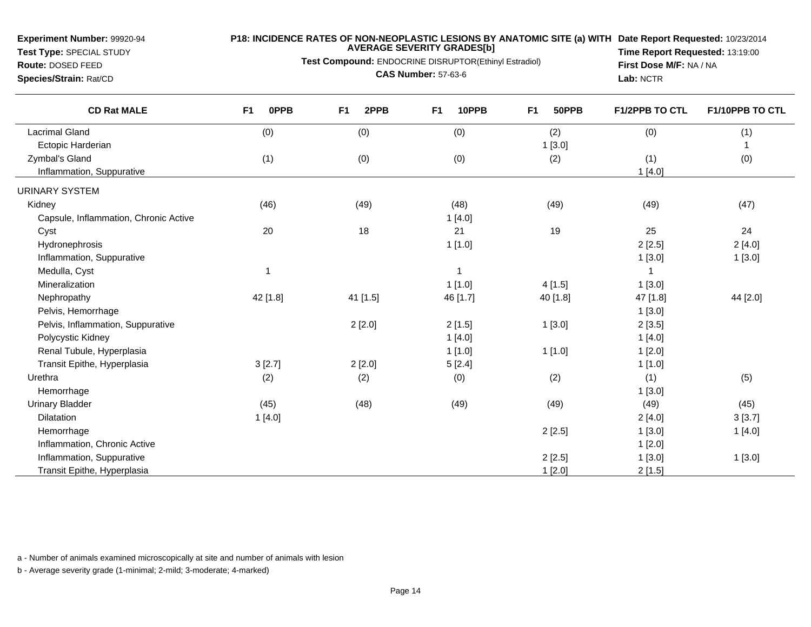**Test Type:** SPECIAL STUDY

## **P18: INCIDENCE RATES OF NON-NEOPLASTIC LESIONS BY ANATOMIC SITE (a) WITH AVERAGE SEVERITY GRADES[b] Date Report Requested:** 10/23/2014

**Test Compound:** ENDOCRINE DISRUPTOR(Ethinyl Estradiol)

**Route:** DOSED FEED**Species/Strain:** Rat/CD

**CAS Number:** 57-63-6

**Time Report Requested:** 13:19:00**First Dose M/F:** NA / NA**Lab:** NCTR

| <b>CD Rat MALE</b>                    | <b>OPPB</b><br><b>F1</b> | F1<br>2PPB | F <sub>1</sub><br>10PPB | F1<br>50PPB | F1/2PPB TO CTL | F1/10PPB TO CTL |
|---------------------------------------|--------------------------|------------|-------------------------|-------------|----------------|-----------------|
| <b>Lacrimal Gland</b>                 | (0)                      | (0)        | (0)                     | (2)         | (0)            | (1)             |
| Ectopic Harderian                     |                          |            |                         | 1[3.0]      |                | $\mathbf{1}$    |
| Zymbal's Gland                        | (1)                      | (0)        | (0)                     | (2)         | (1)            | (0)             |
| Inflammation, Suppurative             |                          |            |                         |             | 1[4.0]         |                 |
| <b>URINARY SYSTEM</b>                 |                          |            |                         |             |                |                 |
| Kidney                                | (46)                     | (49)       | (48)                    | (49)        | (49)           | (47)            |
| Capsule, Inflammation, Chronic Active |                          |            | 1[4.0]                  |             |                |                 |
| Cyst                                  | 20                       | 18         | 21                      | 19          | 25             | 24              |
| Hydronephrosis                        |                          |            | 1[1.0]                  |             | 2[2.5]         | 2[4.0]          |
| Inflammation, Suppurative             |                          |            |                         |             | 1[3.0]         | 1[3.0]          |
| Medulla, Cyst                         |                          |            | $\overline{1}$          |             |                |                 |
| Mineralization                        |                          |            | 1[1.0]                  | 4[1.5]      | 1[3.0]         |                 |
| Nephropathy                           | 42 [1.8]                 | 41 [1.5]   | 46 [1.7]                | 40 [1.8]    | 47 [1.8]       | 44 [2.0]        |
| Pelvis, Hemorrhage                    |                          |            |                         |             | 1[3.0]         |                 |
| Pelvis, Inflammation, Suppurative     |                          | 2[2.0]     | 2[1.5]                  | 1[3.0]      | 2[3.5]         |                 |
| Polycystic Kidney                     |                          |            | 1[4.0]                  |             | 1[4.0]         |                 |
| Renal Tubule, Hyperplasia             |                          |            | 1[1.0]                  | 1[1.0]      | 1[2.0]         |                 |
| Transit Epithe, Hyperplasia           | 3[2.7]                   | 2[2.0]     | 5[2.4]                  |             | 1[1.0]         |                 |
| Urethra                               | (2)                      | (2)        | (0)                     | (2)         | (1)            | (5)             |
| Hemorrhage                            |                          |            |                         |             | 1[3.0]         |                 |
| <b>Urinary Bladder</b>                | (45)                     | (48)       | (49)                    | (49)        | (49)           | (45)            |
| <b>Dilatation</b>                     | 1[4.0]                   |            |                         |             | 2[4.0]         | 3[3.7]          |
| Hemorrhage                            |                          |            |                         | 2[2.5]      | 1[3.0]         | 1[4.0]          |
| Inflammation, Chronic Active          |                          |            |                         |             | 1[2.0]         |                 |
| Inflammation, Suppurative             |                          |            |                         | 2[2.5]      | 1[3.0]         | 1[3.0]          |
| Transit Epithe, Hyperplasia           |                          |            |                         | 1[2.0]      | 2[1.5]         |                 |

a - Number of animals examined microscopically at site and number of animals with lesion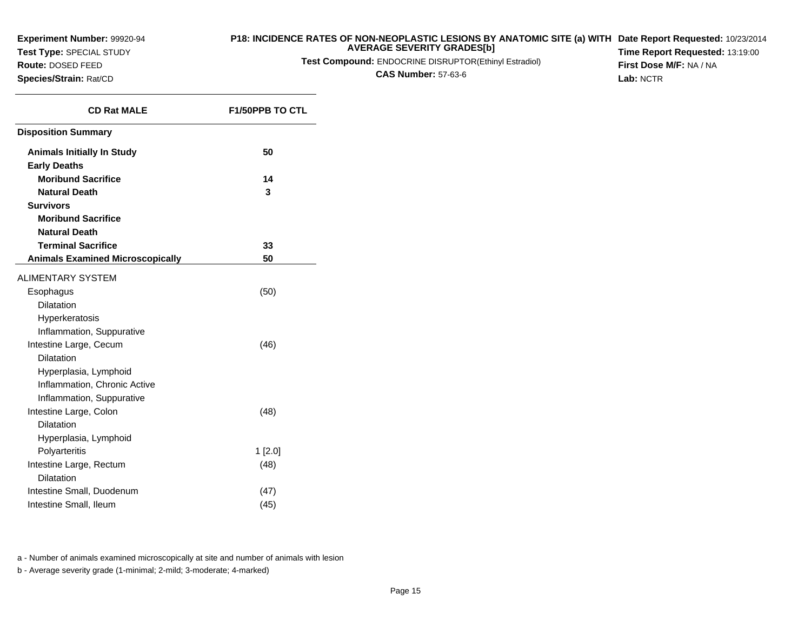**Test Type:** SPECIAL STUDY

# **Route:** DOSED FEED

**Species/Strain:** Rat/CD

## **P18: INCIDENCE RATES OF NON-NEOPLASTIC LESIONS BY ANATOMIC SITE (a) WITH AVERAGE SEVERITY GRADES[b] Date Report Requested:** 10/23/2014

**Test Compound:** ENDOCRINE DISRUPTOR(Ethinyl Estradiol)

**CAS Number:** 57-63-6

**Time Report Requested:** 13:19:00**First Dose M/F:** NA / NA**Lab:** NCTR

| <b>CD Rat MALE</b>                                       | <b>F1/50PPB TO CTL</b> |
|----------------------------------------------------------|------------------------|
| <b>Disposition Summary</b>                               |                        |
| <b>Animals Initially In Study</b><br><b>Early Deaths</b> | 50                     |
| <b>Moribund Sacrifice</b>                                | 14                     |
| <b>Natural Death</b>                                     | 3                      |
| <b>Survivors</b>                                         |                        |
| <b>Moribund Sacrifice</b>                                |                        |
| <b>Natural Death</b>                                     |                        |
| <b>Terminal Sacrifice</b>                                | 33                     |
| <b>Animals Examined Microscopically</b>                  | 50                     |
| <b>ALIMENTARY SYSTEM</b>                                 |                        |
| Esophagus                                                | (50)                   |
| <b>Dilatation</b>                                        |                        |
| Hyperkeratosis                                           |                        |
| Inflammation, Suppurative                                |                        |
| Intestine Large, Cecum                                   | (46)                   |
| <b>Dilatation</b>                                        |                        |
| Hyperplasia, Lymphoid<br>Inflammation, Chronic Active    |                        |
| Inflammation, Suppurative                                |                        |
| Intestine Large, Colon                                   | (48)                   |
| Dilatation                                               |                        |
| Hyperplasia, Lymphoid                                    |                        |
| Polyarteritis                                            | 1[2.0]                 |
| Intestine Large, Rectum                                  | (48)                   |
| <b>Dilatation</b>                                        |                        |
| Intestine Small, Duodenum                                | (47)                   |
| Intestine Small, Ileum                                   | (45)                   |

a - Number of animals examined microscopically at site and number of animals with lesion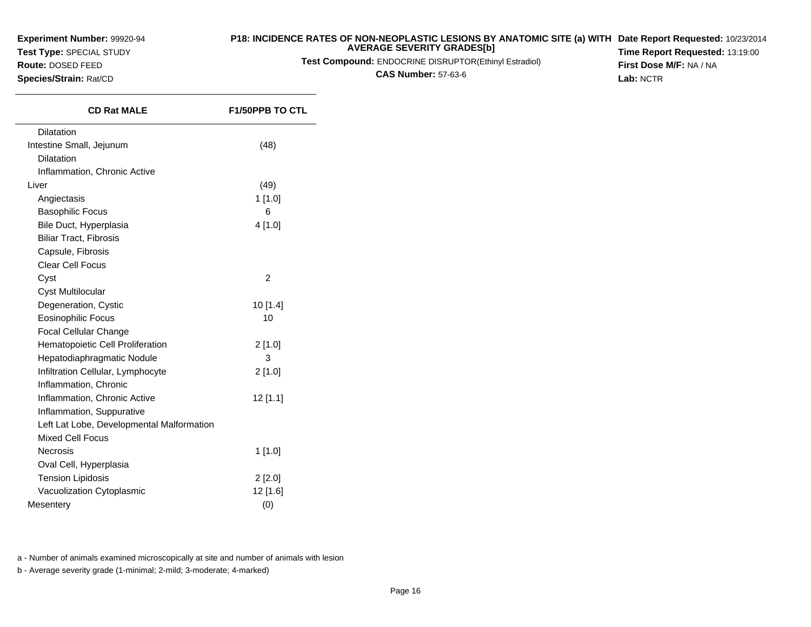**Test Type:** SPECIAL STUDY

#### **Route:** DOSED FEED

**Species/Strain:** Rat/CD

## **P18: INCIDENCE RATES OF NON-NEOPLASTIC LESIONS BY ANATOMIC SITE (a) WITH AVERAGE SEVERITY GRADES[b] Date Report Requested:** 10/23/2014

**Test Compound:** ENDOCRINE DISRUPTOR(Ethinyl Estradiol)

**CAS Number:** 57-63-6

**Time Report Requested:** 13:19:00**First Dose M/F:** NA / NA**Lab:** NCTR

| <b>CD Rat MALE</b>                        | <b>F1/50PPB TO CTL</b> |
|-------------------------------------------|------------------------|
| <b>Dilatation</b>                         |                        |
| Intestine Small, Jejunum                  | (48)                   |
| <b>Dilatation</b>                         |                        |
| Inflammation, Chronic Active              |                        |
| Liver                                     | (49)                   |
| Angiectasis                               | 1[1.0]                 |
| <b>Basophilic Focus</b>                   | 6                      |
| Bile Duct, Hyperplasia                    | 4[1.0]                 |
| <b>Biliar Tract, Fibrosis</b>             |                        |
| Capsule, Fibrosis                         |                        |
| <b>Clear Cell Focus</b>                   |                        |
| Cyst                                      | $\overline{2}$         |
| Cyst Multilocular                         |                        |
| Degeneration, Cystic                      | $10$ [1.4]             |
| <b>Eosinophilic Focus</b>                 | 10                     |
| Focal Cellular Change                     |                        |
| Hematopoietic Cell Proliferation          | 2[1.0]                 |
| Hepatodiaphragmatic Nodule                | 3                      |
| Infiltration Cellular, Lymphocyte         | 2[1.0]                 |
| Inflammation, Chronic                     |                        |
| Inflammation, Chronic Active              | 12 [1.1]               |
| Inflammation, Suppurative                 |                        |
| Left Lat Lobe, Developmental Malformation |                        |
| <b>Mixed Cell Focus</b>                   |                        |
| Necrosis                                  | 1 [1.0]                |
| Oval Cell, Hyperplasia                    |                        |
| <b>Tension Lipidosis</b>                  | 2[2.0]                 |
| Vacuolization Cytoplasmic                 | 12 [1.6]               |
| Mesentery                                 | (0)                    |

a - Number of animals examined microscopically at site and number of animals with lesion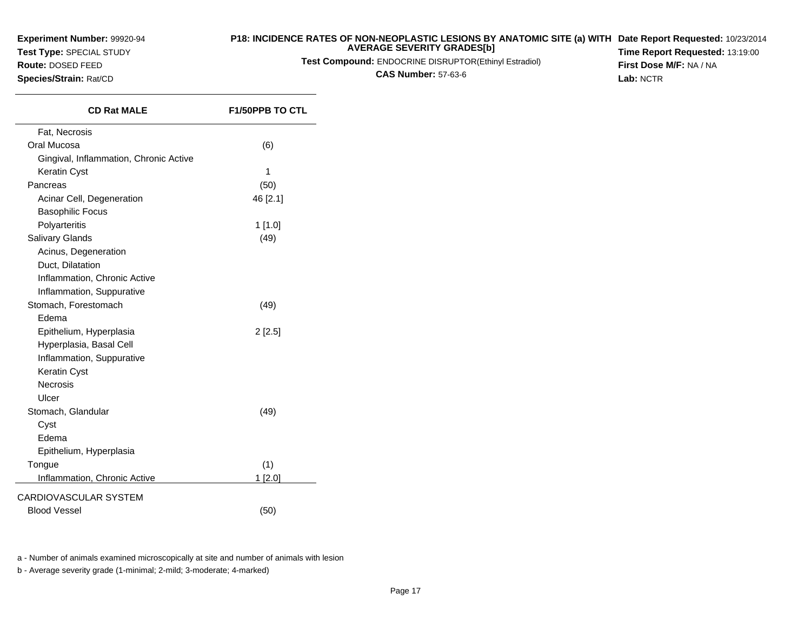**Test Type:** SPECIAL STUDY

**Route:** DOSED FEED**Species/Strain:** Rat/CD

 $\overline{\phantom{0}}$ 

#### **P18: INCIDENCE RATES OF NON-NEOPLASTIC LESIONS BY ANATOMIC SITE (a) WITH AVERAGE SEVERITY GRADES[b] Date Report Requested:** 10/23/2014

**Test Compound:** ENDOCRINE DISRUPTOR(Ethinyl Estradiol)

**CAS Number:** 57-63-6

**Time Report Requested:** 13:19:00**First Dose M/F:** NA / NA**Lab:** NCTR

| <b>CD Rat MALE</b>                     | <b>F1/50PPB TO CTL</b> |
|----------------------------------------|------------------------|
| Fat, Necrosis                          |                        |
| Oral Mucosa                            | (6)                    |
| Gingival, Inflammation, Chronic Active |                        |
| Keratin Cyst                           | 1                      |
| Pancreas                               | (50)                   |
| Acinar Cell, Degeneration              | 46 [2.1]               |
| <b>Basophilic Focus</b>                |                        |
| Polyarteritis                          | 1 [1.0]                |
| <b>Salivary Glands</b>                 | (49)                   |
| Acinus, Degeneration                   |                        |
| Duct, Dilatation                       |                        |
| Inflammation, Chronic Active           |                        |
| Inflammation, Suppurative              |                        |
| Stomach, Forestomach                   | (49)                   |
| Edema                                  |                        |
| Epithelium, Hyperplasia                | 2[2.5]                 |
| Hyperplasia, Basal Cell                |                        |
| Inflammation, Suppurative              |                        |
| Keratin Cyst                           |                        |
| <b>Necrosis</b>                        |                        |
| Ulcer                                  |                        |
| Stomach, Glandular                     | (49)                   |
| Cyst                                   |                        |
| Edema                                  |                        |
| Epithelium, Hyperplasia                |                        |
| Tongue                                 | (1)                    |
| Inflammation, Chronic Active           | 1[2.0]                 |
| CARDIOVASCULAR SYSTEM                  |                        |
| <b>Blood Vessel</b>                    | (50)                   |
|                                        |                        |

a - Number of animals examined microscopically at site and number of animals with lesion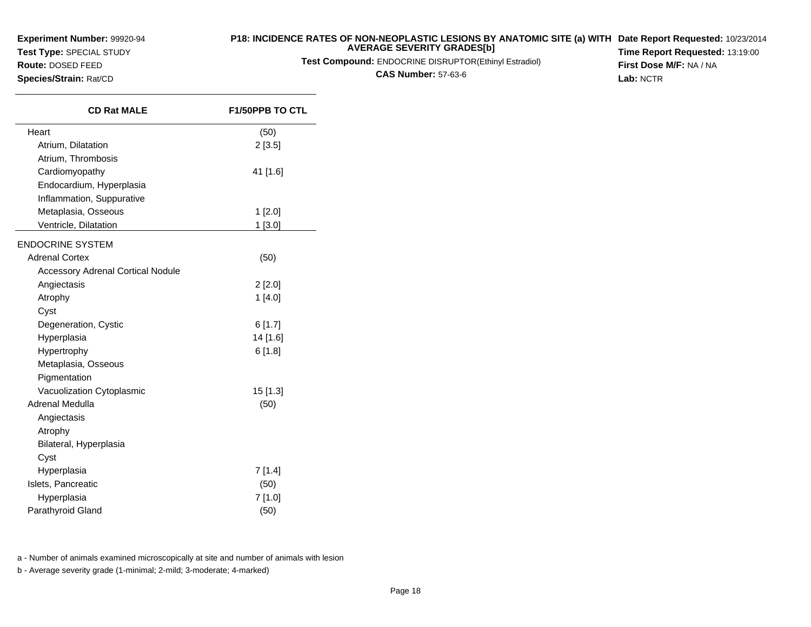**Test Type:** SPECIAL STUDY

# **Route:** DOSED FEED

**Species/Strain:** Rat/CD

#### **P18: INCIDENCE RATES OF NON-NEOPLASTIC LESIONS BY ANATOMIC SITE (a) WITH AVERAGE SEVERITY GRADES[b] Date Report Requested:** 10/23/2014

**Test Compound:** ENDOCRINE DISRUPTOR(Ethinyl Estradiol)

**CAS Number:** 57-63-6

**Time Report Requested:** 13:19:00**First Dose M/F:** NA / NA**Lab:** NCTR

| <b>CD Rat MALE</b>                       | <b>F1/50PPB TO CTL</b> |
|------------------------------------------|------------------------|
| Heart                                    | (50)                   |
| Atrium, Dilatation                       | 2[3.5]                 |
| Atrium, Thrombosis                       |                        |
| Cardiomyopathy                           | 41 [1.6]               |
| Endocardium, Hyperplasia                 |                        |
| Inflammation, Suppurative                |                        |
| Metaplasia, Osseous                      | 1[2.0]                 |
| Ventricle, Dilatation                    | 1[3.0]                 |
| <b>ENDOCRINE SYSTEM</b>                  |                        |
| <b>Adrenal Cortex</b>                    | (50)                   |
| <b>Accessory Adrenal Cortical Nodule</b> |                        |
| Angiectasis                              | 2[2.0]                 |
| Atrophy                                  | 1[4.0]                 |
| Cyst                                     |                        |
| Degeneration, Cystic                     | 6[1.7]                 |
| Hyperplasia                              | 14 [1.6]               |
| Hypertrophy                              | 6[1.8]                 |
| Metaplasia, Osseous                      |                        |
| Pigmentation                             |                        |
| Vacuolization Cytoplasmic                | 15 [1.3]               |
| Adrenal Medulla                          | (50)                   |
| Angiectasis                              |                        |
| Atrophy                                  |                        |
| Bilateral, Hyperplasia                   |                        |
| Cyst                                     |                        |
| Hyperplasia                              | 7[1.4]                 |
| Islets, Pancreatic                       | (50)                   |
| Hyperplasia                              | 7[1.0]                 |
| Parathyroid Gland                        | (50)                   |

a - Number of animals examined microscopically at site and number of animals with lesion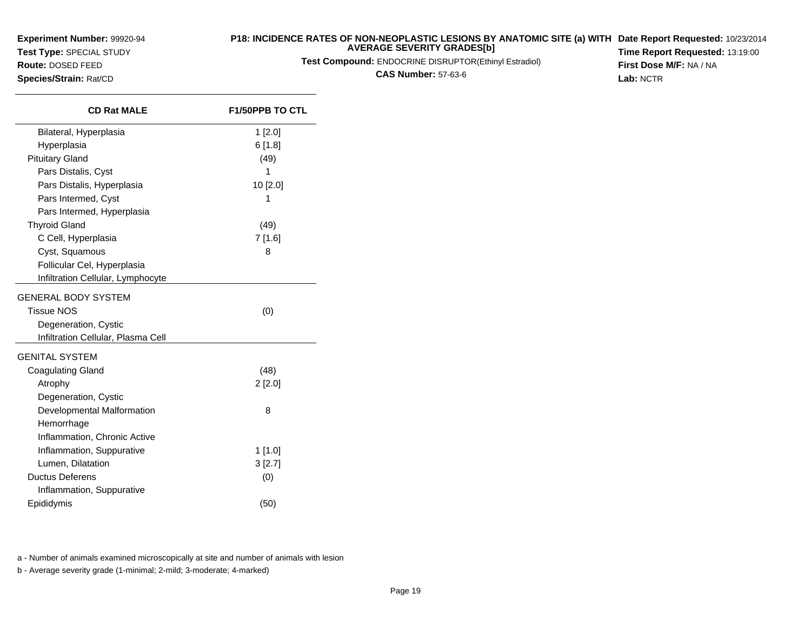**Test Type:** SPECIAL STUDY

# **Route:** DOSED FEED

**Species/Strain:** Rat/CD

#### **P18: INCIDENCE RATES OF NON-NEOPLASTIC LESIONS BY ANATOMIC SITE (a) WITH AVERAGE SEVERITY GRADES[b] Date Report Requested:** 10/23/2014

**Test Compound:** ENDOCRINE DISRUPTOR(Ethinyl Estradiol)

**CAS Number:** 57-63-6

**Time Report Requested:** 13:19:00**First Dose M/F:** NA / NA**Lab:** NCTR

| <b>CD Rat MALE</b>                 | <b>F1/50PPB TO CTL</b> |
|------------------------------------|------------------------|
| Bilateral, Hyperplasia             | 1[2.0]                 |
| Hyperplasia                        | 6[1.8]                 |
| <b>Pituitary Gland</b>             | (49)                   |
| Pars Distalis, Cyst                | 1                      |
| Pars Distalis, Hyperplasia         | 10 [2.0]               |
| Pars Intermed, Cyst                | 1                      |
| Pars Intermed, Hyperplasia         |                        |
| <b>Thyroid Gland</b>               | (49)                   |
| C Cell, Hyperplasia                | 7 [1.6]                |
| Cyst, Squamous                     | 8                      |
| Follicular Cel, Hyperplasia        |                        |
| Infiltration Cellular, Lymphocyte  |                        |
| GENERAL BODY SYSTEM                |                        |
| <b>Tissue NOS</b>                  | (0)                    |
| Degeneration, Cystic               |                        |
| Infiltration Cellular, Plasma Cell |                        |
| GENITAL SYSTEM                     |                        |
| <b>Coagulating Gland</b>           | (48)                   |
| Atrophy                            | $2$ [2.0]              |
| Degeneration, Cystic               |                        |
| Developmental Malformation         | 8                      |
| Hemorrhage                         |                        |
| Inflammation, Chronic Active       |                        |
| Inflammation, Suppurative          | $1$ [1.0]              |
| Lumen, Dilatation                  | 3[2.7]                 |
| <b>Ductus Deferens</b>             | (0)                    |
| Inflammation, Suppurative          |                        |
| Epididymis                         | (50)                   |

a - Number of animals examined microscopically at site and number of animals with lesion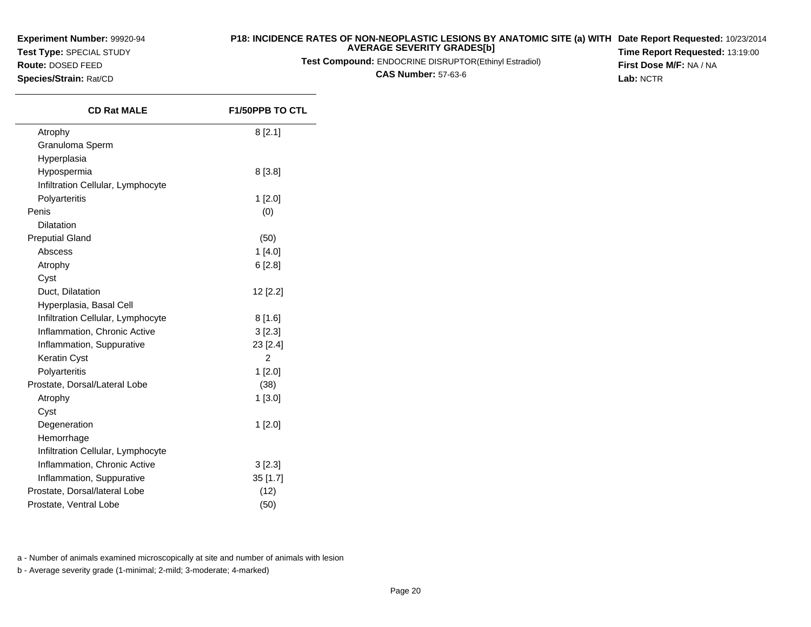**Test Type:** SPECIAL STUDY

**Route:** DOSED FEED**Species/Strain:** Rat/CD

 $\overline{\phantom{0}}$ 

#### **P18: INCIDENCE RATES OF NON-NEOPLASTIC LESIONS BY ANATOMIC SITE (a) WITH AVERAGE SEVERITY GRADES[b] Date Report Requested:** 10/23/2014

**Test Compound:** ENDOCRINE DISRUPTOR(Ethinyl Estradiol)

**CAS Number:** 57-63-6

**Time Report Requested:** 13:19:00**First Dose M/F:** NA / NA**Lab:** NCTR

| <b>CD Rat MALE</b>                | <b>F1/50PPB TO CTL</b> |
|-----------------------------------|------------------------|
| Atrophy                           | 8[2.1]                 |
| Granuloma Sperm                   |                        |
| Hyperplasia                       |                        |
| Hypospermia                       | 8 [3.8]                |
| Infiltration Cellular, Lymphocyte |                        |
| Polyarteritis                     | $1$ [2.0]              |
| Penis                             | (0)                    |
| Dilatation                        |                        |
| <b>Preputial Gland</b>            | (50)                   |
| Abscess                           | 1[4.0]                 |
| Atrophy                           | 6[2.8]                 |
| Cyst                              |                        |
| Duct, Dilatation                  | 12 [2.2]               |
| Hyperplasia, Basal Cell           |                        |
| Infiltration Cellular, Lymphocyte | 8[1.6]                 |
| Inflammation, Chronic Active      | 3 [2.3]                |
| Inflammation, Suppurative         | 23 [2.4]               |
| Keratin Cyst                      | 2                      |
| Polyarteritis                     | $1$ [2.0]              |
| Prostate, Dorsal/Lateral Lobe     | (38)                   |
| Atrophy                           | 1[3.0]                 |
| Cyst                              |                        |
| Degeneration                      | 1[2.0]                 |
| Hemorrhage                        |                        |
| Infiltration Cellular, Lymphocyte |                        |
| Inflammation, Chronic Active      | 3 [2.3]                |
| Inflammation, Suppurative         | $35$ [1.7]             |
| Prostate, Dorsal/lateral Lobe     | (12)                   |
| Prostate, Ventral Lobe            | (50)                   |

a - Number of animals examined microscopically at site and number of animals with lesion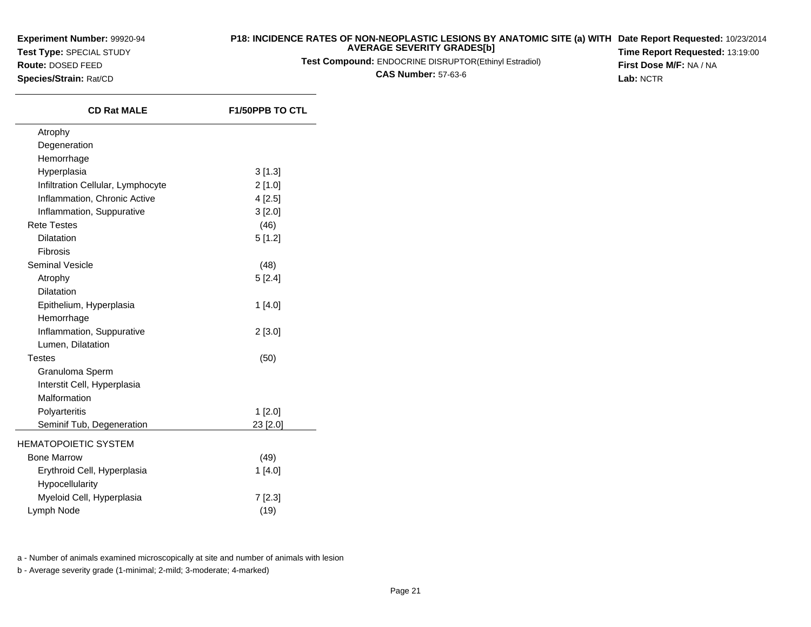**Test Type:** SPECIAL STUDY**Route:** DOSED FEED

**Species/Strain:** Rat/CD

#### **P18: INCIDENCE RATES OF NON-NEOPLASTIC LESIONS BY ANATOMIC SITE (a) WITH AVERAGE SEVERITY GRADES[b] Date Report Requested:** 10/23/2014

**Test Compound:** ENDOCRINE DISRUPTOR(Ethinyl Estradiol)

**CAS Number:** 57-63-6

**Time Report Requested:** 13:19:00**First Dose M/F:** NA / NA**Lab:** NCTR

| <b>CD Rat MALE</b>                | F1/50PPB TO CTL |
|-----------------------------------|-----------------|
| Atrophy                           |                 |
| Degeneration                      |                 |
| Hemorrhage                        |                 |
| Hyperplasia                       | 3[1.3]          |
| Infiltration Cellular, Lymphocyte | 2[1.0]          |
| Inflammation, Chronic Active      | 4[2.5]          |
| Inflammation, Suppurative         | 3[2.0]          |
| <b>Rete Testes</b>                | (46)            |
| <b>Dilatation</b>                 | 5[1.2]          |
| Fibrosis                          |                 |
| <b>Seminal Vesicle</b>            | (48)            |
| Atrophy                           | 5[2.4]          |
| <b>Dilatation</b>                 |                 |
| Epithelium, Hyperplasia           | 1[4.0]          |
| Hemorrhage                        |                 |
| Inflammation, Suppurative         | 2[3.0]          |
| Lumen, Dilatation                 |                 |
| <b>Testes</b>                     | (50)            |
| Granuloma Sperm                   |                 |
| Interstit Cell, Hyperplasia       |                 |
| Malformation                      |                 |
| Polyarteritis                     | $1$ [2.0]       |
| Seminif Tub, Degeneration         | 23 [2.0]        |
| HEMATOPOIETIC SYSTEM              |                 |
| <b>Bone Marrow</b>                | (49)            |
| Erythroid Cell, Hyperplasia       | 1 [4.0]         |
| Hypocellularity                   |                 |
| Myeloid Cell, Hyperplasia         | 7[2.3]          |
| Lymph Node                        | (19)            |
|                                   |                 |

a - Number of animals examined microscopically at site and number of animals with lesion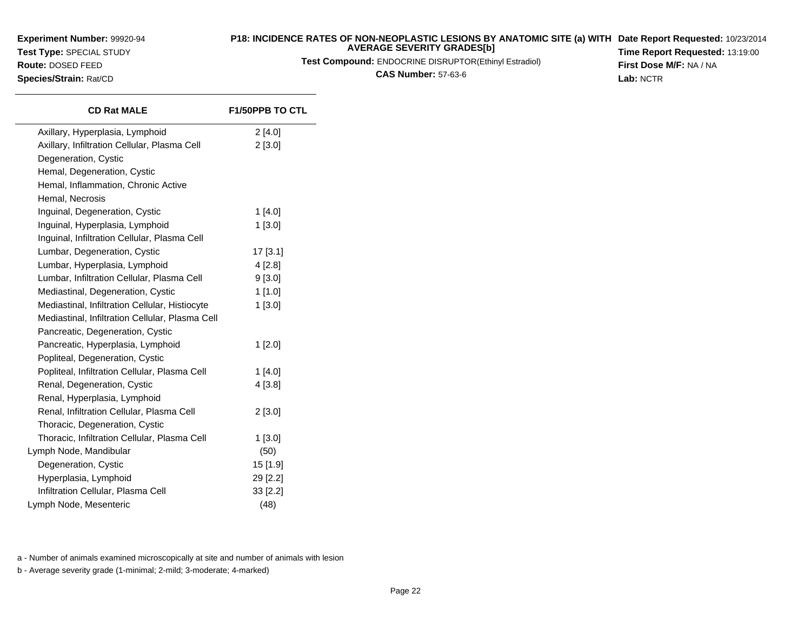**Test Type:** SPECIAL STUDY**Route:** DOSED FEED

**Species/Strain:** Rat/CD

#### **P18: INCIDENCE RATES OF NON-NEOPLASTIC LESIONS BY ANATOMIC SITE (a) WITH AVERAGE SEVERITY GRADES[b] Date Report Requested:** 10/23/2014

**Test Compound:** ENDOCRINE DISRUPTOR(Ethinyl Estradiol)

**CAS Number:** 57-63-6

**Time Report Requested:** 13:19:00**First Dose M/F:** NA / NA**Lab:** NCTR

| <b>CD Rat MALE</b>                              | <b>F1/50PPB TO CTL</b> |
|-------------------------------------------------|------------------------|
| Axillary, Hyperplasia, Lymphoid                 | 2[4.0]                 |
| Axillary, Infiltration Cellular, Plasma Cell    | 2[3.0]                 |
| Degeneration, Cystic                            |                        |
| Hemal, Degeneration, Cystic                     |                        |
| Hemal, Inflammation, Chronic Active             |                        |
| Hemal, Necrosis                                 |                        |
| Inguinal, Degeneration, Cystic                  | $1$ [4.0]              |
| Inguinal, Hyperplasia, Lymphoid                 | 1 [3.0]                |
| Inguinal, Infiltration Cellular, Plasma Cell    |                        |
| Lumbar, Degeneration, Cystic                    | 17 [3.1]               |
| Lumbar, Hyperplasia, Lymphoid                   | 4 [2.8]                |
| Lumbar, Infiltration Cellular, Plasma Cell      | 9[3.0]                 |
| Mediastinal, Degeneration, Cystic               | 1 [1.0]                |
| Mediastinal, Infiltration Cellular, Histiocyte  | 1[3.0]                 |
| Mediastinal, Infiltration Cellular, Plasma Cell |                        |
| Pancreatic, Degeneration, Cystic                |                        |
| Pancreatic, Hyperplasia, Lymphoid               | $1$ [2.0]              |
| Popliteal, Degeneration, Cystic                 |                        |
| Popliteal, Infiltration Cellular, Plasma Cell   | 1[4.0]                 |
| Renal, Degeneration, Cystic                     | 4 [3.8]                |
| Renal, Hyperplasia, Lymphoid                    |                        |
| Renal, Infiltration Cellular, Plasma Cell       | 2 [3.0]                |
| Thoracic, Degeneration, Cystic                  |                        |
| Thoracic, Infiltration Cellular, Plasma Cell    | $1$ [3.0]              |
| Lymph Node, Mandibular                          | (50)                   |
| Degeneration, Cystic                            | 15 [1.9]               |
| Hyperplasia, Lymphoid                           | 29 [2.2]               |
| Infiltration Cellular, Plasma Cell              | 33 [2.2]               |
| Lymph Node, Mesenteric                          | (48)                   |
|                                                 |                        |

a - Number of animals examined microscopically at site and number of animals with lesion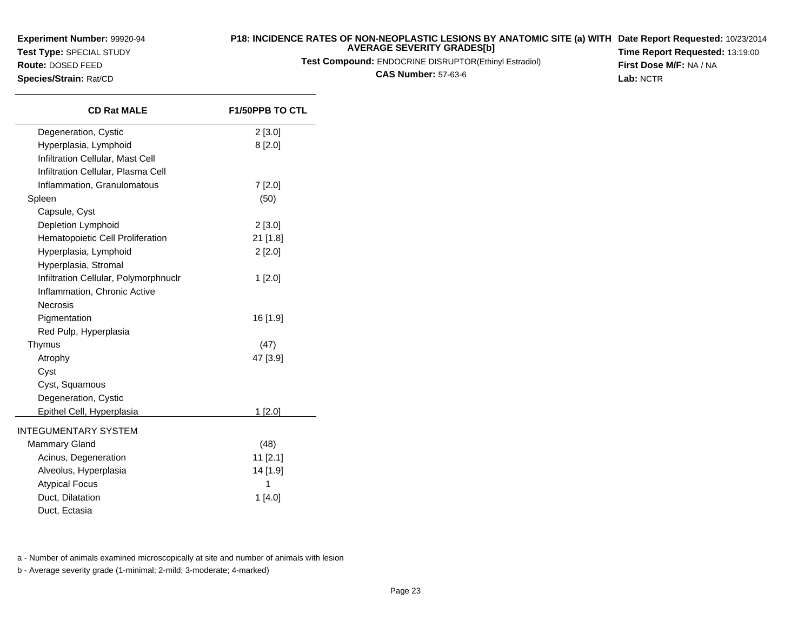**Test Type:** SPECIAL STUDY

**Route:** DOSED FEED**Species/Strain:** Rat/CD

#### **P18: INCIDENCE RATES OF NON-NEOPLASTIC LESIONS BY ANATOMIC SITE (a) WITH AVERAGE SEVERITY GRADES[b] Date Report Requested:** 10/23/2014

**Test Compound:** ENDOCRINE DISRUPTOR(Ethinyl Estradiol)

**CAS Number:** 57-63-6

**Time Report Requested:** 13:19:00**First Dose M/F:** NA / NA**Lab:** NCTR

| <b>CD Rat MALE</b>                    | <b>F1/50PPB TO CTL</b> |
|---------------------------------------|------------------------|
| Degeneration, Cystic                  | 2[3.0]                 |
| Hyperplasia, Lymphoid                 | 8[2.0]                 |
| Infiltration Cellular, Mast Cell      |                        |
| Infiltration Cellular, Plasma Cell    |                        |
| Inflammation, Granulomatous           | 7 [2.0]                |
| Spleen                                | (50)                   |
| Capsule, Cyst                         |                        |
| Depletion Lymphoid                    | 2[3.0]                 |
| Hematopoietic Cell Proliferation      | 21 [1.8]               |
| Hyperplasia, Lymphoid                 | $2$ [2.0]              |
| Hyperplasia, Stromal                  |                        |
| Infiltration Cellular, Polymorphnuclr | $1$ [2.0]              |
| Inflammation, Chronic Active          |                        |
| Necrosis                              |                        |
| Pigmentation                          | 16 [1.9]               |
| Red Pulp, Hyperplasia                 |                        |
| Thymus                                | (47)                   |
| Atrophy                               | 47 [3.9]               |
| Cyst                                  |                        |
| Cyst, Squamous                        |                        |
| Degeneration, Cystic                  |                        |
| Epithel Cell, Hyperplasia             | 1[2.0]                 |
| <b>INTEGUMENTARY SYSTEM</b>           |                        |
| <b>Mammary Gland</b>                  | (48)                   |
| Acinus, Degeneration                  | 11 [2.1]               |
| Alveolus, Hyperplasia                 | 14 [1.9]               |
| <b>Atypical Focus</b>                 | 1                      |
| Duct, Dilatation                      | 1 [4.0]                |
| Duct, Ectasia                         |                        |

a - Number of animals examined microscopically at site and number of animals with lesion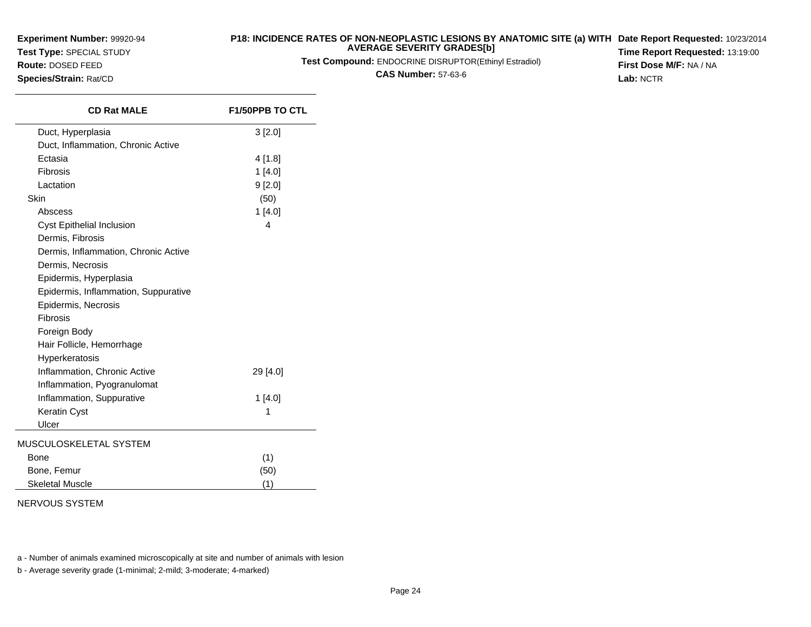**Test Type:** SPECIAL STUDY

**Route:** DOSED FEED**Species/Strain:** Rat/CD

#### **P18: INCIDENCE RATES OF NON-NEOPLASTIC LESIONS BY ANATOMIC SITE (a) WITH AVERAGE SEVERITY GRADES[b] Date Report Requested:** 10/23/2014

**Test Compound:** ENDOCRINE DISRUPTOR(Ethinyl Estradiol)

**CAS Number:** 57-63-6

**Time Report Requested:** 13:19:00**First Dose M/F:** NA / NA**Lab:** NCTR

| Duct, Hyperplasia<br>3 [2.0]<br>Duct, Inflammation, Chronic Active<br>Ectasia<br>4 [1.8]<br>Fibrosis<br>1[4.0]<br>Lactation<br>9[2.0]<br>Skin<br>(50) |  |
|-------------------------------------------------------------------------------------------------------------------------------------------------------|--|
|                                                                                                                                                       |  |
|                                                                                                                                                       |  |
|                                                                                                                                                       |  |
|                                                                                                                                                       |  |
|                                                                                                                                                       |  |
|                                                                                                                                                       |  |
| Abscess<br>1[4.0]                                                                                                                                     |  |
| Cyst Epithelial Inclusion<br>4                                                                                                                        |  |
| Dermis, Fibrosis                                                                                                                                      |  |
| Dermis, Inflammation, Chronic Active                                                                                                                  |  |
| Dermis, Necrosis                                                                                                                                      |  |
| Epidermis, Hyperplasia                                                                                                                                |  |
| Epidermis, Inflammation, Suppurative                                                                                                                  |  |
| Epidermis, Necrosis                                                                                                                                   |  |
| Fibrosis                                                                                                                                              |  |
| Foreign Body                                                                                                                                          |  |
| Hair Follicle, Hemorrhage                                                                                                                             |  |
| Hyperkeratosis                                                                                                                                        |  |
| Inflammation, Chronic Active<br>29 [4.0]                                                                                                              |  |
| Inflammation, Pyogranulomat                                                                                                                           |  |
| Inflammation, Suppurative<br>1[4.0]                                                                                                                   |  |
| Keratin Cyst<br>1                                                                                                                                     |  |
| Ulcer                                                                                                                                                 |  |
| MUSCULOSKELETAL SYSTEM                                                                                                                                |  |
| (1)<br>Bone                                                                                                                                           |  |
| Bone, Femur<br>(50)                                                                                                                                   |  |
| <b>Skeletal Muscle</b><br>(1)                                                                                                                         |  |

#### NERVOUS SYSTEM

a - Number of animals examined microscopically at site and number of animals with lesion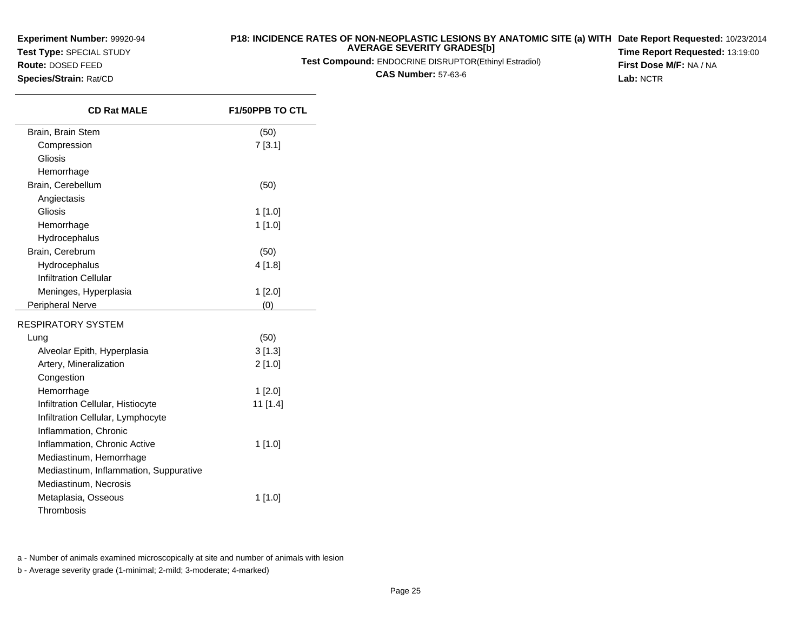**Test Type:** SPECIAL STUDY

**Route:** DOSED FEED**Species/Strain:** Rat/CD

 $\overline{\phantom{0}}$ 

#### **P18: INCIDENCE RATES OF NON-NEOPLASTIC LESIONS BY ANATOMIC SITE (a) WITH AVERAGE SEVERITY GRADES[b] Date Report Requested:** 10/23/2014

**Test Compound:** ENDOCRINE DISRUPTOR(Ethinyl Estradiol)

**CAS Number:** 57-63-6

**Time Report Requested:** 13:19:00**First Dose M/F:** NA / NA**Lab:** NCTR

| <b>CD Rat MALE</b>                     | <b>F1/50PPB TO CTL</b> |
|----------------------------------------|------------------------|
| Brain, Brain Stem                      | (50)                   |
| Compression                            | 7[3.1]                 |
| Gliosis                                |                        |
| Hemorrhage                             |                        |
| Brain, Cerebellum                      | (50)                   |
| Angiectasis                            |                        |
| Gliosis                                | $1$ [1.0]              |
| Hemorrhage                             | 1 [1.0]                |
| Hydrocephalus                          |                        |
| Brain, Cerebrum                        | (50)                   |
| Hydrocephalus                          | 4[1.8]                 |
| <b>Infiltration Cellular</b>           |                        |
| Meninges, Hyperplasia                  | 1 [2.0]                |
| Peripheral Nerve                       | (0)                    |
| RESPIRATORY SYSTEM                     |                        |
| Lung                                   | (50)                   |
| Alveolar Epith, Hyperplasia            | 3[1.3]                 |
| Artery, Mineralization                 | 2[1.0]                 |
| Congestion                             |                        |
| Hemorrhage                             | 1 [2.0]                |
| Infiltration Cellular, Histiocyte      | 11 [1.4]               |
| Infiltration Cellular, Lymphocyte      |                        |
| Inflammation, Chronic                  |                        |
| Inflammation, Chronic Active           | 1 [1.0]                |
| Mediastinum, Hemorrhage                |                        |
| Mediastinum, Inflammation, Suppurative |                        |
| Mediastinum, Necrosis                  |                        |
| Metaplasia, Osseous                    | 1 [1.0]                |
| Thrombosis                             |                        |

a - Number of animals examined microscopically at site and number of animals with lesion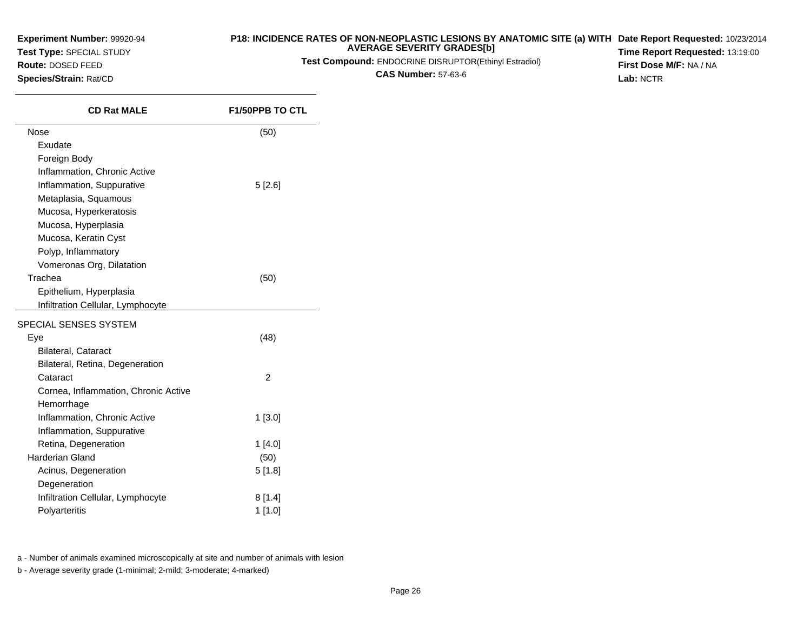**Test Type:** SPECIAL STUDY

**Route:** DOSED FEED**Species/Strain:** Rat/CD

 $\overline{\phantom{a}}$ 

#### **P18: INCIDENCE RATES OF NON-NEOPLASTIC LESIONS BY ANATOMIC SITE (a) WITH AVERAGE SEVERITY GRADES[b] Date Report Requested:** 10/23/2014

**Test Compound:** ENDOCRINE DISRUPTOR(Ethinyl Estradiol)

**CAS Number:** 57-63-6

**Time Report Requested:** 13:19:00**First Dose M/F:** NA / NA**Lab:** NCTR

| <b>CD Rat MALE</b>                   | <b>F1/50PPB TO CTL</b> |
|--------------------------------------|------------------------|
| Nose                                 | (50)                   |
| Exudate                              |                        |
| Foreign Body                         |                        |
| Inflammation, Chronic Active         |                        |
| Inflammation, Suppurative            | 5[2.6]                 |
| Metaplasia, Squamous                 |                        |
| Mucosa, Hyperkeratosis               |                        |
| Mucosa, Hyperplasia                  |                        |
| Mucosa, Keratin Cyst                 |                        |
| Polyp, Inflammatory                  |                        |
| Vomeronas Org, Dilatation            |                        |
| Trachea                              | (50)                   |
| Epithelium, Hyperplasia              |                        |
| Infiltration Cellular, Lymphocyte    |                        |
| SPECIAL SENSES SYSTEM                |                        |
| Eye                                  | (48)                   |
| <b>Bilateral, Cataract</b>           |                        |
| Bilateral, Retina, Degeneration      |                        |
| Cataract                             | $\overline{2}$         |
| Cornea, Inflammation, Chronic Active |                        |
| Hemorrhage                           |                        |
| Inflammation, Chronic Active         | 1[3.0]                 |
| Inflammation, Suppurative            |                        |
| Retina, Degeneration                 | 1[4.0]                 |
| Harderian Gland                      | (50)                   |
| Acinus, Degeneration                 | 5[1.8]                 |
| Degeneration                         |                        |
| Infiltration Cellular, Lymphocyte    | 8[1.4]                 |
| Polyarteritis                        | $1$ [1.0]              |

a - Number of animals examined microscopically at site and number of animals with lesion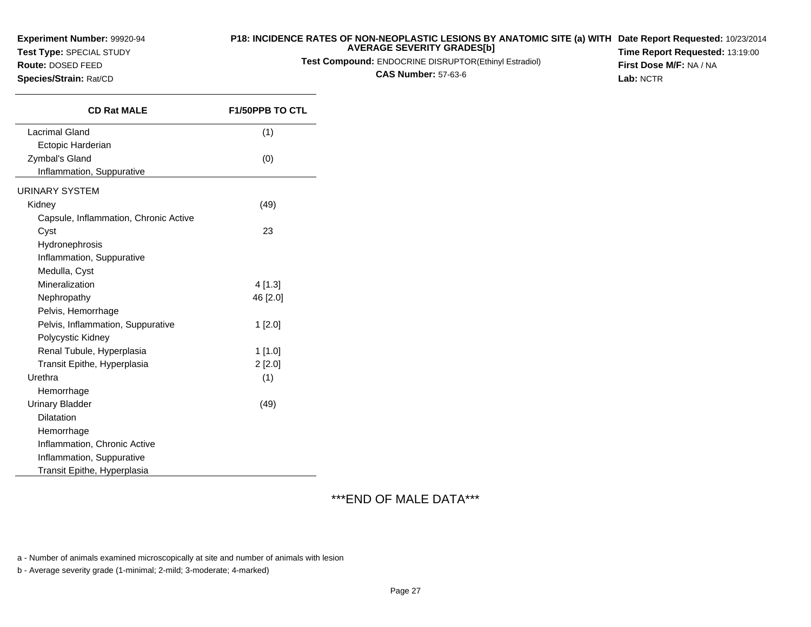**Test Type:** SPECIAL STUDY

**Route:** DOSED FEED**Species/Strain:** Rat/CD

# **P18: INCIDENCE RATES OF NON-NEOPLASTIC LESIONS BY ANATOMIC SITE (a) WITHDate Report Requested:** 10/23/2014**AVERAGE SEVERITY GRADES[b]**

**Test Compound:** ENDOCRINE DISRUPTOR(Ethinyl Estradiol)

**CAS Number:** 57-63-6

**Time Report Requested:** 13:19:00**First Dose M/F:** NA / NA**Lab:** NCTR

**CD Rat MALE F1/50PPB TO CTL** Lacrimal Gland $d \tag{1}$ Ectopic HarderianZymbal's Gland (0) Inflammation, SuppurativeURINARY SYSTEMKidney (49) Capsule, Inflammation, Chronic ActiveCystt  $\sim$  23 Hydronephrosis Inflammation, SuppurativeMedulla, CystMineralizationn  $4[1.3]$ Nephropathy 46 [2.0] Pelvis, Hemorrhage Pelvis, Inflammation, Suppurative 1 [2.0] Polycystic Kidney Renal Tubule, Hyperplasia 1 [1.0] Transit Epithe, Hyperplasia $2 [2.0]$ <br>(1) Urethraa  $(1)$ Hemorrhage Urinary Bladder $r \hspace{2.6cm} (49)$ **Dilatation**  Hemorrhage Inflammation, Chronic ActiveInflammation, SuppurativeTransit Epithe, Hyperplasia

\*\*\*END OF MALE DATA\*\*\*

a - Number of animals examined microscopically at site and number of animals with lesion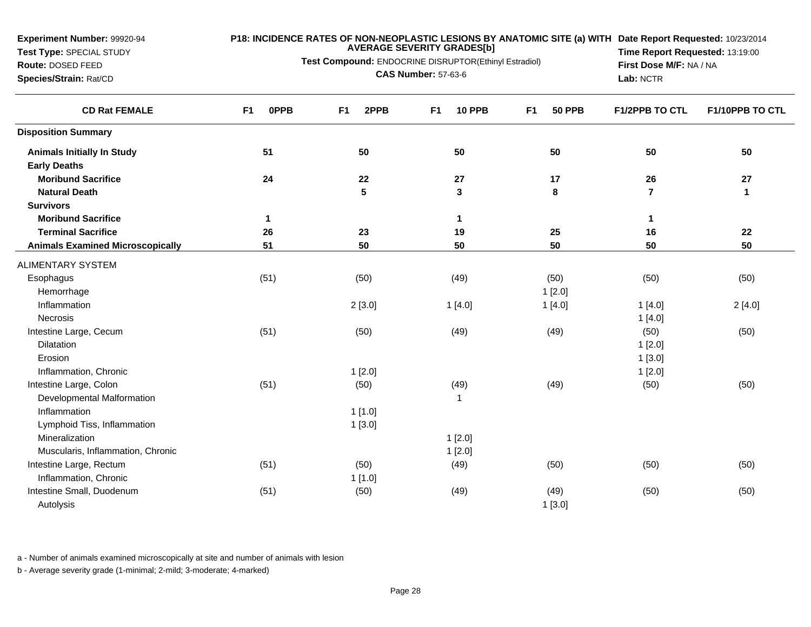**Test Type:** SPECIAL STUDY**Route:** DOSED FEED

#### **P18: INCIDENCE RATES OF NON-NEOPLASTIC LESIONS BY ANATOMIC SITE (a) WITH AVERAGE SEVERITY GRADES[b] Date Report Requested:** 10/23/2014

**Test Compound:** ENDOCRINE DISRUPTOR(Ethinyl Estradiol)

**Species/Strain:** Rat/CD

**CAS Number:** 57-63-6

**Time Report Requested:** 13:19:00**First Dose M/F:** NA / NA**Lab:** NCTR

| <b>CD Rat FEMALE</b>                    | F <sub>1</sub><br><b>OPPB</b> | F <sub>1</sub><br>2PPB | <b>10 PPB</b><br>F <sub>1</sub> | <b>50 PPB</b><br>F <sub>1</sub> | <b>F1/2PPB TO CTL</b>   | F1/10PPB TO CTL |
|-----------------------------------------|-------------------------------|------------------------|---------------------------------|---------------------------------|-------------------------|-----------------|
| <b>Disposition Summary</b>              |                               |                        |                                 |                                 |                         |                 |
| <b>Animals Initially In Study</b>       | 51                            | 50                     | 50                              | 50                              | 50                      | 50              |
| <b>Early Deaths</b>                     |                               |                        |                                 |                                 |                         |                 |
| <b>Moribund Sacrifice</b>               | 24                            | 22                     | 27                              | 17                              | 26                      | 27              |
| <b>Natural Death</b>                    |                               | 5                      | 3                               | 8                               | $\overline{\mathbf{r}}$ | $\mathbf 1$     |
| <b>Survivors</b>                        |                               |                        |                                 |                                 |                         |                 |
| <b>Moribund Sacrifice</b>               | $\mathbf{1}$                  |                        | $\mathbf 1$                     |                                 | 1                       |                 |
| <b>Terminal Sacrifice</b>               | 26                            | 23                     | 19                              | 25                              | 16                      | 22              |
| <b>Animals Examined Microscopically</b> | 51                            | 50                     | 50                              | 50                              | 50                      | 50              |
| <b>ALIMENTARY SYSTEM</b>                |                               |                        |                                 |                                 |                         |                 |
| Esophagus                               | (51)                          | (50)                   | (49)                            | (50)                            | (50)                    | (50)            |
| Hemorrhage                              |                               |                        |                                 | 1[2.0]                          |                         |                 |
| Inflammation                            |                               | 2[3.0]                 | 1[4.0]                          | 1[4.0]                          | 1[4.0]                  | 2[4.0]          |
| Necrosis                                |                               |                        |                                 |                                 | 1[4.0]                  |                 |
| Intestine Large, Cecum                  | (51)                          | (50)                   | (49)                            | (49)                            | (50)                    | (50)            |
| <b>Dilatation</b>                       |                               |                        |                                 |                                 | 1[2.0]                  |                 |
| Erosion                                 |                               |                        |                                 |                                 | 1[3.0]                  |                 |
| Inflammation, Chronic                   |                               | 1[2.0]                 |                                 |                                 | 1[2.0]                  |                 |
| Intestine Large, Colon                  | (51)                          | (50)                   | (49)                            | (49)                            | (50)                    | (50)            |
| Developmental Malformation              |                               |                        | $\mathbf 1$                     |                                 |                         |                 |
| Inflammation                            |                               | 1[1.0]                 |                                 |                                 |                         |                 |
| Lymphoid Tiss, Inflammation             |                               | 1[3.0]                 |                                 |                                 |                         |                 |
| Mineralization                          |                               |                        | 1[2.0]                          |                                 |                         |                 |
| Muscularis, Inflammation, Chronic       |                               |                        | 1[2.0]                          |                                 |                         |                 |
| Intestine Large, Rectum                 | (51)                          | (50)                   | (49)                            | (50)                            | (50)                    | (50)            |
| Inflammation, Chronic                   |                               | 1[1.0]                 |                                 |                                 |                         |                 |
| Intestine Small, Duodenum               | (51)                          | (50)                   | (49)                            | (49)                            | (50)                    | (50)            |
| Autolysis                               |                               |                        |                                 | 1[3.0]                          |                         |                 |

a - Number of animals examined microscopically at site and number of animals with lesion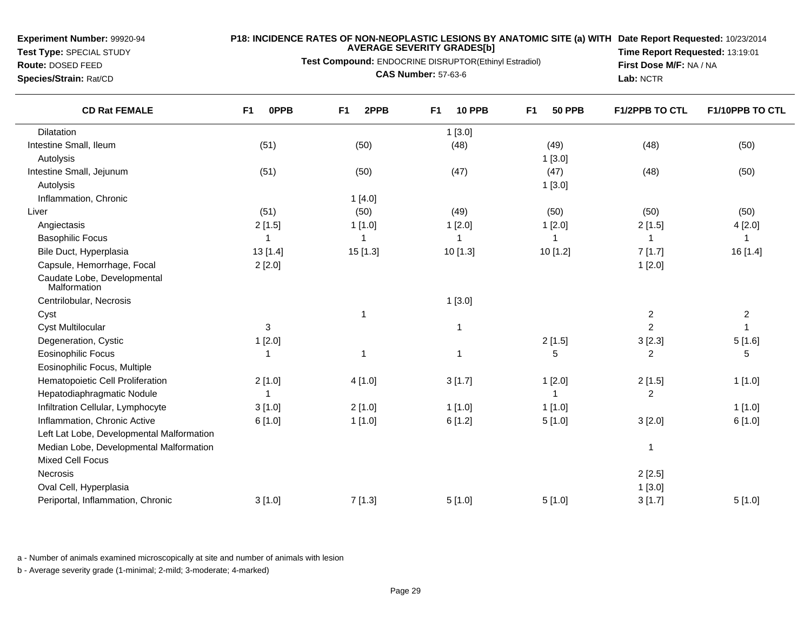**Test Type:** SPECIAL STUDY

# **Route:** DOSED FEED**Species/Strain:** Rat/CD

**P18: INCIDENCE RATES OF NON-NEOPLASTIC LESIONS BY ANATOMIC SITE (a) WITH AVERAGE SEVERITY GRADES[b] Date Report Requested:** 10/23/2014

**Test Compound:** ENDOCRINE DISRUPTOR(Ethinyl Estradiol)

**CAS Number:** 57-63-6

**Time Report Requested:** 13:19:01**First Dose M/F:** NA / NA**Lab:** NCTR

| <b>CD Rat FEMALE</b>                        | <b>OPPB</b><br>F1 | 2PPB<br>F <sub>1</sub> | <b>10 PPB</b><br>F <sub>1</sub> | F <sub>1</sub><br><b>50 PPB</b> | <b>F1/2PPB TO CTL</b> | F1/10PPB TO CTL  |
|---------------------------------------------|-------------------|------------------------|---------------------------------|---------------------------------|-----------------------|------------------|
| <b>Dilatation</b>                           |                   |                        | 1[3.0]                          |                                 |                       |                  |
| Intestine Small, Ileum                      | (51)              | (50)                   | (48)                            | (49)                            | (48)                  | (50)             |
| Autolysis                                   |                   |                        |                                 | 1[3.0]                          |                       |                  |
| Intestine Small, Jejunum                    | (51)              | (50)                   | (47)                            | (47)                            | (48)                  | (50)             |
| Autolysis                                   |                   |                        |                                 | 1[3.0]                          |                       |                  |
| Inflammation, Chronic                       |                   | 1[4.0]                 |                                 |                                 |                       |                  |
| Liver                                       | (51)              | (50)                   | (49)                            | (50)                            | (50)                  | (50)             |
| Angiectasis                                 | 2[1.5]            | 1[1.0]                 | 1[2.0]                          | 1[2.0]                          | 2[1.5]                | 4[2.0]           |
| <b>Basophilic Focus</b>                     | -1                | 1                      | 1                               | -1                              | -1                    | 1                |
| Bile Duct, Hyperplasia                      | 13[1.4]           | 15 [1.3]               | 10 [1.3]                        | 10 [1.2]                        | 7[1.7]                | 16 [1.4]         |
| Capsule, Hemorrhage, Focal                  | 2[2.0]            |                        |                                 |                                 | 1[2.0]                |                  |
| Caudate Lobe, Developmental<br>Malformation |                   |                        |                                 |                                 |                       |                  |
| Centrilobular, Necrosis                     |                   |                        | 1[3.0]                          |                                 |                       |                  |
| Cyst                                        |                   | $\mathbf{1}$           |                                 |                                 | $\boldsymbol{2}$      | $\boldsymbol{2}$ |
| <b>Cyst Multilocular</b>                    | 3                 |                        | $\overline{\phantom{a}}$        |                                 | $\overline{2}$        |                  |
| Degeneration, Cystic                        | 1[2.0]            |                        |                                 | 2[1.5]                          | 3[2.3]                | 5[1.6]           |
| <b>Eosinophilic Focus</b>                   |                   | 1                      | 1                               | 5                               | $\overline{2}$        | 5                |
| Eosinophilic Focus, Multiple                |                   |                        |                                 |                                 |                       |                  |
| Hematopoietic Cell Proliferation            | 2[1.0]            | 4[1.0]                 | 3[1.7]                          | 1[2.0]                          | 2[1.5]                | 1[1.0]           |
| Hepatodiaphragmatic Nodule                  |                   |                        |                                 | 1                               | $\overline{c}$        |                  |
| Infiltration Cellular, Lymphocyte           | 3[1.0]            | 2[1.0]                 | 1[1.0]                          | 1[1.0]                          |                       | 1[1.0]           |
| Inflammation, Chronic Active                | 6[1.0]            | 1[1.0]                 | 6[1.2]                          | 5[1.0]                          | 3[2.0]                | 6[1.0]           |
| Left Lat Lobe, Developmental Malformation   |                   |                        |                                 |                                 |                       |                  |
| Median Lobe, Developmental Malformation     |                   |                        |                                 |                                 | $\overline{1}$        |                  |
| <b>Mixed Cell Focus</b>                     |                   |                        |                                 |                                 |                       |                  |
| Necrosis                                    |                   |                        |                                 |                                 | 2[2.5]                |                  |
| Oval Cell, Hyperplasia                      |                   |                        |                                 |                                 | 1[3.0]                |                  |
| Periportal, Inflammation, Chronic           | 3[1.0]            | 7[1.3]                 | 5[1.0]                          | 5[1.0]                          | 3[1.7]                | 5[1.0]           |

a - Number of animals examined microscopically at site and number of animals with lesion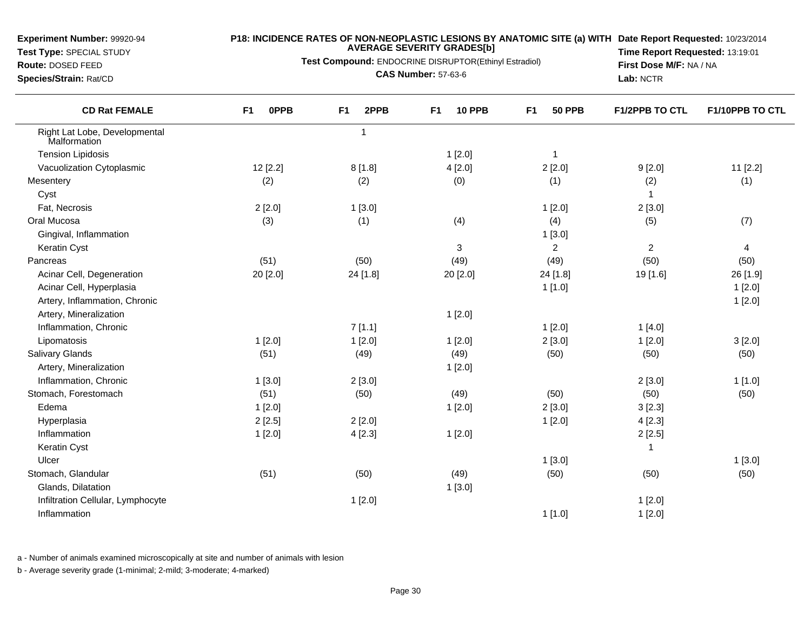**Test Type:** SPECIAL STUDY

#### **P18: INCIDENCE RATES OF NON-NEOPLASTIC LESIONS BY ANATOMIC SITE (a) WITH AVERAGE SEVERITY GRADES[b] Date Report Requested:** 10/23/2014

**Test Compound:** ENDOCRINE DISRUPTOR(Ethinyl Estradiol)

**Route:** DOSED FEED**Species/Strain:** Rat/CD

 $\overline{\phantom{0}}$ 

**CAS Number:** 57-63-6

**Time Report Requested:** 13:19:01**First Dose M/F:** NA / NA**Lab:** NCTR

| <b>CD Rat FEMALE</b>                          | <b>OPPB</b><br>F <sub>1</sub> | 2PPB<br>F <sub>1</sub> | <b>10 PPB</b><br>F <sub>1</sub> | F <sub>1</sub><br><b>50 PPB</b> | <b>F1/2PPB TO CTL</b> | F1/10PPB TO CTL         |
|-----------------------------------------------|-------------------------------|------------------------|---------------------------------|---------------------------------|-----------------------|-------------------------|
| Right Lat Lobe, Developmental<br>Malformation |                               | $\mathbf{1}$           |                                 |                                 |                       |                         |
| <b>Tension Lipidosis</b>                      |                               |                        | 1[2.0]                          | $\overline{1}$                  |                       |                         |
| Vacuolization Cytoplasmic                     | 12 [2.2]                      | 8[1.8]                 | 4[2.0]                          | 2[2.0]                          | 9[2.0]                | 11 [2.2]                |
| Mesentery                                     | (2)                           | (2)                    | (0)                             | (1)                             | (2)                   | (1)                     |
| Cyst                                          |                               |                        |                                 |                                 | $\mathbf{1}$          |                         |
| Fat, Necrosis                                 | 2[2.0]                        | 1[3.0]                 |                                 | 1[2.0]                          | 2[3.0]                |                         |
| Oral Mucosa                                   | (3)                           | (1)                    | (4)                             | (4)                             | (5)                   | (7)                     |
| Gingival, Inflammation                        |                               |                        |                                 | 1[3.0]                          |                       |                         |
| Keratin Cyst                                  |                               |                        | 3                               | $\overline{2}$                  | $\overline{c}$        | $\overline{\mathbf{4}}$ |
| Pancreas                                      | (51)                          | (50)                   | (49)                            | (49)                            | (50)                  | (50)                    |
| Acinar Cell, Degeneration                     | 20 [2.0]                      | 24 [1.8]               | 20 [2.0]                        | 24 [1.8]                        | 19 [1.6]              | 26 [1.9]                |
| Acinar Cell, Hyperplasia                      |                               |                        |                                 | 1[1.0]                          |                       | 1[2.0]                  |
| Artery, Inflammation, Chronic                 |                               |                        |                                 |                                 |                       | 1[2.0]                  |
| Artery, Mineralization                        |                               |                        | 1[2.0]                          |                                 |                       |                         |
| Inflammation, Chronic                         |                               | 7[1.1]                 |                                 | 1[2.0]                          | 1[4.0]                |                         |
| Lipomatosis                                   | 1[2.0]                        | 1[2.0]                 | 1[2.0]                          | 2[3.0]                          | 1[2.0]                | 3[2.0]                  |
| <b>Salivary Glands</b>                        | (51)                          | (49)                   | (49)                            | (50)                            | (50)                  | (50)                    |
| Artery, Mineralization                        |                               |                        | 1[2.0]                          |                                 |                       |                         |
| Inflammation, Chronic                         | 1[3.0]                        | 2[3.0]                 |                                 |                                 | 2[3.0]                | 1[1.0]                  |
| Stomach, Forestomach                          | (51)                          | (50)                   | (49)                            | (50)                            | (50)                  | (50)                    |
| Edema                                         | 1[2.0]                        |                        | 1[2.0]                          | 2[3.0]                          | 3[2.3]                |                         |
| Hyperplasia                                   | 2[2.5]                        | 2[2.0]                 |                                 | 1[2.0]                          | 4[2.3]                |                         |
| Inflammation                                  | 1[2.0]                        | 4[2.3]                 | 1[2.0]                          |                                 | 2[2.5]                |                         |
| Keratin Cyst                                  |                               |                        |                                 |                                 | 1                     |                         |
| Ulcer                                         |                               |                        |                                 | 1[3.0]                          |                       | 1[3.0]                  |
| Stomach, Glandular                            | (51)                          | (50)                   | (49)                            | (50)                            | (50)                  | (50)                    |
| Glands, Dilatation                            |                               |                        | 1[3.0]                          |                                 |                       |                         |
| Infiltration Cellular, Lymphocyte             |                               | 1[2.0]                 |                                 |                                 | 1[2.0]                |                         |
| Inflammation                                  |                               |                        |                                 | 1[1.0]                          | 1[2.0]                |                         |

a - Number of animals examined microscopically at site and number of animals with lesion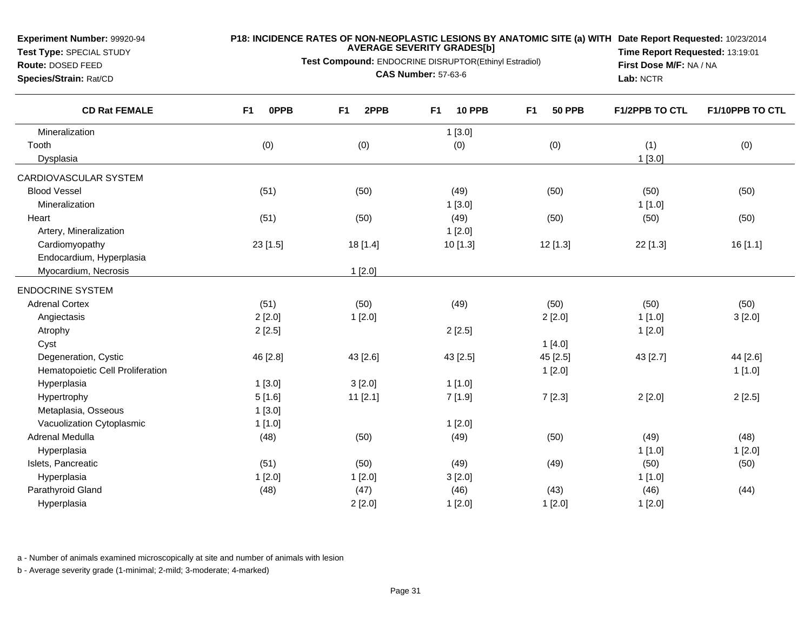**Test Type:** SPECIAL STUDY

#### **P18: INCIDENCE RATES OF NON-NEOPLASTIC LESIONS BY ANATOMIC SITE (a) WITH AVERAGE SEVERITY GRADES[b] Date Report Requested:** 10/23/2014

**Test Compound:** ENDOCRINE DISRUPTOR(Ethinyl Estradiol)

**Route:** DOSED FEED**Species/Strain:** Rat/CD

**CAS Number:** 57-63-6

**Time Report Requested:** 13:19:01**First Dose M/F:** NA / NA**Lab:** NCTR

| <b>CD Rat FEMALE</b>             | F <sub>1</sub><br><b>OPPB</b> | F <sub>1</sub><br>2PPB | F <sub>1</sub><br><b>10 PPB</b> | F <sub>1</sub><br><b>50 PPB</b> | <b>F1/2PPB TO CTL</b> | F1/10PPB TO CTL |
|----------------------------------|-------------------------------|------------------------|---------------------------------|---------------------------------|-----------------------|-----------------|
| Mineralization                   |                               |                        | 1[3.0]                          |                                 |                       |                 |
| Tooth                            | (0)                           | (0)                    | (0)                             | (0)                             | (1)                   | (0)             |
| Dysplasia                        |                               |                        |                                 |                                 | $1$ [3.0]             |                 |
| CARDIOVASCULAR SYSTEM            |                               |                        |                                 |                                 |                       |                 |
| <b>Blood Vessel</b>              | (51)                          | (50)                   | (49)                            | (50)                            | (50)                  | (50)            |
| Mineralization                   |                               |                        | 1[3.0]                          |                                 | 1[1.0]                |                 |
| Heart                            | (51)                          | (50)                   | (49)                            | (50)                            | (50)                  | (50)            |
| Artery, Mineralization           |                               |                        | 1[2.0]                          |                                 |                       |                 |
| Cardiomyopathy                   | $23$ [1.5]                    | 18 [1.4]               | 10 [1.3]                        | 12 [1.3]                        | 22 [1.3]              | 16 [1.1]        |
| Endocardium, Hyperplasia         |                               |                        |                                 |                                 |                       |                 |
| Myocardium, Necrosis             |                               | 1[2.0]                 |                                 |                                 |                       |                 |
| <b>ENDOCRINE SYSTEM</b>          |                               |                        |                                 |                                 |                       |                 |
| <b>Adrenal Cortex</b>            | (51)                          | (50)                   | (49)                            | (50)                            | (50)                  | (50)            |
| Angiectasis                      | 2[2.0]                        | 1[2.0]                 |                                 | 2[2.0]                          | 1[1.0]                | 3[2.0]          |
| Atrophy                          | 2[2.5]                        |                        | 2[2.5]                          |                                 | 1[2.0]                |                 |
| Cyst                             |                               |                        |                                 | 1[4.0]                          |                       |                 |
| Degeneration, Cystic             | 46 [2.8]                      | 43 [2.6]               | 43 [2.5]                        | 45 [2.5]                        | 43 [2.7]              | 44 [2.6]        |
| Hematopoietic Cell Proliferation |                               |                        |                                 | 1[2.0]                          |                       | 1[1.0]          |
| Hyperplasia                      | 1[3.0]                        | 3[2.0]                 | 1[1.0]                          |                                 |                       |                 |
| Hypertrophy                      | 5[1.6]                        | $11$ [2.1]             | 7 [1.9]                         | 7[2.3]                          | 2[2.0]                | 2[2.5]          |
| Metaplasia, Osseous              | 1[3.0]                        |                        |                                 |                                 |                       |                 |
| Vacuolization Cytoplasmic        | 1[1.0]                        |                        | 1[2.0]                          |                                 |                       |                 |
| Adrenal Medulla                  | (48)                          | (50)                   | (49)                            | (50)                            | (49)                  | (48)            |
| Hyperplasia                      |                               |                        |                                 |                                 | 1[1.0]                | 1[2.0]          |
| Islets, Pancreatic               | (51)                          | (50)                   | (49)                            | (49)                            | (50)                  | (50)            |
| Hyperplasia                      | 1[2.0]                        | 1[2.0]                 | 3[2.0]                          |                                 | 1[1.0]                |                 |
| Parathyroid Gland                | (48)                          | (47)                   | (46)                            | (43)                            | (46)                  | (44)            |
| Hyperplasia                      |                               | 2[2.0]                 | 1[2.0]                          | 1[2.0]                          | 1[2.0]                |                 |

a - Number of animals examined microscopically at site and number of animals with lesion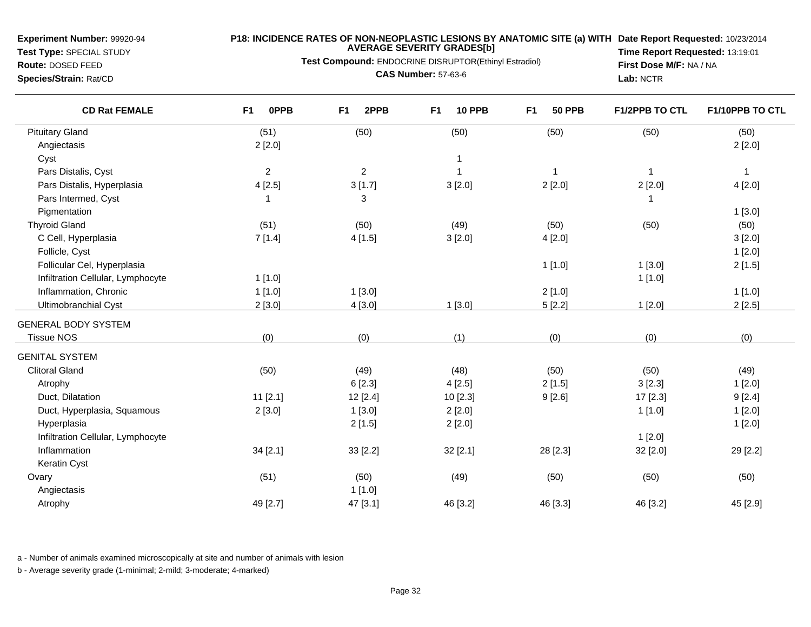**Test Type:** SPECIAL STUDY**Route:** DOSED FEED

**Species/Strain:** Rat/CD

#### **P18: INCIDENCE RATES OF NON-NEOPLASTIC LESIONS BY ANATOMIC SITE (a) WITH AVERAGE SEVERITY GRADES[b] Date Report Requested:** 10/23/2014

**Test Compound:** ENDOCRINE DISRUPTOR(Ethinyl Estradiol)

**CAS Number:** 57-63-6

**Time Report Requested:** 13:19:01**First Dose M/F:** NA / NA**Lab:** NCTR

| <b>CD Rat FEMALE</b>              | 0PPB<br>F <sub>1</sub> | 2PPB<br>F <sub>1</sub> | F <sub>1</sub><br><b>10 PPB</b> | F <sub>1</sub><br><b>50 PPB</b> | <b>F1/2PPB TO CTL</b> | F1/10PPB TO CTL |
|-----------------------------------|------------------------|------------------------|---------------------------------|---------------------------------|-----------------------|-----------------|
| <b>Pituitary Gland</b>            | (51)                   | (50)                   | (50)                            | (50)                            | (50)                  | (50)            |
| Angiectasis                       | 2[2.0]                 |                        |                                 |                                 |                       | 2[2.0]          |
| Cyst                              |                        |                        | $\mathbf{1}$                    |                                 |                       |                 |
| Pars Distalis, Cyst               | $\boldsymbol{2}$       | $\overline{c}$         | $\mathbf{1}$                    | $\overline{1}$                  | -1                    | $\overline{1}$  |
| Pars Distalis, Hyperplasia        | 4[2.5]                 | 3[1.7]                 | 3[2.0]                          | 2[2.0]                          | 2[2.0]                | 4[2.0]          |
| Pars Intermed, Cyst               | 1                      | 3                      |                                 |                                 |                       |                 |
| Pigmentation                      |                        |                        |                                 |                                 |                       | 1[3.0]          |
| <b>Thyroid Gland</b>              | (51)                   | (50)                   | (49)                            | (50)                            | (50)                  | (50)            |
| C Cell, Hyperplasia               | 7[1.4]                 | 4[1.5]                 | 3[2.0]                          | 4[2.0]                          |                       | 3[2.0]          |
| Follicle, Cyst                    |                        |                        |                                 |                                 |                       | 1[2.0]          |
| Follicular Cel, Hyperplasia       |                        |                        |                                 | 1[1.0]                          | 1[3.0]                | 2[1.5]          |
| Infiltration Cellular, Lymphocyte | 1[1.0]                 |                        |                                 |                                 | 1[1.0]                |                 |
| Inflammation, Chronic             | 1[1.0]                 | 1[3.0]                 |                                 | 2[1.0]                          |                       | 1[1.0]          |
| Ultimobranchial Cyst              | 2[3.0]                 | 4[3.0]                 | 1[3.0]                          | 5[2.2]                          | 1[2.0]                | 2[2.5]          |
| <b>GENERAL BODY SYSTEM</b>        |                        |                        |                                 |                                 |                       |                 |
| <b>Tissue NOS</b>                 | (0)                    | (0)                    | (1)                             | (0)                             | (0)                   | (0)             |
| <b>GENITAL SYSTEM</b>             |                        |                        |                                 |                                 |                       |                 |
| <b>Clitoral Gland</b>             | (50)                   | (49)                   | (48)                            | (50)                            | (50)                  | (49)            |
| Atrophy                           |                        | 6[2.3]                 | 4[2.5]                          | 2[1.5]                          | 3[2.3]                | 1[2.0]          |
| Duct, Dilatation                  | $11$ [2.1]             | 12 [2.4]               | 10 [2.3]                        | 9[2.6]                          | 17 [2.3]              | 9[2.4]          |
| Duct, Hyperplasia, Squamous       | 2[3.0]                 | 1[3.0]                 | 2[2.0]                          |                                 | 1[1.0]                | 1[2.0]          |
| Hyperplasia                       |                        | 2[1.5]                 | 2[2.0]                          |                                 |                       | 1[2.0]          |
| Infiltration Cellular, Lymphocyte |                        |                        |                                 |                                 | 1[2.0]                |                 |
| Inflammation                      | 34 [2.1]               | 33 [2.2]               | 32 [2.1]                        | 28 [2.3]                        | 32 [2.0]              | 29 [2.2]        |
| Keratin Cyst                      |                        |                        |                                 |                                 |                       |                 |
| Ovary                             | (51)                   | (50)                   | (49)                            | (50)                            | (50)                  | (50)            |
| Angiectasis                       |                        | 1[1.0]                 |                                 |                                 |                       |                 |
| Atrophy                           | 49 [2.7]               | 47 [3.1]               | 46 [3.2]                        | 46 [3.3]                        | 46 [3.2]              | 45 [2.9]        |

a - Number of animals examined microscopically at site and number of animals with lesion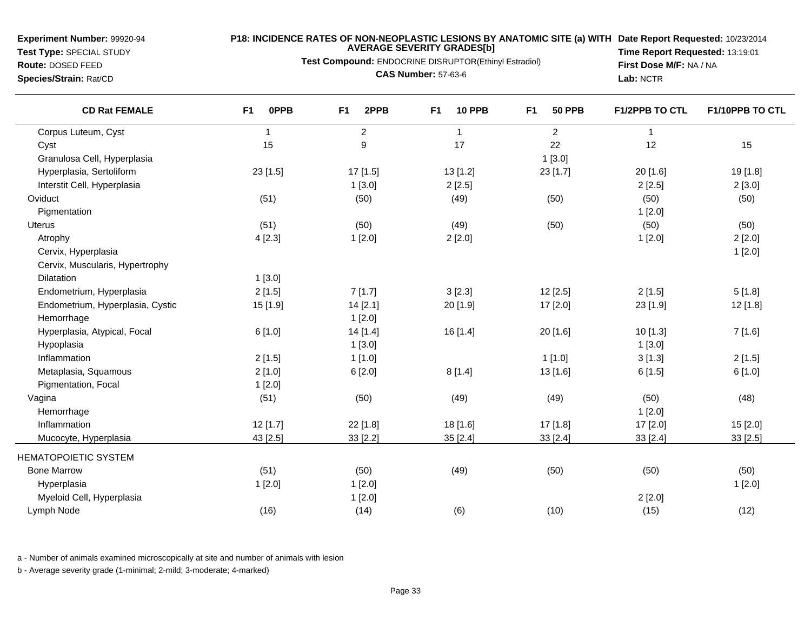**Test Type:** SPECIAL STUDY**Route:** DOSED FEED

#### **P18: INCIDENCE RATES OF NON-NEOPLASTIC LESIONS BY ANATOMIC SITE (a) WITH AVERAGE SEVERITY GRADES[b] Date Report Requested:** 10/23/2014

**Test Compound:** ENDOCRINE DISRUPTOR(Ethinyl Estradiol)

**Species/Strain:** Rat/CD

**CAS Number:** 57-63-6

**Time Report Requested:** 13:19:01**First Dose M/F:** NA / NA**Lab:** NCTR

| <b>CD Rat FEMALE</b>             | F <sub>1</sub><br>0PPB | F <sub>1</sub><br>2PPB | F <sub>1</sub><br><b>10 PPB</b> | F1<br><b>50 PPB</b> | <b>F1/2PPB TO CTL</b> | F1/10PPB TO CTL |
|----------------------------------|------------------------|------------------------|---------------------------------|---------------------|-----------------------|-----------------|
| Corpus Luteum, Cyst              | $\mathbf{1}$           | $\overline{2}$         | $\overline{1}$                  | $\overline{2}$      | $\mathbf{1}$          |                 |
| Cyst                             | 15                     | $\boldsymbol{9}$       | 17                              | 22                  | 12                    | 15              |
| Granulosa Cell, Hyperplasia      |                        |                        |                                 | 1[3.0]              |                       |                 |
| Hyperplasia, Sertoliform         | 23 [1.5]               | 17 [1.5]               | 13 [1.2]                        | 23 [1.7]            | 20 [1.6]              | 19 [1.8]        |
| Interstit Cell, Hyperplasia      |                        | 1[3.0]                 | 2[2.5]                          |                     | 2[2.5]                | 2[3.0]          |
| Oviduct                          | (51)                   | (50)                   | (49)                            | (50)                | (50)                  | (50)            |
| Pigmentation                     |                        |                        |                                 |                     | 1[2.0]                |                 |
| Uterus                           | (51)                   | (50)                   | (49)                            | (50)                | (50)                  | (50)            |
| Atrophy                          | 4[2.3]                 | 1[2.0]                 | 2[2.0]                          |                     | 1[2.0]                | 2[2.0]          |
| Cervix, Hyperplasia              |                        |                        |                                 |                     |                       | 1[2.0]          |
| Cervix, Muscularis, Hypertrophy  |                        |                        |                                 |                     |                       |                 |
| Dilatation                       | 1[3.0]                 |                        |                                 |                     |                       |                 |
| Endometrium, Hyperplasia         | 2[1.5]                 | 7[1.7]                 | 3 [2.3]                         | 12[2.5]             | 2[1.5]                | 5[1.8]          |
| Endometrium, Hyperplasia, Cystic | 15 [1.9]               | 14 [2.1]               | 20 [1.9]                        | 17 [2.0]            | 23 [1.9]              | 12 [1.8]        |
| Hemorrhage                       |                        | 1[2.0]                 |                                 |                     |                       |                 |
| Hyperplasia, Atypical, Focal     | 6[1.0]                 | 14 [1.4]               | 16 [1.4]                        | 20 [1.6]            | 10 [1.3]              | 7 [1.6]         |
| Hypoplasia                       |                        | 1[3.0]                 |                                 |                     | 1[3.0]                |                 |
| Inflammation                     | 2[1.5]                 | 1[1.0]                 |                                 | 1[1.0]              | 3[1.3]                | 2[1.5]          |
| Metaplasia, Squamous             | 2[1.0]                 | 6[2.0]                 | 8[1.4]                          | 13 [1.6]            | 6[1.5]                | 6[1.0]          |
| Pigmentation, Focal              | 1[2.0]                 |                        |                                 |                     |                       |                 |
| Vagina                           | (51)                   | (50)                   | (49)                            | (49)                | (50)                  | (48)            |
| Hemorrhage                       |                        |                        |                                 |                     | 1[2.0]                |                 |
| Inflammation                     | 12 [1.7]               | 22 [1.8]               | 18 [1.6]                        | 17 [1.8]            | 17 [2.0]              | 15 [2.0]        |
| Mucocyte, Hyperplasia            | 43 [2.5]               | 33 [2.2]               | 35 [2.4]                        | 33 [2.4]            | 33 [2.4]              | 33 [2.5]        |
| <b>HEMATOPOIETIC SYSTEM</b>      |                        |                        |                                 |                     |                       |                 |
| <b>Bone Marrow</b>               | (51)                   | (50)                   | (49)                            | (50)                | (50)                  | (50)            |
| Hyperplasia                      | 1[2.0]                 | 1[2.0]                 |                                 |                     |                       | 1[2.0]          |
| Myeloid Cell, Hyperplasia        |                        | 1[2.0]                 |                                 |                     | 2[2.0]                |                 |
| Lymph Node                       | (16)                   | (14)                   | (6)                             | (10)                | (15)                  | (12)            |

a - Number of animals examined microscopically at site and number of animals with lesion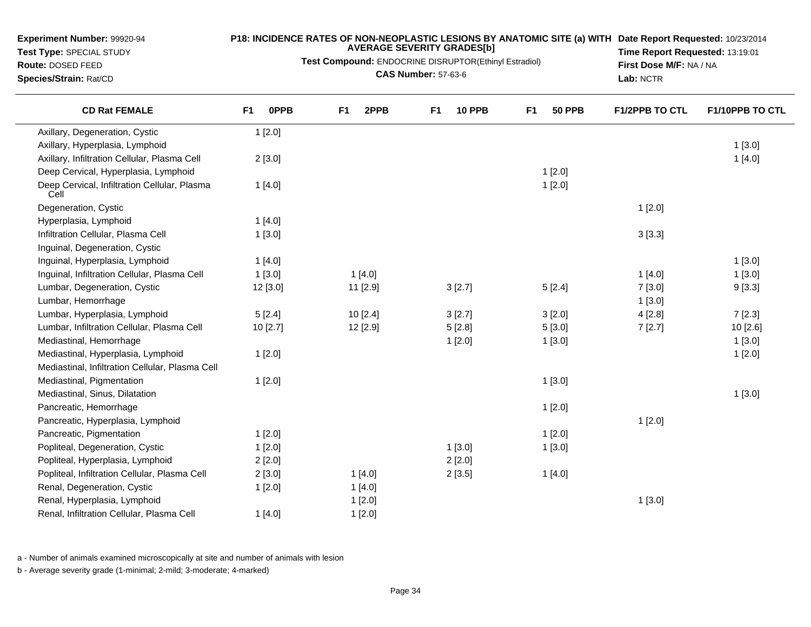**Test Type:** SPECIAL STUDY

**Route:** DOSED FEED**Species/Strain:** Rat/CD

#### **P18: INCIDENCE RATES OF NON-NEOPLASTIC LESIONS BY ANATOMIC SITE (a) WITH AVERAGE SEVERITY GRADES[b] Date Report Requested:** 10/23/2014

**Test Compound:** ENDOCRINE DISRUPTOR(Ethinyl Estradiol)

**CAS Number:** 57-63-6

**Time Report Requested:** 13:19:01**First Dose M/F:** NA / NA**Lab:** NCTR

| <b>CD Rat FEMALE</b>                                 | <b>OPPB</b><br>F <sub>1</sub> | 2PPB<br>F <sub>1</sub> | <b>10 PPB</b><br>F <sub>1</sub> | F <sub>1</sub><br><b>50 PPB</b> | <b>F1/2PPB TO CTL</b> | F1/10PPB TO CTL |
|------------------------------------------------------|-------------------------------|------------------------|---------------------------------|---------------------------------|-----------------------|-----------------|
| Axillary, Degeneration, Cystic                       | 1[2.0]                        |                        |                                 |                                 |                       |                 |
| Axillary, Hyperplasia, Lymphoid                      |                               |                        |                                 |                                 |                       | 1[3.0]          |
| Axillary, Infiltration Cellular, Plasma Cell         | 2[3.0]                        |                        |                                 |                                 |                       | 1[4.0]          |
| Deep Cervical, Hyperplasia, Lymphoid                 |                               |                        |                                 | 1[2.0]                          |                       |                 |
| Deep Cervical, Infiltration Cellular, Plasma<br>Cell | 1[4.0]                        |                        |                                 | 1[2.0]                          |                       |                 |
| Degeneration, Cystic                                 |                               |                        |                                 |                                 | 1[2.0]                |                 |
| Hyperplasia, Lymphoid                                | 1[4.0]                        |                        |                                 |                                 |                       |                 |
| Infiltration Cellular, Plasma Cell                   | 1[3.0]                        |                        |                                 |                                 | 3[3.3]                |                 |
| Inguinal, Degeneration, Cystic                       |                               |                        |                                 |                                 |                       |                 |
| Inguinal, Hyperplasia, Lymphoid                      | 1[4.0]                        |                        |                                 |                                 |                       | $1$ [3.0]       |
| Inguinal, Infiltration Cellular, Plasma Cell         | 1[3.0]                        | 1[4.0]                 |                                 |                                 | 1[4.0]                | 1[3.0]          |
| Lumbar, Degeneration, Cystic                         | 12 [3.0]                      | 11 [2.9]               | 3[2.7]                          | 5[2.4]                          | 7[3.0]                | 9[3.3]          |
| Lumbar, Hemorrhage                                   |                               |                        |                                 |                                 | 1[3.0]                |                 |
| Lumbar, Hyperplasia, Lymphoid                        | 5[2.4]                        | 10 [2.4]               | 3 [2.7]                         | 3[2.0]                          | 4[2.8]                | 7[2.3]          |
| Lumbar, Infiltration Cellular, Plasma Cell           | 10 [2.7]                      | 12 [2.9]               | 5[2.8]                          | 5[3.0]                          | 7[2.7]                | 10 [2.6]        |
| Mediastinal, Hemorrhage                              |                               |                        | 1[2.0]                          | 1[3.0]                          |                       | 1[3.0]          |
| Mediastinal, Hyperplasia, Lymphoid                   | 1[2.0]                        |                        |                                 |                                 |                       | 1[2.0]          |
| Mediastinal, Infiltration Cellular, Plasma Cell      |                               |                        |                                 |                                 |                       |                 |
| Mediastinal, Pigmentation                            | 1[2.0]                        |                        |                                 | 1[3.0]                          |                       |                 |
| Mediastinal, Sinus, Dilatation                       |                               |                        |                                 |                                 |                       | 1[3.0]          |
| Pancreatic, Hemorrhage                               |                               |                        |                                 | 1[2.0]                          |                       |                 |
| Pancreatic, Hyperplasia, Lymphoid                    |                               |                        |                                 |                                 | 1[2.0]                |                 |
| Pancreatic, Pigmentation                             | 1[2.0]                        |                        |                                 | 1[2.0]                          |                       |                 |
| Popliteal, Degeneration, Cystic                      | 1[2.0]                        |                        | 1[3.0]                          | 1[3.0]                          |                       |                 |
| Popliteal, Hyperplasia, Lymphoid                     | 2[2.0]                        |                        | 2[2.0]                          |                                 |                       |                 |
| Popliteal, Infiltration Cellular, Plasma Cell        | 2[3.0]                        | 1[4.0]                 | 2[3.5]                          | 1[4.0]                          |                       |                 |
| Renal, Degeneration, Cystic                          | 1[2.0]                        | 1[4.0]                 |                                 |                                 |                       |                 |
| Renal, Hyperplasia, Lymphoid                         |                               | 1[2.0]                 |                                 |                                 | 1[3.0]                |                 |
| Renal, Infiltration Cellular, Plasma Cell            | 1[4.0]                        | 1[2.0]                 |                                 |                                 |                       |                 |

a - Number of animals examined microscopically at site and number of animals with lesion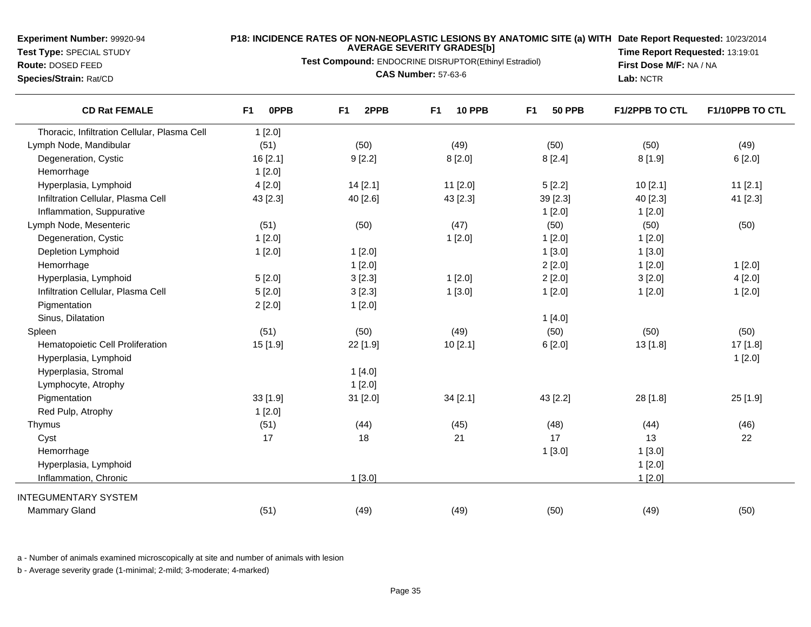**Test Type:** SPECIAL STUDY**Route:** DOSED FEED

#### **P18: INCIDENCE RATES OF NON-NEOPLASTIC LESIONS BY ANATOMIC SITE (a) WITH AVERAGE SEVERITY GRADES[b] Date Report Requested:** 10/23/2014

**Test Compound:** ENDOCRINE DISRUPTOR(Ethinyl Estradiol)

**Species/Strain:** Rat/CD

**CAS Number:** 57-63-6

**Time Report Requested:** 13:19:01**First Dose M/F:** NA / NA**Lab:** NCTR

| <b>CD Rat FEMALE</b>                         | 0PPB<br>F <sub>1</sub> | 2PPB<br>F <sub>1</sub> | <b>10 PPB</b><br>F <sub>1</sub> | F <sub>1</sub><br><b>50 PPB</b> | <b>F1/2PPB TO CTL</b> | F1/10PPB TO CTL |
|----------------------------------------------|------------------------|------------------------|---------------------------------|---------------------------------|-----------------------|-----------------|
| Thoracic, Infiltration Cellular, Plasma Cell | 1[2.0]                 |                        |                                 |                                 |                       |                 |
| Lymph Node, Mandibular                       | (51)                   | (50)                   | (49)                            | (50)                            | (50)                  | (49)            |
| Degeneration, Cystic                         | 16 [2.1]               | 9[2.2]                 | 8[2.0]                          | 8[2.4]                          | 8[1.9]                | 6[2.0]          |
| Hemorrhage                                   | 1[2.0]                 |                        |                                 |                                 |                       |                 |
| Hyperplasia, Lymphoid                        | 4[2.0]                 | 14 [2.1]               | 11 [2.0]                        | 5[2.2]                          | 10[2.1]               | $11$ [2.1]      |
| Infiltration Cellular, Plasma Cell           | 43 [2.3]               | 40 [2.6]               | 43 [2.3]                        | 39 [2.3]                        | 40 [2.3]              | 41 [2.3]        |
| Inflammation, Suppurative                    |                        |                        |                                 | 1[2.0]                          | 1[2.0]                |                 |
| Lymph Node, Mesenteric                       | (51)                   | (50)                   | (47)                            | (50)                            | (50)                  | (50)            |
| Degeneration, Cystic                         | 1[2.0]                 |                        | 1[2.0]                          | 1[2.0]                          | 1[2.0]                |                 |
| Depletion Lymphoid                           | 1[2.0]                 | 1[2.0]                 |                                 | 1[3.0]                          | 1[3.0]                |                 |
| Hemorrhage                                   |                        | 1[2.0]                 |                                 | 2[2.0]                          | 1[2.0]                | 1[2.0]          |
| Hyperplasia, Lymphoid                        | 5[2.0]                 | 3[2.3]                 | 1[2.0]                          | 2[2.0]                          | 3[2.0]                | 4[2.0]          |
| Infiltration Cellular, Plasma Cell           | 5[2.0]                 | 3[2.3]                 | 1[3.0]                          | 1[2.0]                          | 1[2.0]                | 1[2.0]          |
| Pigmentation                                 | 2[2.0]                 | 1[2.0]                 |                                 |                                 |                       |                 |
| Sinus, Dilatation                            |                        |                        |                                 | 1[4.0]                          |                       |                 |
| Spleen                                       | (51)                   | (50)                   | (49)                            | (50)                            | (50)                  | (50)            |
| Hematopoietic Cell Proliferation             | 15 [1.9]               | 22 [1.9]               | 10 [2.1]                        | 6[2.0]                          | 13 [1.8]              | 17 [1.8]        |
| Hyperplasia, Lymphoid                        |                        |                        |                                 |                                 |                       | 1[2.0]          |
| Hyperplasia, Stromal                         |                        | 1[4.0]                 |                                 |                                 |                       |                 |
| Lymphocyte, Atrophy                          |                        | 1[2.0]                 |                                 |                                 |                       |                 |
| Pigmentation                                 | 33 [1.9]               | 31 [2.0]               | 34 [2.1]                        | 43 [2.2]                        | 28 [1.8]              | 25 [1.9]        |
| Red Pulp, Atrophy                            | 1[2.0]                 |                        |                                 |                                 |                       |                 |
| Thymus                                       | (51)                   | (44)                   | (45)                            | (48)                            | (44)                  | (46)            |
| Cyst                                         | 17                     | 18                     | 21                              | 17                              | 13                    | 22              |
| Hemorrhage                                   |                        |                        |                                 | 1[3.0]                          | 1[3.0]                |                 |
| Hyperplasia, Lymphoid                        |                        |                        |                                 |                                 | 1[2.0]                |                 |
| Inflammation, Chronic                        |                        | $1$ [3.0]              |                                 |                                 | 1[2.0]                |                 |
| <b>INTEGUMENTARY SYSTEM</b>                  |                        |                        |                                 |                                 |                       |                 |
| <b>Mammary Gland</b>                         | (51)                   | (49)                   | (49)                            | (50)                            | (49)                  | (50)            |
|                                              |                        |                        |                                 |                                 |                       |                 |

a - Number of animals examined microscopically at site and number of animals with lesion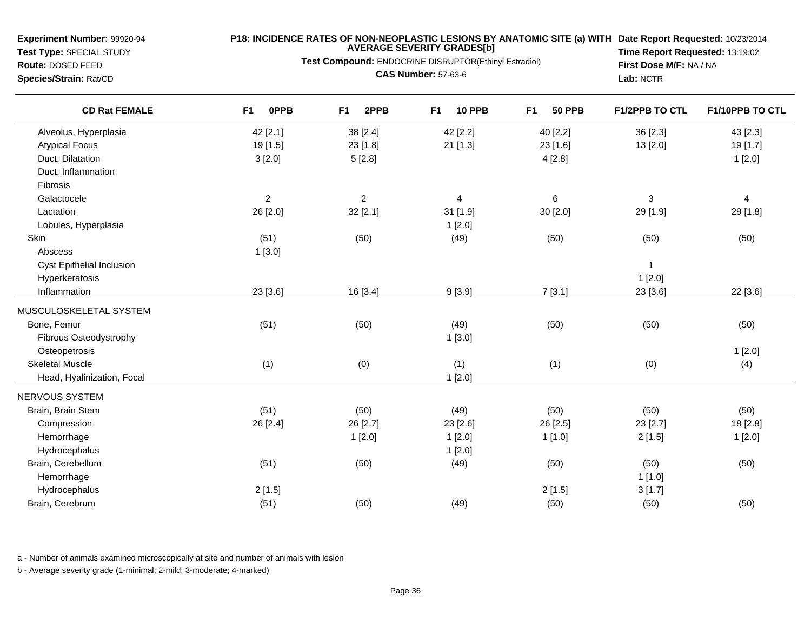**Test Type:** SPECIAL STUDY**Route:** DOSED FEED

**Species/Strain:** Rat/CD

## **P18: INCIDENCE RATES OF NON-NEOPLASTIC LESIONS BY ANATOMIC SITE (a) WITH AVERAGE SEVERITY GRADES[b] Date Report Requested:** 10/23/2014

**Test Compound:** ENDOCRINE DISRUPTOR(Ethinyl Estradiol)**CAS Number:** 57-63-6

**Time Report Requested:** 13:19:02**First Dose M/F:** NA / NA**Lab:** NCTR

| <b>CD Rat FEMALE</b>       | 0PPB<br>F <sub>1</sub> | 2PPB<br>F <sub>1</sub> | <b>10 PPB</b><br>F <sub>1</sub> | F <sub>1</sub><br><b>50 PPB</b> | F1/2PPB TO CTL | F1/10PPB TO CTL         |
|----------------------------|------------------------|------------------------|---------------------------------|---------------------------------|----------------|-------------------------|
| Alveolus, Hyperplasia      | 42 [2.1]               | 38 [2.4]               | 42 [2.2]                        | 40 [2.2]                        | 36 [2.3]       | 43 [2.3]                |
| <b>Atypical Focus</b>      | 19 [1.5]               | 23 [1.8]               | 21 [1.3]                        | 23 [1.6]                        | 13 [2.0]       | 19 [1.7]                |
| Duct, Dilatation           | 3[2.0]                 | 5[2.8]                 |                                 | 4[2.8]                          |                | 1[2.0]                  |
| Duct, Inflammation         |                        |                        |                                 |                                 |                |                         |
| Fibrosis                   |                        |                        |                                 |                                 |                |                         |
| Galactocele                | $\overline{c}$         | $\overline{c}$         | 4                               | 6                               | 3              | $\overline{\mathbf{4}}$ |
| Lactation                  | 26 [2.0]               | 32 [2.1]               | 31 [1.9]                        | 30 [2.0]                        | 29 [1.9]       | 29 [1.8]                |
| Lobules, Hyperplasia       |                        |                        | 1[2.0]                          |                                 |                |                         |
| Skin                       | (51)                   | (50)                   | (49)                            | (50)                            | (50)           | (50)                    |
| Abscess                    | 1[3.0]                 |                        |                                 |                                 |                |                         |
| Cyst Epithelial Inclusion  |                        |                        |                                 |                                 | $\mathbf{1}$   |                         |
| Hyperkeratosis             |                        |                        |                                 |                                 | 1[2.0]         |                         |
| Inflammation               | 23 [3.6]               | 16 [3.4]               | 9[3.9]                          | 7[3.1]                          | 23 [3.6]       | 22 [3.6]                |
| MUSCULOSKELETAL SYSTEM     |                        |                        |                                 |                                 |                |                         |
| Bone, Femur                | (51)                   | (50)                   | (49)                            | (50)                            | (50)           | (50)                    |
| Fibrous Osteodystrophy     |                        |                        | 1[3.0]                          |                                 |                |                         |
| Osteopetrosis              |                        |                        |                                 |                                 |                | 1[2.0]                  |
| <b>Skeletal Muscle</b>     | (1)                    | (0)                    | (1)                             | (1)                             | (0)            | (4)                     |
| Head, Hyalinization, Focal |                        |                        | 1[2.0]                          |                                 |                |                         |
| NERVOUS SYSTEM             |                        |                        |                                 |                                 |                |                         |
| Brain, Brain Stem          | (51)                   | (50)                   | (49)                            | (50)                            | (50)           | (50)                    |
| Compression                | 26 [2.4]               | 26 [2.7]               | 23 [2.6]                        | 26 [2.5]                        | 23 [2.7]       | 18 [2.8]                |
| Hemorrhage                 |                        | 1[2.0]                 | 1[2.0]                          | 1[1.0]                          | 2[1.5]         | 1[2.0]                  |
| Hydrocephalus              |                        |                        | 1[2.0]                          |                                 |                |                         |
| Brain, Cerebellum          | (51)                   | (50)                   | (49)                            | (50)                            | (50)           | (50)                    |
| Hemorrhage                 |                        |                        |                                 |                                 | 1[1.0]         |                         |
| Hydrocephalus              | 2[1.5]                 |                        |                                 | 2[1.5]                          | 3[1.7]         |                         |
| Brain, Cerebrum            | (51)                   | (50)                   | (49)                            | (50)                            | (50)           | (50)                    |
|                            |                        |                        |                                 |                                 |                |                         |

a - Number of animals examined microscopically at site and number of animals with lesion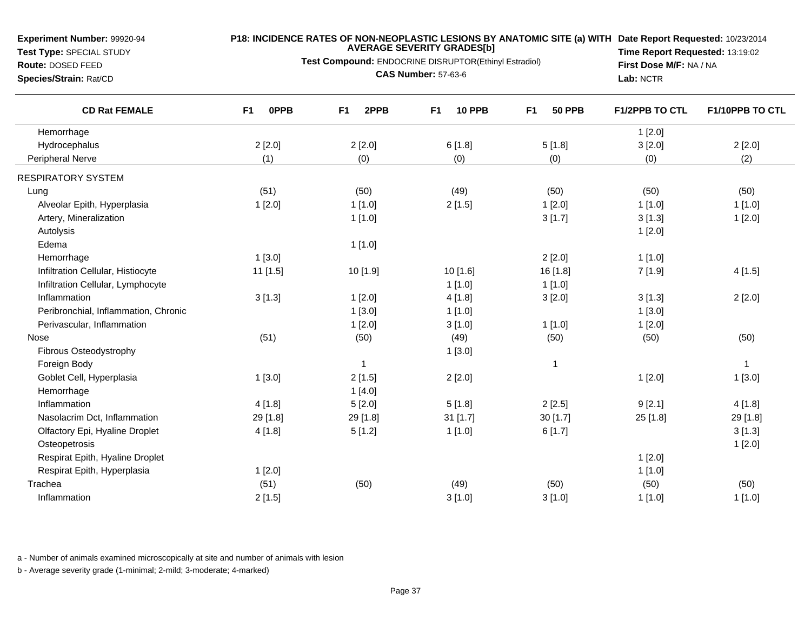**Test Type:** SPECIAL STUDY

#### **P18: INCIDENCE RATES OF NON-NEOPLASTIC LESIONS BY ANATOMIC SITE (a) WITH AVERAGE SEVERITY GRADES[b] Date Report Requested:** 10/23/2014

**Test Compound:** ENDOCRINE DISRUPTOR(Ethinyl Estradiol)

**Route:** DOSED FEED**Species/Strain:** Rat/CD

**CAS Number:** 57-63-6

**Time Report Requested:** 13:19:02**First Dose M/F:** NA / NA**Lab:** NCTR

| <b>CD Rat FEMALE</b>                 | 0PPB<br>F1 | F <sub>1</sub><br>2PPB | <b>10 PPB</b><br>F <sub>1</sub> | F <sub>1</sub><br><b>50 PPB</b> | <b>F1/2PPB TO CTL</b> | F1/10PPB TO CTL |
|--------------------------------------|------------|------------------------|---------------------------------|---------------------------------|-----------------------|-----------------|
| Hemorrhage                           |            |                        |                                 |                                 | 1[2.0]                |                 |
| Hydrocephalus                        | 2[2.0]     | 2[2.0]                 | 6[1.8]                          | 5[1.8]                          | 3[2.0]                | 2[2.0]          |
| <b>Peripheral Nerve</b>              | (1)        | (0)                    | (0)                             | (0)                             | (0)                   | (2)             |
| <b>RESPIRATORY SYSTEM</b>            |            |                        |                                 |                                 |                       |                 |
| Lung                                 | (51)       | (50)                   | (49)                            | (50)                            | (50)                  | (50)            |
| Alveolar Epith, Hyperplasia          | 1[2.0]     | 1[1.0]                 | 2[1.5]                          | 1[2.0]                          | 1[1.0]                | 1[1.0]          |
| Artery, Mineralization               |            | 1[1.0]                 |                                 | 3[1.7]                          | 3[1.3]                | 1[2.0]          |
| Autolysis                            |            |                        |                                 |                                 | 1[2.0]                |                 |
| Edema                                |            | 1[1.0]                 |                                 |                                 |                       |                 |
| Hemorrhage                           | 1[3.0]     |                        |                                 | 2[2.0]                          | 1[1.0]                |                 |
| Infiltration Cellular, Histiocyte    | 11 [1.5]   | 10 [1.9]               | 10 [1.6]                        | 16 [1.8]                        | 7[1.9]                | 4[1.5]          |
| Infiltration Cellular, Lymphocyte    |            |                        | 1[1.0]                          | 1[1.0]                          |                       |                 |
| Inflammation                         | 3[1.3]     | 1[2.0]                 | 4[1.8]                          | 3[2.0]                          | 3[1.3]                | 2[2.0]          |
| Peribronchial, Inflammation, Chronic |            | 1[3.0]                 | 1[1.0]                          |                                 | 1[3.0]                |                 |
| Perivascular, Inflammation           |            | 1[2.0]                 | 3[1.0]                          | 1[1.0]                          | 1[2.0]                |                 |
| Nose                                 | (51)       | (50)                   | (49)                            | (50)                            | (50)                  | (50)            |
| Fibrous Osteodystrophy               |            |                        | 1[3.0]                          |                                 |                       |                 |
| Foreign Body                         |            | $\overline{1}$         |                                 | 1                               |                       | $\mathbf{1}$    |
| Goblet Cell, Hyperplasia             | 1[3.0]     | 2[1.5]                 | 2[2.0]                          |                                 | 1[2.0]                | 1[3.0]          |
| Hemorrhage                           |            | 1[4.0]                 |                                 |                                 |                       |                 |
| Inflammation                         | 4[1.8]     | 5[2.0]                 | 5[1.8]                          | 2[2.5]                          | 9[2.1]                | 4[1.8]          |
| Nasolacrim Dct, Inflammation         | 29 [1.8]   | 29 [1.8]               | $31$ [1.7]                      | 30 [1.7]                        | 25 [1.8]              | 29 [1.8]        |
| Olfactory Epi, Hyaline Droplet       | 4[1.8]     | 5[1.2]                 | 1[1.0]                          | 6[1.7]                          |                       | 3[1.3]          |
| Osteopetrosis                        |            |                        |                                 |                                 |                       | 1[2.0]          |
| Respirat Epith, Hyaline Droplet      |            |                        |                                 |                                 | 1[2.0]                |                 |
| Respirat Epith, Hyperplasia          | 1[2.0]     |                        |                                 |                                 | 1[1.0]                |                 |
| Trachea                              | (51)       | (50)                   | (49)                            | (50)                            | (50)                  | (50)            |
| Inflammation                         | 2[1.5]     |                        | 3[1.0]                          | 3[1.0]                          | 1[1.0]                | 1[1.0]          |

a - Number of animals examined microscopically at site and number of animals with lesion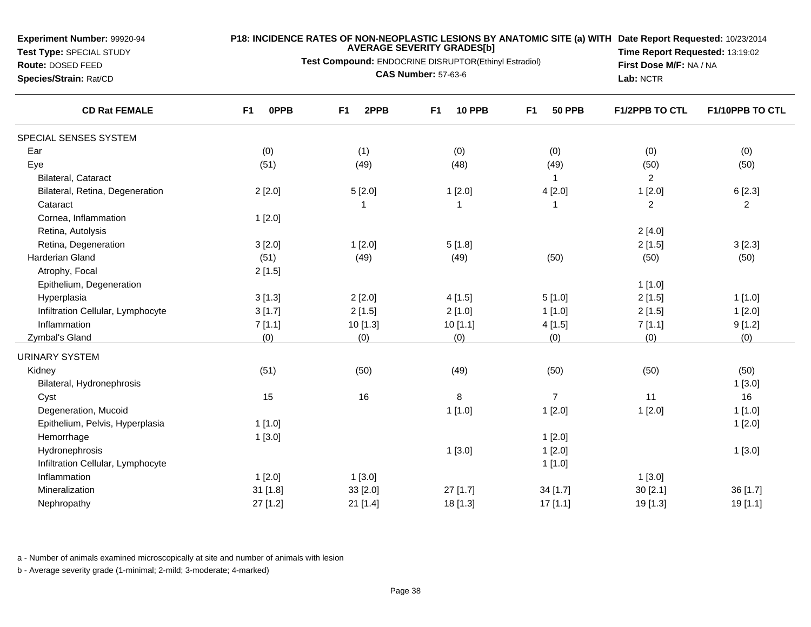**Test Type:** SPECIAL STUDY

# **Route:** DOSED FEED

**Species/Strain:** Rat/CD

#### **P18: INCIDENCE RATES OF NON-NEOPLASTIC LESIONS BY ANATOMIC SITE (a) WITH AVERAGE SEVERITY GRADES[b] Date Report Requested:** 10/23/2014

**Test Compound:** ENDOCRINE DISRUPTOR(Ethinyl Estradiol)

**CAS Number:** 57-63-6

**Time Report Requested:** 13:19:02**First Dose M/F:** NA / NA**Lab:** NCTR

| <b>CD Rat FEMALE</b>              | F <sub>1</sub><br>0PPB | 2PPB<br>F1 | <b>10 PPB</b><br>F <sub>1</sub> | <b>50 PPB</b><br>F <sub>1</sub> | <b>F1/2PPB TO CTL</b> | F1/10PPB TO CTL |
|-----------------------------------|------------------------|------------|---------------------------------|---------------------------------|-----------------------|-----------------|
| SPECIAL SENSES SYSTEM             |                        |            |                                 |                                 |                       |                 |
| Ear                               | (0)                    | (1)        | (0)                             | (0)                             | (0)                   | (0)             |
| Eye                               | (51)                   | (49)       | (48)                            | (49)                            | (50)                  | (50)            |
| Bilateral, Cataract               |                        |            |                                 |                                 | $\overline{c}$        |                 |
| Bilateral, Retina, Degeneration   | 2[2.0]                 | 5[2.0]     | 1[2.0]                          | 4[2.0]                          | 1[2.0]                | 6[2.3]          |
| Cataract                          |                        | 1          | 1                               | -1                              | $\overline{2}$        | $\overline{c}$  |
| Cornea, Inflammation              | 1[2.0]                 |            |                                 |                                 |                       |                 |
| Retina, Autolysis                 |                        |            |                                 |                                 | 2[4.0]                |                 |
| Retina, Degeneration              | 3[2.0]                 | 1[2.0]     | 5[1.8]                          |                                 | 2[1.5]                | 3[2.3]          |
| Harderian Gland                   | (51)                   | (49)       | (49)                            | (50)                            | (50)                  | (50)            |
| Atrophy, Focal                    | 2[1.5]                 |            |                                 |                                 |                       |                 |
| Epithelium, Degeneration          |                        |            |                                 |                                 | 1[1.0]                |                 |
| Hyperplasia                       | 3[1.3]                 | 2[2.0]     | 4[1.5]                          | 5[1.0]                          | 2[1.5]                | 1[1.0]          |
| Infiltration Cellular, Lymphocyte | 3[1.7]                 | 2[1.5]     | 2[1.0]                          | 1[1.0]                          | 2[1.5]                | 1[2.0]          |
| Inflammation                      | 7[1.1]                 | 10 [1.3]   | 10[1.1]                         | 4[1.5]                          | 7[1.1]                | 9[1.2]          |
| Zymbal's Gland                    | (0)                    | (0)        | (0)                             | (0)                             | (0)                   | (0)             |
| <b>URINARY SYSTEM</b>             |                        |            |                                 |                                 |                       |                 |
| Kidney                            | (51)                   | (50)       | (49)                            | (50)                            | (50)                  | (50)            |
| Bilateral, Hydronephrosis         |                        |            |                                 |                                 |                       | 1[3.0]          |
| Cyst                              | 15                     | 16         | 8                               | $\overline{7}$                  | 11                    | 16              |
| Degeneration, Mucoid              |                        |            | 1[1.0]                          | 1[2.0]                          | 1[2.0]                | 1[1.0]          |
| Epithelium, Pelvis, Hyperplasia   | 1[1.0]                 |            |                                 |                                 |                       | 1[2.0]          |
| Hemorrhage                        | 1[3.0]                 |            |                                 | 1[2.0]                          |                       |                 |
| Hydronephrosis                    |                        |            | 1[3.0]                          | 1[2.0]                          |                       | 1[3.0]          |
| Infiltration Cellular, Lymphocyte |                        |            |                                 | 1[1.0]                          |                       |                 |
| Inflammation                      | 1[2.0]                 | 1[3.0]     |                                 |                                 | 1[3.0]                |                 |
| Mineralization                    | 31 [1.8]               | 33 [2.0]   | 27 [1.7]                        | 34 [1.7]                        | 30[2.1]               | 36 [1.7]        |
| Nephropathy                       | 27 [1.2]               | 21 [1.4]   | 18 [1.3]                        | 17[1.1]                         | 19 [1.3]              | 19 [1.1]        |

a - Number of animals examined microscopically at site and number of animals with lesion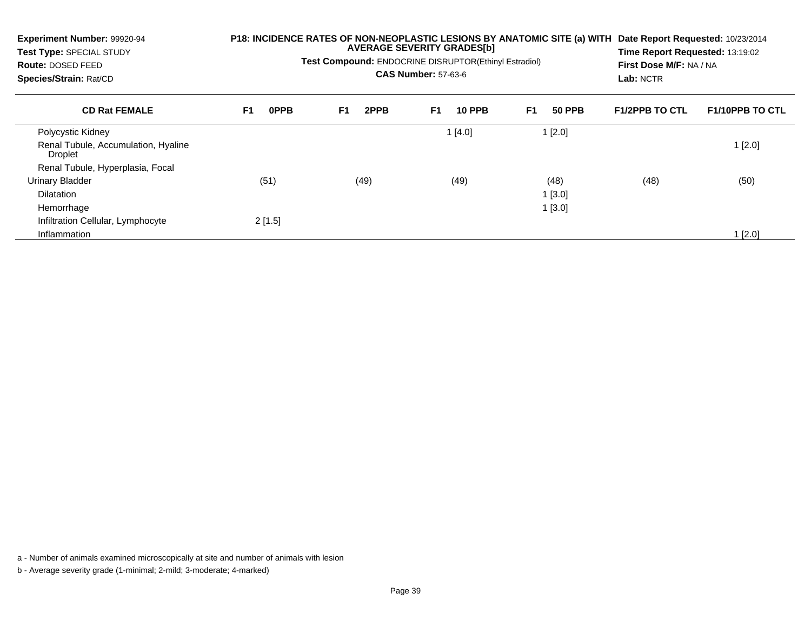| <b>Experiment Number: 99920-94</b><br>Test Type: SPECIAL STUDY<br>Route: DOSED FEED<br>Species/Strain: Rat/CD | P18: INCIDENCE RATES OF NON-NEOPLASTIC LESIONS BY ANATOMIC SITE (a) WITH<br><b>AVERAGE SEVERITY GRADES[b]</b><br>Test Compound: ENDOCRINE DISRUPTOR(Ethinyl Estradiol)<br><b>CAS Number: 57-63-6</b> |                        |                     | Date Report Requested: 10/23/2014<br>Time Report Requested: 13:19:02<br>First Dose M/F: NA / NA<br>Lab: NCTR |                       |                        |
|---------------------------------------------------------------------------------------------------------------|------------------------------------------------------------------------------------------------------------------------------------------------------------------------------------------------------|------------------------|---------------------|--------------------------------------------------------------------------------------------------------------|-----------------------|------------------------|
| <b>CD Rat FEMALE</b>                                                                                          | F <sub>1</sub><br><b>OPPB</b>                                                                                                                                                                        | F <sub>1</sub><br>2PPB | F1<br><b>10 PPB</b> | F <sub>1</sub><br><b>50 PPB</b>                                                                              | <b>F1/2PPB TO CTL</b> | <b>F1/10PPB TO CTL</b> |
| Polycystic Kidney                                                                                             |                                                                                                                                                                                                      |                        | 1[4.0]              | $1$ [2.0]                                                                                                    |                       |                        |
| Renal Tubule, Accumulation, Hyaline<br>Droplet                                                                |                                                                                                                                                                                                      |                        |                     |                                                                                                              |                       | 1[2.0]                 |
| Renal Tubule, Hyperplasia, Focal                                                                              |                                                                                                                                                                                                      |                        |                     |                                                                                                              |                       |                        |
| <b>Urinary Bladder</b>                                                                                        | (51)                                                                                                                                                                                                 | (49)                   | (49)                | (48)                                                                                                         | (48)                  | (50)                   |
| <b>Dilatation</b>                                                                                             |                                                                                                                                                                                                      |                        |                     | 1[3.0]                                                                                                       |                       |                        |
| Hemorrhage                                                                                                    |                                                                                                                                                                                                      |                        |                     | 1[3.0]                                                                                                       |                       |                        |
| Infiltration Cellular, Lymphocyte                                                                             | 2[1.5]                                                                                                                                                                                               |                        |                     |                                                                                                              |                       |                        |
| Inflammation                                                                                                  |                                                                                                                                                                                                      |                        |                     |                                                                                                              |                       | l [2.0]                |

a - Number of animals examined microscopically at site and number of animals with lesion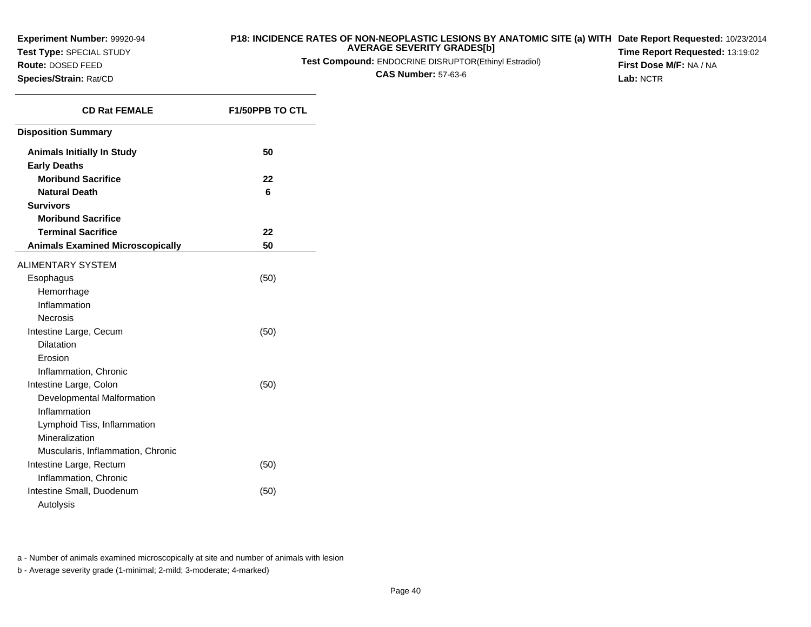**Test Type:** SPECIAL STUDY

**Route:** DOSED FEED**Species/Strain:** Rat/CD

#### **P18: INCIDENCE RATES OF NON-NEOPLASTIC LESIONS BY ANATOMIC SITE (a) WITH AVERAGE SEVERITY GRADES[b] Date Report Requested:** 10/23/2014 **Time Report Requested:** 13:19:02

**Test Compound:** ENDOCRINE DISRUPTOR(Ethinyl Estradiol)

**CAS Number:** 57-63-6

**First Dose M/F:** NA / NA**Lab:** NCTR

| <b>CD Rat FEMALE</b>                                     | <b>F1/50PPB TO CTL</b> |
|----------------------------------------------------------|------------------------|
| <b>Disposition Summary</b>                               |                        |
| <b>Animals Initially In Study</b><br><b>Early Deaths</b> | 50                     |
| <b>Moribund Sacrifice</b>                                | 22                     |
| <b>Natural Death</b>                                     | 6                      |
| <b>Survivors</b>                                         |                        |
| <b>Moribund Sacrifice</b>                                |                        |
| <b>Terminal Sacrifice</b>                                | 22                     |
| <b>Animals Examined Microscopically</b>                  | 50                     |
| <b>ALIMENTARY SYSTEM</b>                                 |                        |
| Esophagus                                                | (50)                   |
| Hemorrhage                                               |                        |
| Inflammation                                             |                        |
| <b>Necrosis</b>                                          |                        |
| Intestine Large, Cecum                                   | (50)                   |
| <b>Dilatation</b>                                        |                        |
| Erosion                                                  |                        |
| Inflammation, Chronic                                    |                        |
| Intestine Large, Colon                                   | (50)                   |
| Developmental Malformation                               |                        |
| Inflammation                                             |                        |
| Lymphoid Tiss, Inflammation                              |                        |
| Mineralization                                           |                        |
| Muscularis, Inflammation, Chronic                        |                        |
| Intestine Large, Rectum                                  | (50)                   |
| Inflammation, Chronic                                    |                        |
| Intestine Small, Duodenum                                | (50)                   |
| Autolysis                                                |                        |

a - Number of animals examined microscopically at site and number of animals with lesion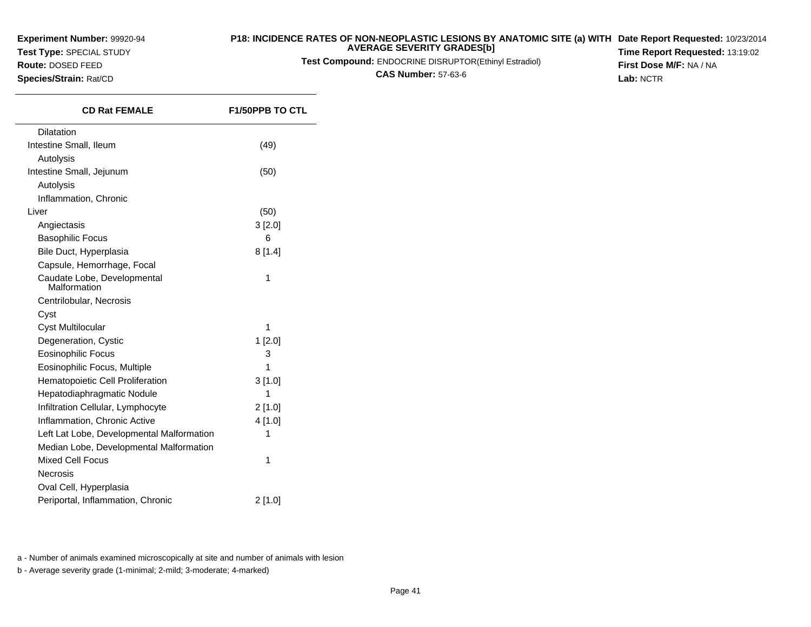**Test Type:** SPECIAL STUDY

**Route:** DOSED FEED**Species/Strain:** Rat/CD

#### **P18: INCIDENCE RATES OF NON-NEOPLASTIC LESIONS BY ANATOMIC SITE (a) WITH AVERAGE SEVERITY GRADES[b] Date Report Requested:** 10/23/2014

**Test Compound:** ENDOCRINE DISRUPTOR(Ethinyl Estradiol)

**CAS Number:** 57-63-6

**Time Report Requested:** 13:19:02**First Dose M/F:** NA / NA**Lab:** NCTR

| <b>CD Rat FEMALE</b>                        | <b>F1/50PPB TO CTL</b> |
|---------------------------------------------|------------------------|
| Dilatation                                  |                        |
| Intestine Small, Ileum                      | (49)                   |
| Autolysis                                   |                        |
| Intestine Small, Jejunum                    | (50)                   |
| Autolysis                                   |                        |
| Inflammation, Chronic                       |                        |
| Liver                                       | (50)                   |
| Angiectasis                                 | 3 [2.0]                |
| <b>Basophilic Focus</b>                     | 6                      |
| Bile Duct, Hyperplasia                      | 8[1.4]                 |
| Capsule, Hemorrhage, Focal                  |                        |
| Caudate Lobe, Developmental<br>Malformation | 1                      |
| Centrilobular, Necrosis                     |                        |
| Cyst                                        |                        |
| <b>Cyst Multilocular</b>                    | 1                      |
| Degeneration, Cystic                        | 1[2.0]                 |
| <b>Eosinophilic Focus</b>                   | 3                      |
| Eosinophilic Focus, Multiple                | 1                      |
| Hematopoietic Cell Proliferation            | 3[1.0]                 |
| Hepatodiaphragmatic Nodule                  | 1                      |
| Infiltration Cellular, Lymphocyte           | $2$ [1.0]              |
| Inflammation, Chronic Active                | 4 [1.0]                |
| Left Lat Lobe, Developmental Malformation   | 1                      |
| Median Lobe, Developmental Malformation     |                        |
| <b>Mixed Cell Focus</b>                     | 1                      |
| <b>Necrosis</b>                             |                        |
| Oval Cell, Hyperplasia                      |                        |
| Periportal, Inflammation, Chronic           | 2[1.0]                 |

a - Number of animals examined microscopically at site and number of animals with lesion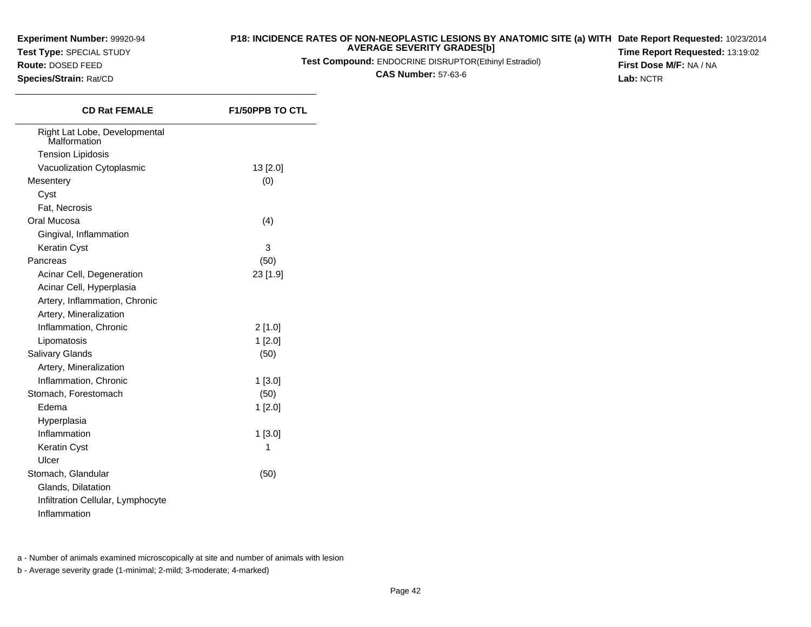**Test Type:** SPECIAL STUDY

## **Route:** DOSED FEED

**Species/Strain:** Rat/CD

#### **P18: INCIDENCE RATES OF NON-NEOPLASTIC LESIONS BY ANATOMIC SITE (a) WITH AVERAGE SEVERITY GRADES[b] Date Report Requested:** 10/23/2014

**Test Compound:** ENDOCRINE DISRUPTOR(Ethinyl Estradiol)

**CAS Number:** 57-63-6

**Time Report Requested:** 13:19:02**First Dose M/F:** NA / NA**Lab:** NCTR

| <b>CD Rat FEMALE</b>                          | <b>F1/50PPB TO CTL</b> |
|-----------------------------------------------|------------------------|
| Right Lat Lobe, Developmental<br>Malformation |                        |
| <b>Tension Lipidosis</b>                      |                        |
| Vacuolization Cytoplasmic                     | 13 [2.0]               |
| Mesentery                                     | (0)                    |
| Cyst                                          |                        |
| Fat, Necrosis                                 |                        |
| Oral Mucosa                                   | (4)                    |
| Gingival, Inflammation                        |                        |
| Keratin Cyst                                  | 3                      |
| Pancreas                                      | (50)                   |
| Acinar Cell, Degeneration                     | 23 [1.9]               |
| Acinar Cell, Hyperplasia                      |                        |
| Artery, Inflammation, Chronic                 |                        |
| Artery, Mineralization                        |                        |
| Inflammation, Chronic                         | 2[1.0]                 |
| Lipomatosis                                   | 1[2.0]                 |
| Salivary Glands                               | (50)                   |
| Artery, Mineralization                        |                        |
| Inflammation, Chronic                         | $1$ [3.0]              |
| Stomach, Forestomach                          | (50)                   |
| Edema                                         | 1[2.0]                 |
| Hyperplasia                                   |                        |
| Inflammation                                  | 1[3.0]                 |
| Keratin Cyst                                  | 1                      |
| Ulcer                                         |                        |
| Stomach, Glandular                            | (50)                   |
| Glands, Dilatation                            |                        |
| Infiltration Cellular, Lymphocyte             |                        |
| Inflammation                                  |                        |

a - Number of animals examined microscopically at site and number of animals with lesion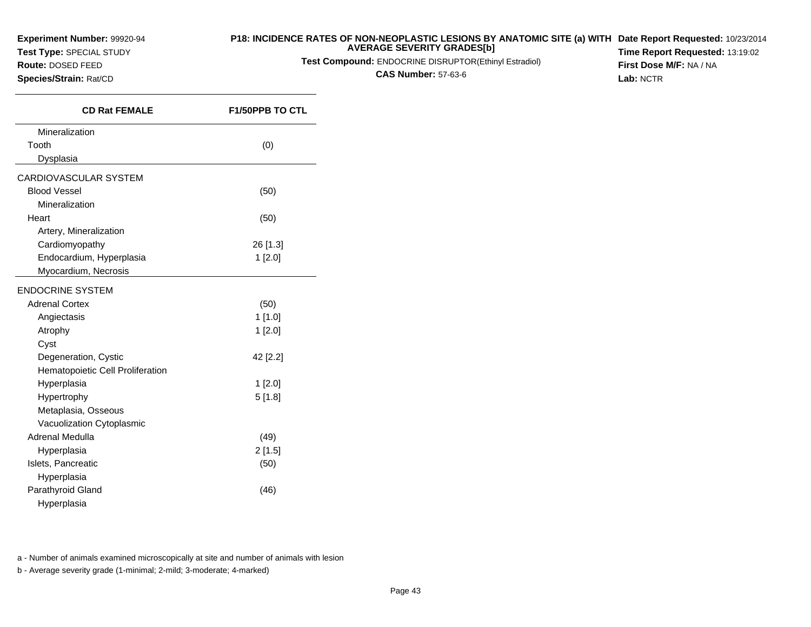**Test Type:** SPECIAL STUDY

**Route:** DOSED FEED**Species/Strain:** Rat/CD

#### **P18: INCIDENCE RATES OF NON-NEOPLASTIC LESIONS BY ANATOMIC SITE (a) WITH AVERAGE SEVERITY GRADES[b] Date Report Requested:** 10/23/2014

**Test Compound:** ENDOCRINE DISRUPTOR(Ethinyl Estradiol)

**CAS Number:** 57-63-6

**Time Report Requested:** 13:19:02**First Dose M/F:** NA / NA**Lab:** NCTR

| <b>CD Rat FEMALE</b>             | <b>F1/50PPB TO CTL</b> |
|----------------------------------|------------------------|
| Mineralization                   |                        |
| Tooth                            | (0)                    |
| Dysplasia                        |                        |
| CARDIOVASCULAR SYSTEM            |                        |
| <b>Blood Vessel</b>              | (50)                   |
| Mineralization                   |                        |
| Heart                            | (50)                   |
| Artery, Mineralization           |                        |
| Cardiomyopathy                   | 26 [1.3]               |
| Endocardium, Hyperplasia         | 1 [2.0]                |
| Myocardium, Necrosis             |                        |
| <b>ENDOCRINE SYSTEM</b>          |                        |
| <b>Adrenal Cortex</b>            | (50)                   |
| Angiectasis                      | 1 [1.0]                |
| Atrophy                          | 1[2.0]                 |
| Cyst                             |                        |
| Degeneration, Cystic             | 42 [2.2]               |
| Hematopoietic Cell Proliferation |                        |
| Hyperplasia                      | 1[2.0]                 |
| Hypertrophy                      | 5[1.8]                 |
| Metaplasia, Osseous              |                        |
| Vacuolization Cytoplasmic        |                        |
| Adrenal Medulla                  | (49)                   |
| Hyperplasia                      | 2[1.5]                 |
| Islets, Pancreatic               | (50)                   |
| Hyperplasia                      |                        |
| Parathyroid Gland                | (46)                   |
| Hyperplasia                      |                        |

a - Number of animals examined microscopically at site and number of animals with lesion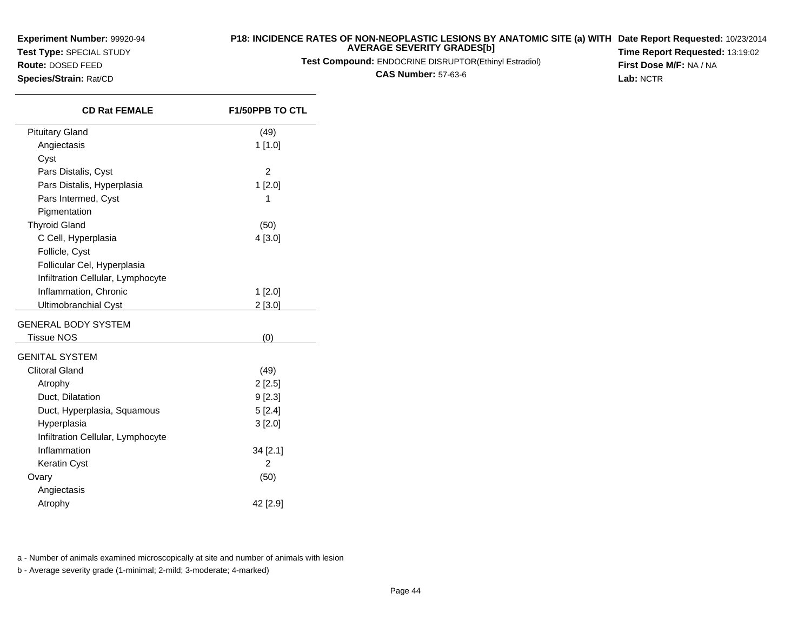**Test Type:** SPECIAL STUDY

**Route:** DOSED FEED**Species/Strain:** Rat/CD

 $\overline{\phantom{a}}$ 

#### **P18: INCIDENCE RATES OF NON-NEOPLASTIC LESIONS BY ANATOMIC SITE (a) WITH AVERAGE SEVERITY GRADES[b] Date Report Requested:** 10/23/2014

**Test Compound:** ENDOCRINE DISRUPTOR(Ethinyl Estradiol)

**CAS Number:** 57-63-6

**Time Report Requested:** 13:19:02**First Dose M/F:** NA / NA**Lab:** NCTR

| <b>CD Rat FEMALE</b>              | <b>F1/50PPB TO CTL</b> |
|-----------------------------------|------------------------|
| <b>Pituitary Gland</b>            | (49)                   |
| Angiectasis                       | 1 [1.0]                |
| Cyst                              |                        |
| Pars Distalis, Cyst               | $\overline{2}$         |
| Pars Distalis, Hyperplasia        | $1$ [2.0]              |
| Pars Intermed, Cyst               | 1                      |
| Pigmentation                      |                        |
| <b>Thyroid Gland</b>              | (50)                   |
| C Cell, Hyperplasia               | 4 [3.0]                |
| Follicle, Cyst                    |                        |
| Follicular Cel, Hyperplasia       |                        |
| Infiltration Cellular, Lymphocyte |                        |
| Inflammation, Chronic             | 1[2.0]                 |
| <b>Ultimobranchial Cyst</b>       | 2[3.0]                 |
| GENERAL BODY SYSTEM               |                        |
| Tissue NOS                        | (0)                    |
| GENITAL SYSTEM                    |                        |
| <b>Clitoral Gland</b>             | (49)                   |
| Atrophy                           | 2[2.5]                 |
| Duct, Dilatation                  | 9 [2.3]                |
| Duct, Hyperplasia, Squamous       | 5[2.4]                 |
| Hyperplasia                       | 3[2.0]                 |
| Infiltration Cellular, Lymphocyte |                        |
| Inflammation                      | 34 [2.1]               |
| Keratin Cyst                      | 2                      |
| Ovary                             | (50)                   |
| Angiectasis                       |                        |
| Atrophy                           | 42 [2.9]               |

a - Number of animals examined microscopically at site and number of animals with lesion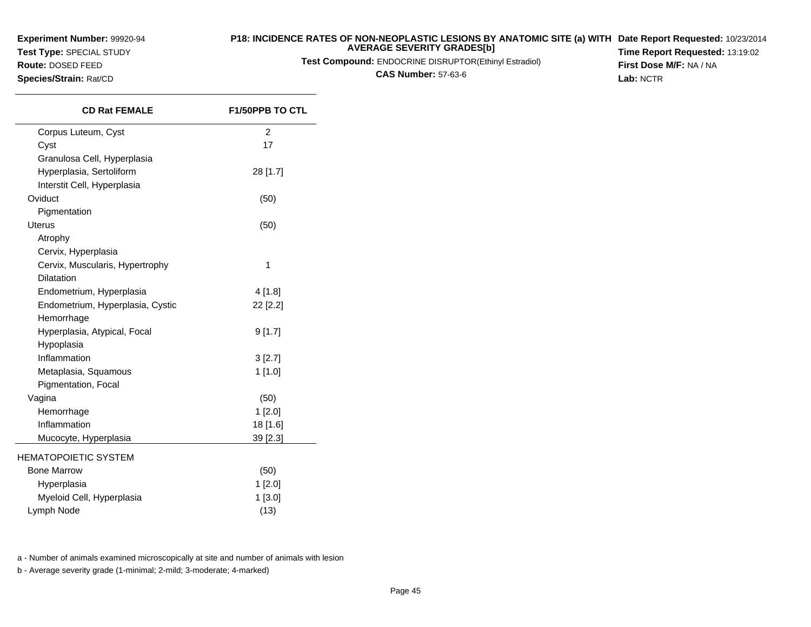**Test Type:** SPECIAL STUDY

**Route:** DOSED FEED**Species/Strain:** Rat/CD

#### **P18: INCIDENCE RATES OF NON-NEOPLASTIC LESIONS BY ANATOMIC SITE (a) WITH AVERAGE SEVERITY GRADES[b] Date Report Requested:** 10/23/2014

**Test Compound:** ENDOCRINE DISRUPTOR(Ethinyl Estradiol)

**CAS Number:** 57-63-6

**Time Report Requested:** 13:19:02**First Dose M/F:** NA / NA**Lab:** NCTR

| <b>CD Rat FEMALE</b>             | <b>F1/50PPB TO CTL</b> |
|----------------------------------|------------------------|
| Corpus Luteum, Cyst              | $\overline{2}$         |
| Cyst                             | 17                     |
| Granulosa Cell, Hyperplasia      |                        |
| Hyperplasia, Sertoliform         | 28 [1.7]               |
| Interstit Cell, Hyperplasia      |                        |
| Oviduct                          | (50)                   |
| Pigmentation                     |                        |
| <b>Uterus</b>                    | (50)                   |
| Atrophy                          |                        |
| Cervix, Hyperplasia              |                        |
| Cervix, Muscularis, Hypertrophy  | 1                      |
| <b>Dilatation</b>                |                        |
| Endometrium, Hyperplasia         | 4[1.8]                 |
| Endometrium, Hyperplasia, Cystic | 22 [2.2]               |
| Hemorrhage                       |                        |
| Hyperplasia, Atypical, Focal     | 9[1.7]                 |
| Hypoplasia                       |                        |
| Inflammation                     | 3[2.7]                 |
| Metaplasia, Squamous             | 1[1.0]                 |
| Pigmentation, Focal              |                        |
| Vagina                           | (50)                   |
| Hemorrhage                       | 1 [2.0]                |
| Inflammation                     | 18 [1.6]               |
| Mucocyte, Hyperplasia            | 39 [2.3]               |
| <b>HEMATOPOIETIC SYSTEM</b>      |                        |
| <b>Bone Marrow</b>               | (50)                   |
| Hyperplasia                      | 1 [2.0]                |
| Myeloid Cell, Hyperplasia        | 1 [3.0]                |
| Lymph Node                       | (13)                   |

a - Number of animals examined microscopically at site and number of animals with lesion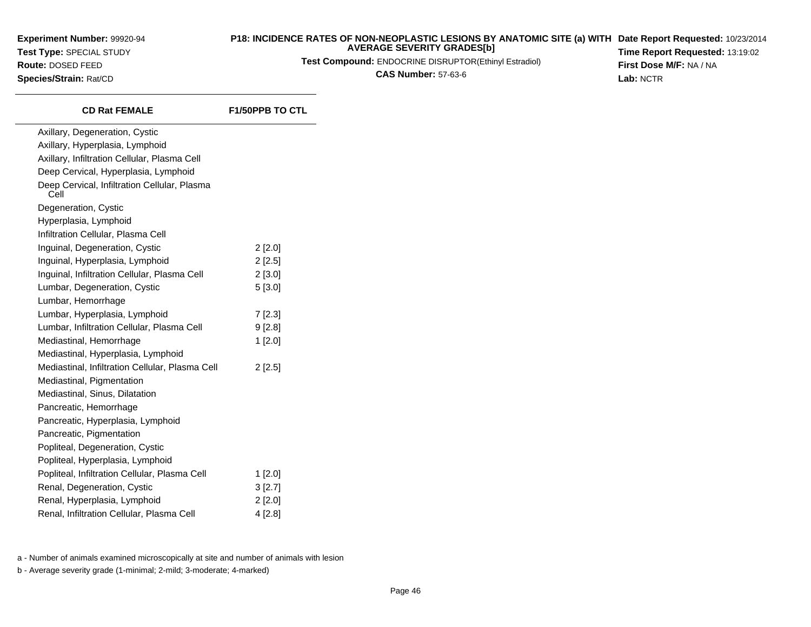**Experiment Number:** 99920-94**Test Type:** SPECIAL STUDY**Route:** DOSED FEED**Species/Strain:** Rat/CD

#### **P18: INCIDENCE RATES OF NON-NEOPLASTIC LESIONS BY ANATOMIC SITE (a) WITH AVERAGE SEVERITY GRADES[b] Date Report Requested:** 10/23/2014

**Test Compound:** ENDOCRINE DISRUPTOR(Ethinyl Estradiol)

**CAS Number:** 57-63-6

**Time Report Requested:** 13:19:02**First Dose M/F:** NA / NA**Lab:** NCTR

| <b>CD Rat FEMALE</b>                                 | <b>F1/50PPB TO CTL</b> |
|------------------------------------------------------|------------------------|
| Axillary, Degeneration, Cystic                       |                        |
| Axillary, Hyperplasia, Lymphoid                      |                        |
| Axillary, Infiltration Cellular, Plasma Cell         |                        |
| Deep Cervical, Hyperplasia, Lymphoid                 |                        |
| Deep Cervical, Infiltration Cellular, Plasma<br>Cell |                        |
| Degeneration, Cystic                                 |                        |
| Hyperplasia, Lymphoid                                |                        |
| Infiltration Cellular, Plasma Cell                   |                        |
| Inguinal, Degeneration, Cystic                       | $2$ [2.0]              |
| Inguinal, Hyperplasia, Lymphoid                      | $2$ [2.5]              |
| Inguinal, Infiltration Cellular, Plasma Cell         | 2 [3.0]                |
| Lumbar, Degeneration, Cystic                         | 5[3.0]                 |
| Lumbar, Hemorrhage                                   |                        |
| Lumbar, Hyperplasia, Lymphoid                        | 7[2.3]                 |
| Lumbar, Infiltration Cellular, Plasma Cell           | 9[2.8]                 |
| Mediastinal, Hemorrhage                              | 1[2.0]                 |
| Mediastinal, Hyperplasia, Lymphoid                   |                        |
| Mediastinal, Infiltration Cellular, Plasma Cell      | $2$ [2.5]              |
| Mediastinal, Pigmentation                            |                        |
| Mediastinal, Sinus, Dilatation                       |                        |
| Pancreatic, Hemorrhage                               |                        |
| Pancreatic, Hyperplasia, Lymphoid                    |                        |
| Pancreatic, Pigmentation                             |                        |
| Popliteal, Degeneration, Cystic                      |                        |
| Popliteal, Hyperplasia, Lymphoid                     |                        |
| Popliteal, Infiltration Cellular, Plasma Cell        | $1$ [2.0]              |
| Renal, Degeneration, Cystic                          | 3 [2.7]                |
| Renal, Hyperplasia, Lymphoid                         | $2$ [2.0]              |
| Renal, Infiltration Cellular, Plasma Cell            | 4 [2.8]                |

a - Number of animals examined microscopically at site and number of animals with lesion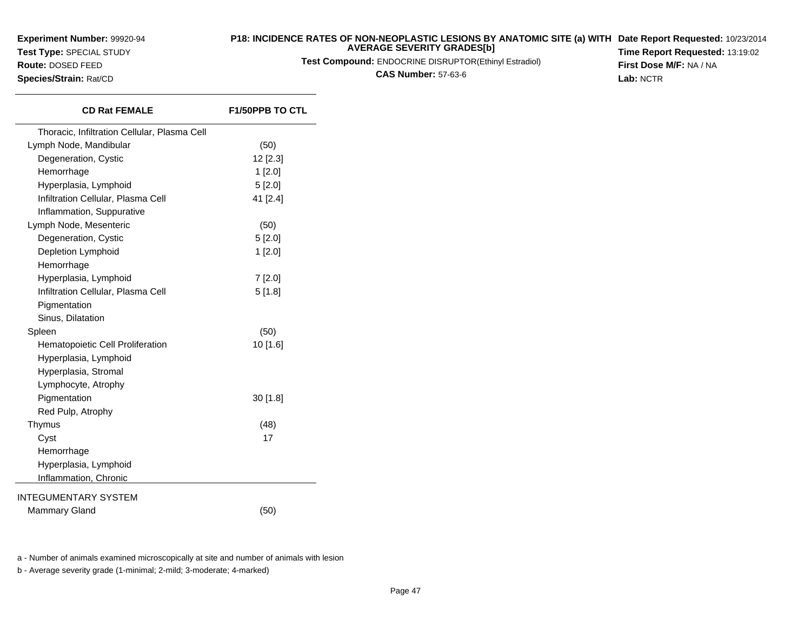**Test Type:** SPECIAL STUDY

**Route:** DOSED FEED**Species/Strain:** Rat/CD

#### **P18: INCIDENCE RATES OF NON-NEOPLASTIC LESIONS BY ANATOMIC SITE (a) WITHDate Report Requested:** 10/23/2014**AVERAGE SEVERITY GRADES[b]Time Report Requested:** 13:19:02

**Test Compound:** ENDOCRINE DISRUPTOR(Ethinyl Estradiol)

**CAS Number:** 57-63-6

**First Dose M/F:** NA / NA**Lab:** NCTR

**CD Rat FEMALE F1/50PPB TO CTL** Thoracic, Infiltration Cellular, Plasma CellLymph Node, Mandibularr (50) Degeneration, Cystic 12 [2.3] Hemorrhage $e$  1 [2.0] Hyperplasia, Lymphoid 5 [2.0] Infiltration Cellular, Plasma Cell 41 [2.4]Inflammation, SuppurativeLymph Node, Mesenteric $\mathbf{c}$  (50) Degeneration, Cystic 5 [2.0] Depletion Lymphoid 1 [2.0] Hemorrhage Hyperplasia, Lymphoid 7 [2.0] Infiltration Cellular, Plasma Cell 5 [1.8]**Pigmentation**  Sinus, DilatationSpleen $n \tag{50}$ Hematopoietic Cell Proliferation 10 [1.6] Hyperplasia, LymphoidHyperplasia, StromalLymphocyte, AtrophyPigmentation 30 [1.8] Red Pulp, AtrophyThymus $\sim$  (48) Cystt and  $\overline{17}$ Hemorrhage Hyperplasia, Lymphoid Inflammation, ChronicINTEGUMENTARY SYSTEMMammary Gland $d \tag{50}$ 

a - Number of animals examined microscopically at site and number of animals with lesion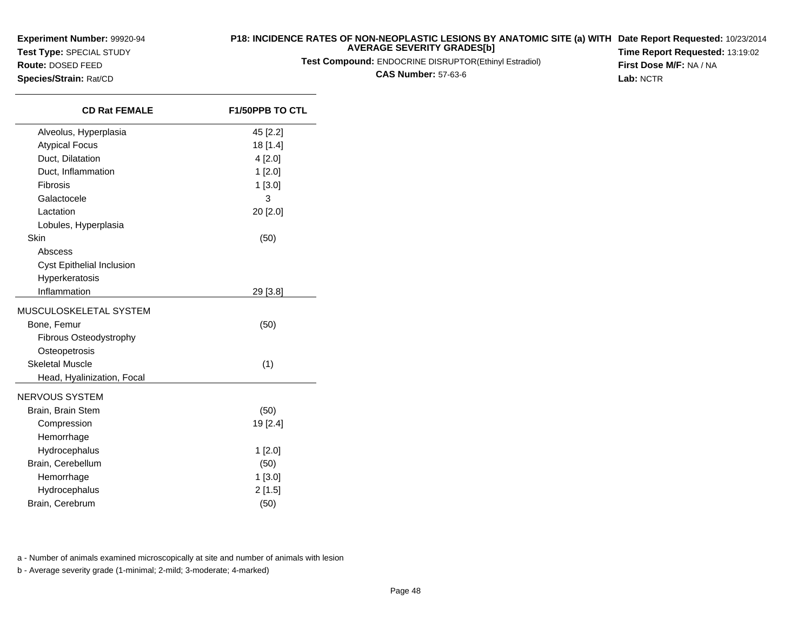**Test Type:** SPECIAL STUDY

**Route:** DOSED FEED**Species/Strain:** Rat/CD

 $\overline{\phantom{a}}$ 

# **P18: INCIDENCE RATES OF NON-NEOPLASTIC LESIONS BY ANATOMIC SITE (a) WITH AVERAGE SEVERITY GRADES[b]**

**Test Compound:** ENDOCRINE DISRUPTOR(Ethinyl Estradiol)

**CAS Number:** 57-63-6

**Date Report Requested:** 10/23/2014 **Time Report Requested:** 13:19:02**First Dose M/F:** NA / NA**Lab:** NCTR

| <b>CD Rat FEMALE</b>       | <b>F1/50PPB TO CTL</b> |
|----------------------------|------------------------|
| Alveolus, Hyperplasia      | 45 [2.2]               |
| <b>Atypical Focus</b>      | 18 [1.4]               |
| Duct, Dilatation           | 4[2.0]                 |
| Duct, Inflammation         | 1 [2.0]                |
| Fibrosis                   | $1$ [3.0]              |
| Galactocele                | 3                      |
| Lactation                  | 20 [2.0]               |
| Lobules, Hyperplasia       |                        |
| Skin                       | (50)                   |
| Abscess                    |                        |
| Cyst Epithelial Inclusion  |                        |
| Hyperkeratosis             |                        |
| Inflammation               | 29 [3.8]               |
| MUSCULOSKELETAL SYSTEM     |                        |
| Bone, Femur                | (50)                   |
| Fibrous Osteodystrophy     |                        |
| Osteopetrosis              |                        |
| <b>Skeletal Muscle</b>     | (1)                    |
| Head, Hyalinization, Focal |                        |
| NERVOUS SYSTEM             |                        |
| Brain, Brain Stem          | (50)                   |
| Compression                | 19 [2.4]               |
| Hemorrhage                 |                        |
| Hydrocephalus              | $1$ [2.0]              |
| Brain, Cerebellum          | (50)                   |
| Hemorrhage                 | 1[3.0]                 |
| Hydrocephalus              | 2[1.5]                 |
| Brain, Cerebrum            | (50)                   |
|                            |                        |

a - Number of animals examined microscopically at site and number of animals with lesion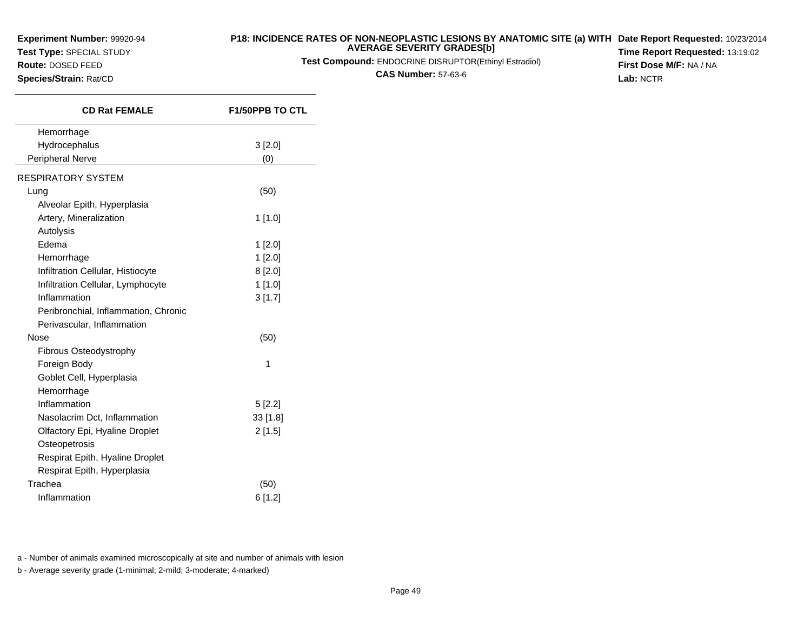**Test Type:** SPECIAL STUDY

#### **P18: INCIDENCE RATES OF NON-NEOPLASTIC LESIONS BY ANATOMIC SITE (a) WITH AVERAGE SEVERITY GRADES[b] Date Report Requested:** 10/23/2014

**Test Compound:** ENDOCRINE DISRUPTOR(Ethinyl Estradiol)

**CAS Number:** 57-63-6

**Time Report Requested:** 13:19:02**First Dose M/F:** NA / NA**Lab:** NCTR

**Species/Strain:** Rat/CD

**Route:** DOSED FEED

| <b>CD Rat FEMALE</b>                 | <b>F1/50PPB TO CTL</b> |
|--------------------------------------|------------------------|
| Hemorrhage                           |                        |
| Hydrocephalus                        | 3 [2.0]                |
| Peripheral Nerve                     | (0)                    |
| <b>RESPIRATORY SYSTEM</b>            |                        |
| Lung                                 | (50)                   |
| Alveolar Epith, Hyperplasia          |                        |
| Artery, Mineralization               | 1 [1.0]                |
| Autolysis                            |                        |
| Edema                                | $1$ [2.0]              |
| Hemorrhage                           | 1[2.0]                 |
| Infiltration Cellular, Histiocyte    | 8[2.0]                 |
| Infiltration Cellular, Lymphocyte    | $1$ [1.0]              |
| Inflammation                         | 3[1.7]                 |
| Peribronchial, Inflammation, Chronic |                        |
| Perivascular, Inflammation           |                        |
| Nose                                 | (50)                   |
| Fibrous Osteodystrophy               |                        |
| Foreign Body                         | 1                      |
| Goblet Cell, Hyperplasia             |                        |
| Hemorrhage                           |                        |
| Inflammation                         | 5[2.2]                 |
| Nasolacrim Dct, Inflammation         | $33$ [1.8]             |
| Olfactory Epi, Hyaline Droplet       | 2[1.5]                 |
| Osteopetrosis                        |                        |
| Respirat Epith, Hyaline Droplet      |                        |
| Respirat Epith, Hyperplasia          |                        |
| Trachea                              | (50)                   |
| Inflammation                         | 6[1.2]                 |

a - Number of animals examined microscopically at site and number of animals with lesion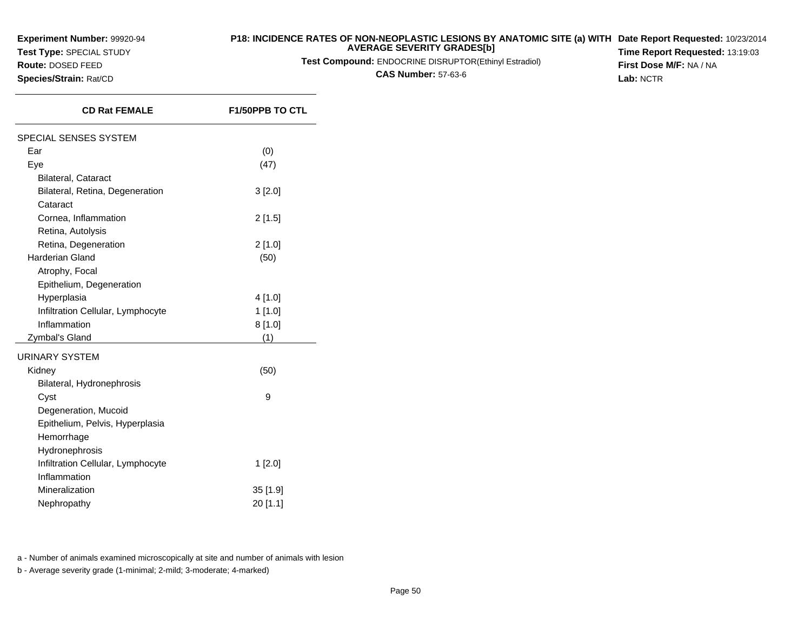**Test Type:** SPECIAL STUDY

**Route:** DOSED FEED**Species/Strain:** Rat/CD

#### **P18: INCIDENCE RATES OF NON-NEOPLASTIC LESIONS BY ANATOMIC SITE (a) WITH AVERAGE SEVERITY GRADES[b] Date Report Requested:** 10/23/2014

**Test Compound:** ENDOCRINE DISRUPTOR(Ethinyl Estradiol)

**CAS Number:** 57-63-6

**Time Report Requested:** 13:19:03**First Dose M/F:** NA / NA**Lab:** NCTR

| <b>CD Rat FEMALE</b>              | <b>F1/50PPB TO CTL</b> |
|-----------------------------------|------------------------|
| SPECIAL SENSES SYSTEM             |                        |
| Ear                               | (0)                    |
| Eye                               | (47)                   |
| <b>Bilateral, Cataract</b>        |                        |
| Bilateral, Retina, Degeneration   | 3[2.0]                 |
| Cataract                          |                        |
| Cornea, Inflammation              | 2[1.5]                 |
| Retina, Autolysis                 |                        |
| Retina, Degeneration              | 2 [1.0]                |
| <b>Harderian Gland</b>            | (50)                   |
| Atrophy, Focal                    |                        |
| Epithelium, Degeneration          |                        |
| Hyperplasia                       | 4 [1.0]                |
| Infiltration Cellular, Lymphocyte | 1[1.0]                 |
| Inflammation                      | 8[1.0]                 |
| Zymbal's Gland                    | (1)                    |
| <b>URINARY SYSTEM</b>             |                        |
| Kidney                            | (50)                   |
| Bilateral, Hydronephrosis         |                        |
| Cyst                              | 9                      |
| Degeneration, Mucoid              |                        |
| Epithelium, Pelvis, Hyperplasia   |                        |
| Hemorrhage                        |                        |
| Hydronephrosis                    |                        |
| Infiltration Cellular, Lymphocyte | 1[2.0]                 |
| Inflammation                      |                        |
| Mineralization                    | 35 [1.9]               |
| Nephropathy                       | 20 [1.1]               |

a - Number of animals examined microscopically at site and number of animals with lesion